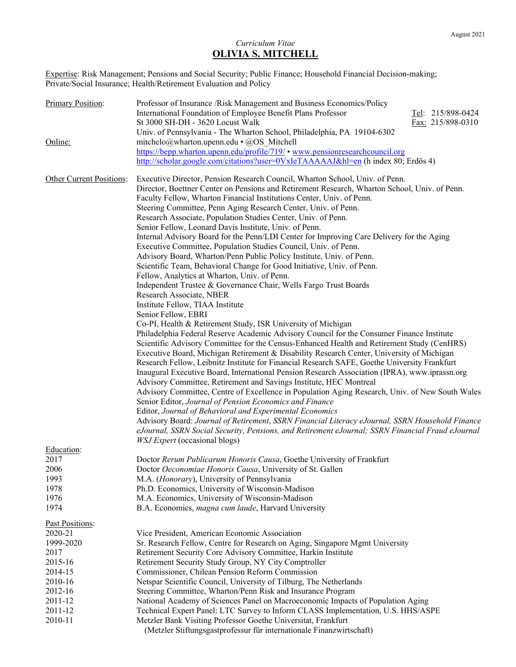# *Curriculum Vitae*  **OLIVIA S. MITCHELL**

Expertise: Risk Management; Pensions and Social Security; Public Finance; Household Financial Decision-making; Private/Social Insurance; Health/Retirement Evaluation and Policy

| <b>Primary Position:</b> | Professor of Insurance /Risk Management and Business Economics/Policy<br>International Foundation of Employee Benefit Plans Professor<br>Tel: 215/898-0424<br>St 3000 SH-DH - 3620 Locust Walk<br>Fax: 215/898-0310                                                                                                                                                                       |
|--------------------------|-------------------------------------------------------------------------------------------------------------------------------------------------------------------------------------------------------------------------------------------------------------------------------------------------------------------------------------------------------------------------------------------|
|                          | Univ. of Pennsylvania - The Wharton School, Philadelphia, PA 19104-6302                                                                                                                                                                                                                                                                                                                   |
| Online:                  | mitchelo@wharton.upenn.edu • @OS_Mitchell                                                                                                                                                                                                                                                                                                                                                 |
|                          | https://bepp.wharton.upenn.edu/profile/719/ • www.pensionresearchcouncil.org                                                                                                                                                                                                                                                                                                              |
|                          | http://scholar.google.com/citations?user=0VxIeTAAAAAJ&hl=en (h index 80; Erdös 4)                                                                                                                                                                                                                                                                                                         |
| Other Current Positions: | Executive Director, Pension Research Council, Wharton School, Univ. of Penn.<br>Director, Boettner Center on Pensions and Retirement Research, Wharton School, Univ. of Penn.<br>Faculty Fellow, Wharton Financial Institutions Center, Univ. of Penn.<br>Steering Committee, Penn Aging Research Center, Univ. of Penn.<br>Research Associate, Population Studies Center, Univ. of Penn. |
|                          | Senior Fellow, Leonard Davis Institute, Univ. of Penn.                                                                                                                                                                                                                                                                                                                                    |
|                          | Internal Advisory Board for the Penn/LDI Center for Improving Care Delivery for the Aging<br>Executive Committee, Population Studies Council, Univ. of Penn.<br>Advisory Board, Wharton/Penn Public Policy Institute, Univ. of Penn.                                                                                                                                                      |
|                          | Scientific Team, Behavioral Change for Good Initiative, Univ. of Penn.                                                                                                                                                                                                                                                                                                                    |
|                          | Fellow, Analytics at Wharton, Univ. of Penn.<br>Independent Trustee & Governance Chair, Wells Fargo Trust Boards                                                                                                                                                                                                                                                                          |
|                          | Research Associate, NBER                                                                                                                                                                                                                                                                                                                                                                  |
|                          | Institute Fellow, TIAA Institute<br>Senior Fellow, EBRI                                                                                                                                                                                                                                                                                                                                   |
|                          | Co-PI, Health & Retirement Study, ISR University of Michigan                                                                                                                                                                                                                                                                                                                              |
|                          | Philadelphia Federal Reserve Academic Advisory Council for the Consumer Finance Institute                                                                                                                                                                                                                                                                                                 |
|                          | Scientific Advisory Committee for the Census-Enhanced Health and Retirement Study (CenHRS)<br>Executive Board, Michigan Retirement & Disability Research Center, University of Michigan                                                                                                                                                                                                   |
|                          | Research Fellow, Leibnitz Institute for Financial Research SAFE, Goethe University Frankfurt                                                                                                                                                                                                                                                                                              |
|                          | Inaugural Executive Board, International Pension Research Association (IPRA), www.iprassn.org                                                                                                                                                                                                                                                                                             |
|                          | Advisory Committee, Retirement and Savings Institute, HEC Montreal                                                                                                                                                                                                                                                                                                                        |
|                          | Advisory Committee, Centre of Excellence in Population Aging Research, Univ. of New South Wales<br>Senior Editor, Journal of Pension Economics and Finance                                                                                                                                                                                                                                |
|                          | Editor, Journal of Behavioral and Experimental Economics                                                                                                                                                                                                                                                                                                                                  |
|                          | Advisory Board: Journal of Retirement, SSRN Financial Literacy eJournal, SSRN Household Finance                                                                                                                                                                                                                                                                                           |
|                          | eJournal, SSRN Social Security, Pensions, and Retirement eJournal; SSRN Financial Fraud eJournal<br><b>WSJ</b> Expert (occasional blogs)                                                                                                                                                                                                                                                  |
| Education:               |                                                                                                                                                                                                                                                                                                                                                                                           |
| 2017                     | Doctor Rerum Publicarum Honoris Causa, Goethe University of Frankfurt                                                                                                                                                                                                                                                                                                                     |
| 2006                     | Doctor Oeconomiae Honoris Causa, University of St. Gallen                                                                                                                                                                                                                                                                                                                                 |
| 1993<br>1978             | M.A. (Honorary), University of Pennsylvania<br>Ph.D. Economics, University of Wisconsin-Madison                                                                                                                                                                                                                                                                                           |
| 1976                     | M.A. Economics, University of Wisconsin-Madison                                                                                                                                                                                                                                                                                                                                           |
| 1974                     | B.A. Economics, magna cum laude, Harvard University                                                                                                                                                                                                                                                                                                                                       |
| Past Positions:          |                                                                                                                                                                                                                                                                                                                                                                                           |
| 2020-21                  | Vice President, American Economic Association                                                                                                                                                                                                                                                                                                                                             |
| 1999-2020                | Sr. Research Fellow, Centre for Research on Aging, Singapore Mgmt University                                                                                                                                                                                                                                                                                                              |
| 2017                     | Retirement Security Core Advisory Committee, Harkin Institute                                                                                                                                                                                                                                                                                                                             |
| 2015-16                  | Retirement Security Study Group, NY City Comptroller                                                                                                                                                                                                                                                                                                                                      |
| 2014-15                  | Commissioner, Chilean Pension Reform Commission                                                                                                                                                                                                                                                                                                                                           |
| 2010-16<br>2012-16       | Netspar Scientific Council, University of Tilburg, The Netherlands<br>Steering Committee, Wharton/Penn Risk and Insurance Program                                                                                                                                                                                                                                                         |
| 2011-12                  | National Academy of Sciences Panel on Macroeconomic Impacts of Population Aging                                                                                                                                                                                                                                                                                                           |
| 2011-12                  | Technical Expert Panel: LTC Survey to Inform CLASS Implementation, U.S. HHS/ASPE                                                                                                                                                                                                                                                                                                          |
| 2010-11                  | Metzler Bank Visiting Professor Goethe Universitat, Frankfurt                                                                                                                                                                                                                                                                                                                             |
|                          | (Metzler Stiftungsgastprofessur für internationale Finanzwirtschaft)                                                                                                                                                                                                                                                                                                                      |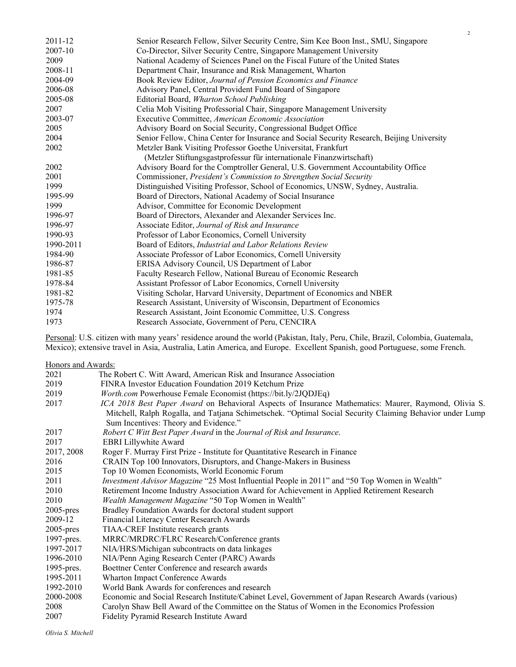| 2011-12   | Senior Research Fellow, Silver Security Centre, Sim Kee Boon Inst., SMU, Singapore         |
|-----------|--------------------------------------------------------------------------------------------|
| 2007-10   | Co-Director, Silver Security Centre, Singapore Management University                       |
| 2009      | National Academy of Sciences Panel on the Fiscal Future of the United States               |
| 2008-11   | Department Chair, Insurance and Risk Management, Wharton                                   |
| 2004-09   | Book Review Editor, Journal of Pension Economics and Finance                               |
| 2006-08   | Advisory Panel, Central Provident Fund Board of Singapore                                  |
| 2005-08   | Editorial Board, Wharton School Publishing                                                 |
| 2007      | Celia Moh Visiting Professorial Chair, Singapore Management University                     |
| 2003-07   | Executive Committee, American Economic Association                                         |
| 2005      | Advisory Board on Social Security, Congressional Budget Office                             |
| 2004      | Senior Fellow, China Center for Insurance and Social Security Research, Beijing University |
| 2002      | Metzler Bank Visiting Professor Goethe Universitat, Frankfurt                              |
|           | (Metzler Stiftungsgastprofessur für internationale Finanzwirtschaft)                       |
| 2002      | Advisory Board for the Comptroller General, U.S. Government Accountability Office          |
| 2001      | Commissioner, President's Commission to Strengthen Social Security                         |
| 1999      | Distinguished Visiting Professor, School of Economics, UNSW, Sydney, Australia.            |
| 1995-99   | Board of Directors, National Academy of Social Insurance                                   |
| 1999      | Advisor, Committee for Economic Development                                                |
| 1996-97   | Board of Directors, Alexander and Alexander Services Inc.                                  |
| 1996-97   | Associate Editor, Journal of Risk and Insurance                                            |
| 1990-93   | Professor of Labor Economics, Cornell University                                           |
| 1990-2011 | Board of Editors, Industrial and Labor Relations Review                                    |
| 1984-90   | Associate Professor of Labor Economics, Cornell University                                 |
| 1986-87   | ERISA Advisory Council, US Department of Labor                                             |
| 1981-85   | Faculty Research Fellow, National Bureau of Economic Research                              |
| 1978-84   | Assistant Professor of Labor Economics, Cornell University                                 |
| 1981-82   | Visiting Scholar, Harvard University, Department of Economics and NBER                     |
| 1975-78   | Research Assistant, University of Wisconsin, Department of Economics                       |
| 1974      | Research Assistant, Joint Economic Committee, U.S. Congress                                |
| 1973      | Research Associate, Government of Peru, CENCIRA                                            |

Personal: U.S. citizen with many years' residence around the world (Pakistan, Italy, Peru, Chile, Brazil, Colombia, Guatemala, Mexico); extensive travel in Asia, Australia, Latin America, and Europe. Excellent Spanish, good Portuguese, some French.

Honors and Awards:

| 2021         | The Robert C. Witt Award, American Risk and Insurance Association                                        |
|--------------|----------------------------------------------------------------------------------------------------------|
| 2019         | FINRA Investor Education Foundation 2019 Ketchum Prize                                                   |
| 2019         | <i>Worth.com</i> Powerhouse Female Economist (https://bit.ly/2JQDJEq)                                    |
| 2017         | ICA 2018 Best Paper Award on Behavioral Aspects of Insurance Mathematics: Maurer, Raymond, Olivia S.     |
|              | Mitchell, Ralph Rogalla, and Tatjana Schimetschek. "Optimal Social Security Claiming Behavior under Lump |
|              | Sum Incentives: Theory and Evidence."                                                                    |
| 2017         | Robert C Witt Best Paper Award in the Journal of Risk and Insurance.                                     |
| 2017         | <b>EBRI</b> Lillywhite Award                                                                             |
| 2017, 2008   | Roger F. Murray First Prize - Institute for Quantitative Research in Finance                             |
| 2016         | CRAIN Top 100 Innovators, Disruptors, and Change-Makers in Business                                      |
| 2015         | Top 10 Women Economists, World Economic Forum                                                            |
| 2011         | Investment Advisor Magazine "25 Most Influential People in 2011" and "50 Top Women in Wealth"            |
| 2010         | Retirement Income Industry Association Award for Achievement in Applied Retirement Research              |
| 2010         | Wealth Management Magazine "50 Top Women in Wealth"                                                      |
| $2005$ -pres | Bradley Foundation Awards for doctoral student support                                                   |
| 2009-12      | Financial Literacy Center Research Awards                                                                |
| $2005$ -pres | TIAA-CREF Institute research grants                                                                      |
| 1997-pres.   | MRRC/MRDRC/FLRC Research/Conference grants                                                               |
| 1997-2017    | NIA/HRS/Michigan subcontracts on data linkages                                                           |
| 1996-2010    | NIA/Penn Aging Research Center (PARC) Awards                                                             |
| 1995-pres.   | Boettner Center Conference and research awards                                                           |
| 1995-2011    | Wharton Impact Conference Awards                                                                         |
| 1992-2010    | World Bank Awards for conferences and research                                                           |
| 2000-2008    | Economic and Social Research Institute/Cabinet Level, Government of Japan Research Awards (various)      |
| 2008         | Carolyn Shaw Bell Award of the Committee on the Status of Women in the Economics Profession              |
| 2007         | Fidelity Pyramid Research Institute Award                                                                |
|              |                                                                                                          |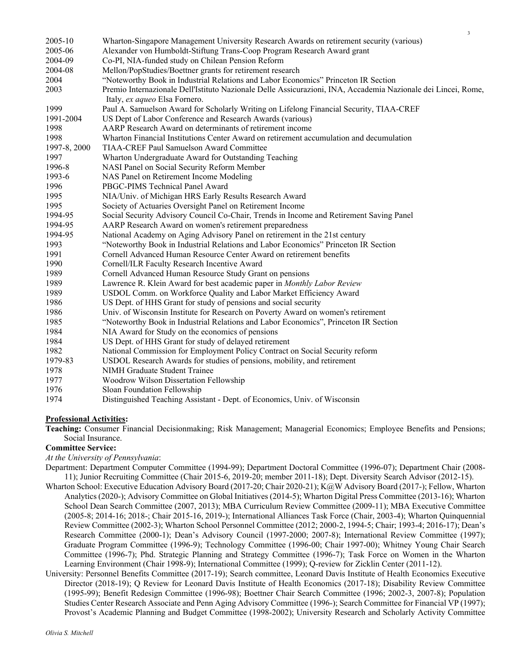| 2005-10      | Wharton-Singapore Management University Research Awards on retirement security (various)                                                       |
|--------------|------------------------------------------------------------------------------------------------------------------------------------------------|
| 2005-06      | Alexander von Humboldt-Stiftung Trans-Coop Program Research Award grant                                                                        |
| 2004-09      | Co-PI, NIA-funded study on Chilean Pension Reform                                                                                              |
| 2004-08      | Mellon/PopStudies/Boettner grants for retirement research                                                                                      |
| 2004         | "Noteworthy Book in Industrial Relations and Labor Economics" Princeton IR Section                                                             |
| 2003         | Premio Internazionale Dell'Istituto Nazionale Delle Assicurazioni, INA, Accademia Nazionale dei Lincei, Rome,<br>Italy, ex aqueo Elsa Fornero. |
| 1999         | Paul A. Samuelson Award for Scholarly Writing on Lifelong Financial Security, TIAA-CREF                                                        |
| 1991-2004    | US Dept of Labor Conference and Research Awards (various)                                                                                      |
| 1998         | AARP Research Award on determinants of retirement income                                                                                       |
| 1998         | Wharton Financial Institutions Center Award on retirement accumulation and decumulation                                                        |
| 1997-8, 2000 | TIAA-CREF Paul Samuelson Award Committee                                                                                                       |
| 1997         | Wharton Undergraduate Award for Outstanding Teaching                                                                                           |
| 1996-8       | NASI Panel on Social Security Reform Member                                                                                                    |
| 1993-6       | NAS Panel on Retirement Income Modeling                                                                                                        |
| 1996         | PBGC-PIMS Technical Panel Award                                                                                                                |
| 1995         | NIA/Univ. of Michigan HRS Early Results Research Award                                                                                         |
| 1995         | Society of Actuaries Oversight Panel on Retirement Income                                                                                      |
| 1994-95      | Social Security Advisory Council Co-Chair, Trends in Income and Retirement Saving Panel                                                        |
| 1994-95      | AARP Research Award on women's retirement preparedness                                                                                         |
| 1994-95      | National Academy on Aging Advisory Panel on retirement in the 21st century                                                                     |
| 1993         | "Noteworthy Book in Industrial Relations and Labor Economics" Princeton IR Section                                                             |
| 1991         | Cornell Advanced Human Resource Center Award on retirement benefits                                                                            |
| 1990         | Cornell/ILR Faculty Research Incentive Award                                                                                                   |
| 1989         | Cornell Advanced Human Resource Study Grant on pensions                                                                                        |
| 1989         | Lawrence R. Klein Award for best academic paper in Monthly Labor Review                                                                        |
| 1989         | USDOL Comm. on Workforce Quality and Labor Market Efficiency Award                                                                             |
| 1986         | US Dept. of HHS Grant for study of pensions and social security                                                                                |
| 1986         | Univ. of Wisconsin Institute for Research on Poverty Award on women's retirement                                                               |
| 1985         | "Noteworthy Book in Industrial Relations and Labor Economics", Princeton IR Section                                                            |
| 1984         | NIA Award for Study on the economics of pensions                                                                                               |
| 1984         | US Dept. of HHS Grant for study of delayed retirement                                                                                          |
| 1982         | National Commission for Employment Policy Contract on Social Security reform                                                                   |
| 1979-83      | USDOL Research Awards for studies of pensions, mobility, and retirement                                                                        |
| 1978         | NIMH Graduate Student Trainee                                                                                                                  |
| 1977         | Woodrow Wilson Dissertation Fellowship                                                                                                         |
| 1976         | Sloan Foundation Fellowship                                                                                                                    |
| 1974         | Distinguished Teaching Assistant - Dept. of Economics, Univ. of Wisconsin                                                                      |

3

## **Professional Activities:**

**Teaching:** Consumer Financial Decisionmaking; Risk Management; Managerial Economics; Employee Benefits and Pensions; Social Insurance.

#### **Committee Service:**

*At the University of Pennsylvania*:

Department: Department Computer Committee (1994-99); Department Doctoral Committee (1996-07); Department Chair (2008- 11); Junior Recruiting Committee (Chair 2015-6, 2019-20; member 2011-18); Dept. Diversity Search Advisor (2012-15).

- Wharton School: Executive Education Advisory Board (2017-20; Chair 2020-21); K@W Advisory Board (2017-); Fellow, Wharton Analytics (2020-); Advisory Committee on Global Initiatives (2014-5); Wharton Digital Press Committee (2013-16); Wharton School Dean Search Committee (2007, 2013); MBA Curriculum Review Committee (2009-11); MBA Executive Committee (2005-8; 2014-16; 2018-; Chair 2015-16, 2019-); International Alliances Task Force (Chair, 2003-4); Wharton Quinquennial Review Committee (2002-3); Wharton School Personnel Committee (2012; 2000-2, 1994-5; Chair; 1993-4; 2016-17); Dean's Research Committee (2000-1); Dean's Advisory Council (1997-2000; 2007-8); International Review Committee (1997); Graduate Program Committee (1996-9); Technology Committee (1996-00; Chair 1997-00); Whitney Young Chair Search Committee (1996-7); Phd. Strategic Planning and Strategy Committee (1996-7); Task Force on Women in the Wharton Learning Environment (Chair 1998-9); International Committee (1999); Q-review for Zicklin Center (2011-12).
- University: Personnel Benefits Committee (2017-19); Search committee, Leonard Davis Institute of Health Economics Executive Director (2018-19); Q Review for Leonard Davis Institute of Health Economics (2017-18); Disability Review Committee (1995-99); Benefit Redesign Committee (1996-98); Boettner Chair Search Committee (1996; 2002-3, 2007-8); Population Studies Center Research Associate and Penn Aging Advisory Committee (1996-); Search Committee for Financial VP (1997); Provost's Academic Planning and Budget Committee (1998-2002); University Research and Scholarly Activity Committee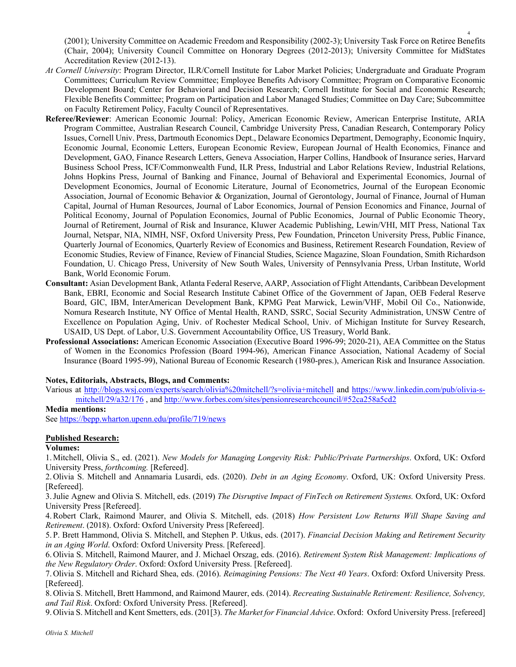(2001); University Committee on Academic Freedom and Responsibility (2002-3); University Task Force on Retiree Benefits (Chair, 2004); University Council Committee on Honorary Degrees (2012-2013); University Committee for MidStates Accreditation Review (2012-13).

4

- *At Cornell University*: Program Director, ILR/Cornell Institute for Labor Market Policies; Undergraduate and Graduate Program Committees; Curriculum Review Committee; Employee Benefits Advisory Committee; Program on Comparative Economic Development Board; Center for Behavioral and Decision Research; Cornell Institute for Social and Economic Research; Flexible Benefits Committee; Program on Participation and Labor Managed Studies; Committee on Day Care; Subcommittee on Faculty Retirement Policy, Faculty Council of Representatives.
- **Referee/Reviewer**: American Economic Journal: Policy, American Economic Review, American Enterprise Institute, ARIA Program Committee, Australian Research Council, Cambridge University Press, Canadian Research, Contemporary Policy Issues, Cornell Univ. Press, Dartmouth Economics Dept., Delaware Economics Department, Demography, Economic Inquiry, Economic Journal, Economic Letters, European Economic Review, European Journal of Health Economics, Finance and Development, GAO, Finance Research Letters, Geneva Association, Harper Collins, Handbook of Insurance series, Harvard Business School Press, ICF/Commonwealth Fund, ILR Press, Industrial and Labor Relations Review, Industrial Relations, Johns Hopkins Press, Journal of Banking and Finance, Journal of Behavioral and Experimental Economics, Journal of Development Economics, Journal of Economic Literature, Journal of Econometrics, Journal of the European Economic Association, Journal of Economic Behavior & Organization, Journal of Gerontology, Journal of Finance, Journal of Human Capital, Journal of Human Resources, Journal of Labor Economics, Journal of Pension Economics and Finance, Journal of Political Economy, Journal of Population Economics, Journal of Public Economics, Journal of Public Economic Theory, Journal of Retirement, Journal of Risk and Insurance, Kluwer Academic Publishing, Lewin/VHI, MIT Press, National Tax Journal, Netspar, NIA, NIMH, NSF, Oxford University Press, Pew Foundation, Princeton University Press, Public Finance, Quarterly Journal of Economics, Quarterly Review of Economics and Business, Retirement Research Foundation, Review of Economic Studies, Review of Finance, Review of Financial Studies, Science Magazine, Sloan Foundation, Smith Richardson Foundation, U. Chicago Press, University of New South Wales, University of Pennsylvania Press, Urban Institute, World Bank, World Economic Forum.
- **Consultant:** Asian Development Bank, Atlanta Federal Reserve, AARP, Association of Flight Attendants, Caribbean Development Bank, EBRI, Economic and Social Research Institute Cabinet Office of the Government of Japan, OEB Federal Reserve Board, GIC, IBM, InterAmerican Development Bank, KPMG Peat Marwick, Lewin/VHF, Mobil Oil Co., Nationwide, Nomura Research Institute, NY Office of Mental Health, RAND, SSRC, Social Security Administration, UNSW Centre of Excellence on Population Aging, Univ. of Rochester Medical School, Univ. of Michigan Institute for Survey Research, USAID, US Dept. of Labor, U.S. Government Accountability Office, US Treasury, World Bank.
- **Professional Associations:** American Economic Association (Executive Board 1996-99; 2020-21), AEA Committee on the Status of Women in the Economics Profession (Board 1994-96), American Finance Association, National Academy of Social Insurance (Board 1995-99), National Bureau of Economic Research (1980-pres.), American Risk and Insurance Association.

#### **Notes, Editorials, Abstracts, Blogs, and Comments:**

Various at http://blogs.wsj.com/experts/search/olivia%20mitchell/?s=olivia+mitchell and https://www.linkedin.com/pub/olivia-smitchell/29/a32/176 , and http://www.forbes.com/sites/pensionresearchcouncil/#52ca258a5cd2

### **Media mentions:**

See https://bepp.wharton.upenn.edu/profile/719/news

### **Published Research:**

#### **Volumes:**

1.Mitchell, Olivia S., ed. (2021). *New Models for Managing Longevity Risk: Public/Private Partnerships*. Oxford, UK: Oxford University Press, *forthcoming.* [Refereed].

2. Olivia S. Mitchell and Annamaria Lusardi, eds. (2020). *Debt in an Aging Economy*. Oxford, UK: Oxford University Press. [Refereed].

3.Julie Agnew and Olivia S. Mitchell, eds. (2019) *The Disruptive Impact of FinTech on Retirement Systems.* Oxford, UK: Oxford University Press [Refereed].

4.Robert Clark, Raimond Maurer, and Olivia S. Mitchell, eds. (2018) *How Persistent Low Returns Will Shape Saving and Retirement*. (2018). Oxford: Oxford University Press [Refereed].

5. P. Brett Hammond, Olivia S. Mitchell, and Stephen P. Utkus, eds. (2017). *Financial Decision Making and Retirement Security in an Aging World*. Oxford: Oxford University Press. [Refereed].

6. Olivia S. Mitchell, Raimond Maurer, and J. Michael Orszag, eds. (2016). *Retirement System Risk Management: Implications of the New Regulatory Order*. Oxford: Oxford University Press. [Refereed].

7. Olivia S. Mitchell and Richard Shea, eds. (2016). *Reimagining Pensions: The Next 40 Years*. Oxford: Oxford University Press. [Refereed].

8. Olivia S. Mitchell, Brett Hammond, and Raimond Maurer, eds. (2014). *Recreating Sustainable Retirement: Resilience, Solvency, and Tail Risk*. Oxford: Oxford University Press. [Refereed].

9. Olivia S. Mitchell and Kent Smetters, eds. (201[3). *The Market for Financial Advice*. Oxford: Oxford University Press. [refereed]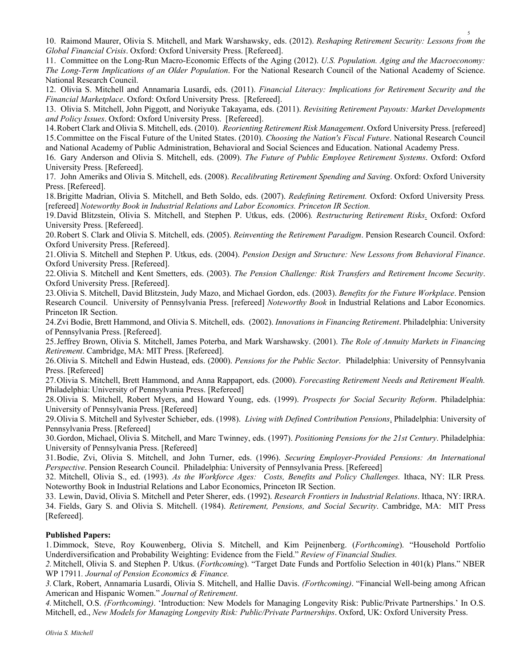10. Raimond Maurer, Olivia S. Mitchell, and Mark Warshawsky, eds. (2012). *Reshaping Retirement Security: Lessons from the Global Financial Crisis*. Oxford: Oxford University Press. [Refereed].

11. Committee on the Long-Run Macro-Economic Effects of the Aging (2012). *U.S. Population. Aging and the Macroeconomy: The Long-Term Implications of an Older Population*. For the National Research Council of the National Academy of Science. National Research Council.

12. Olivia S. Mitchell and Annamaria Lusardi, eds. (2011). *Financial Literacy: Implications for Retirement Security and the Financial Marketplace*. Oxford: Oxford University Press. [Refereed].

13. Olivia S. Mitchell, John Piggott, and Noriyuke Takayama, eds. (2011). *Revisiting Retirement Payouts: Market Developments and Policy Issues*. Oxford: Oxford University Press. [Refereed].

14.Robert Clark and Olivia S. Mitchell, eds. (2010). *Reorienting Retirement Risk Management*. Oxford University Press. [refereed] 15.Committee on the Fiscal Future of the United States. (2010). *Choosing the Nation's Fiscal Future*. National Research Council and National Academy of Public Administration, Behavioral and Social Sciences and Education. National Academy Press.

16. Gary Anderson and Olivia S. Mitchell, eds. (2009). *The Future of Public Employee Retirement Systems*. Oxford: Oxford University Press. [Refereed].

17. John Ameriks and Olivia S. Mitchell, eds. (2008). *Recalibrating Retirement Spending and Saving*. Oxford: Oxford University Press. [Refereed].

18.Brigitte Madrian, Olivia S. Mitchell, and Beth Soldo, eds. (2007). *Redefining Retirement.* Oxford: Oxford University Press*.* [refereed] *Noteworthy Book in Industrial Relations and Labor Economics. Princeton IR Section.*

19.David Blitzstein, Olivia S. Mitchell, and Stephen P. Utkus, eds. (2006)*. Restructuring Retirement Risks*. Oxford: Oxford University Press. [Refereed].

20.Robert S. Clark and Olivia S. Mitchell, eds. (2005). *Reinventing the Retirement Paradigm*. Pension Research Council. Oxford: Oxford University Press. [Refereed].

21.Olivia S. Mitchell and Stephen P. Utkus, eds. (2004). *Pension Design and Structure: New Lessons from Behavioral Finance*. Oxford University Press. [Refereed].

22.Olivia S. Mitchell and Kent Smetters, eds. (2003). *The Pension Challenge: Risk Transfers and Retirement Income Security*. Oxford University Press. [Refereed].

23.Olivia S. Mitchell, David Blitzstein, Judy Mazo, and Michael Gordon, eds. (2003). *Benefits for the Future Workplace*. Pension Research Council. University of Pennsylvania Press. [refereed] *Noteworthy Book* in Industrial Relations and Labor Economics. Princeton IR Section.

24.Zvi Bodie, Brett Hammond, and Olivia S. Mitchell, eds. (2002). *Innovations in Financing Retirement*. Philadelphia: University of Pennsylvania Press. [Refereed].

25.Jeffrey Brown, Olivia S. Mitchell, James Poterba, and Mark Warshawsky. (2001). *The Role of Annuity Markets in Financing Retirement*. Cambridge, MA: MIT Press. [Refereed].

26.Olivia S. Mitchell and Edwin Hustead, eds. (2000). *Pensions for the Public Sector*. Philadelphia: University of Pennsylvania Press. [Refereed]

27.Olivia S. Mitchell, Brett Hammond, and Anna Rappaport, eds. (2000). *Forecasting Retirement Needs and Retirement Wealth.* Philadelphia: University of Pennsylvania Press. [Refereed]

28.Olivia S. Mitchell, Robert Myers, and Howard Young, eds. (1999). *Prospects for Social Security Reform*. Philadelphia: University of Pennsylvania Press. [Refereed]

29.Olivia S. Mitchell and Sylvester Schieber, eds. (1998). *Living with Defined Contribution Pensions*. Philadelphia: University of Pennsylvania Press. [Refereed]

30.Gordon, Michael, Olivia S. Mitchell, and Marc Twinney, eds. (1997). *Positioning Pensions for the 21st Century*. Philadelphia: University of Pennsylvania Press. [Refereed]

31.Bodie, Zvi, Olivia S. Mitchell, and John Turner, eds. (1996). *Securing Employer-Provided Pensions: An International Perspective*. Pension Research Council. Philadelphia: University of Pennsylvania Press. [Refereed]

32. Mitchell, Olivia S., ed. (1993). *As the Workforce Ages: Costs, Benefits and Policy Challenges.* Ithaca, NY: ILR Press*.*  Noteworthy Book in Industrial Relations and Labor Economics, Princeton IR Section.

33. Lewin, David, Olivia S. Mitchell and Peter Sherer, eds. (1992). *Research Frontiers in Industrial Relations*. Ithaca, NY: IRRA. 34. Fields, Gary S. and Olivia S. Mitchell. (1984). *Retirement, Pensions, and Social Security*. Cambridge, MA: MIT Press [Refereed].

## **Published Papers:**

1. Dimmock, Steve, Roy Kouwenberg, Olivia S. Mitchell, and Kim Peijnenberg. (*Forthcoming*). "Household Portfolio Underdiversification and Probability Weighting: Evidence from the Field." *Review of Financial Studies.*

*2.*Mitchell, Olivia S. and Stephen P. Utkus. (*Forthcoming*). "Target Date Funds and Portfolio Selection in 401(k) Plans." NBER WP 17911*. Journal of Pension Economics & Finance.* 

*3.*Clark, Robert, Annamaria Lusardi, Olivia S. Mitchell, and Hallie Davis. *(Forthcoming)*. "Financial Well-being among African American and Hispanic Women." *Journal of Retirement*.

*4.*Mitchell, O.S. *(Forthcoming)*. 'Introduction: New Models for Managing Longevity Risk: Public/Private Partnerships.' In O.S. Mitchell, ed., *New Models for Managing Longevity Risk: Public/Private Partnerships*. Oxford, UK: Oxford University Press.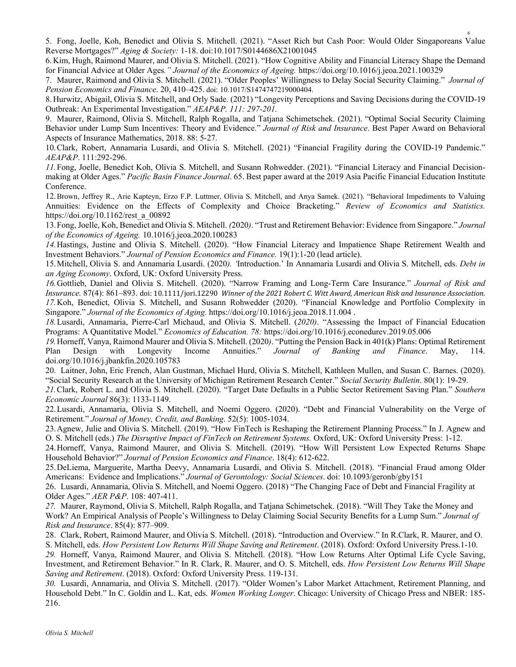5. Fong, Joelle, Koh, Benedict and Olivia S. Mitchell. (2021). "Asset Rich but Cash Poor: Would Older Singaporeans Value Reverse Mortgages?" *Aging & Society:* 1-18. doi:10.1017/S0144686X21001045

6. Kim, Hugh, Raimond Maurer, and Olivia S. Mitchell. (2021). "How Cognitive Ability and Financial Literacy Shape the Demand for Financial Advice at Older Ages*." Journal of the Economics of Ageing.* https://doi.org/10.1016/j.jeoa.2021.100329

7. Maurer, Raimond and Olivia S. Mitchell. (2021). "Older Peoples' Willingness to Delay Social Security Claiming." *Journal of Pension Economics and Finance*. 20, 410–425. doi: 10.1017/S1474747219000404.

8. Hurwitz, Abigail, Olivia S. Mitchell, and Orly Sade. (2021) "Longevity Perceptions and Saving Decisions during the COVID-19 Outbreak: An Experimental Investigation." *AEAP&P. 111: 297-201.*

9. Maurer, Raimond, Olivia S. Mitchell, Ralph Rogalla, and Tatjana Schimetschek. (2021). "Optimal Social Security Claiming Behavior under Lump Sum Incentives: Theory and Evidence." *Journal of Risk and Insurance*. Best Paper Award on Behavioral Aspects of Insurance Mathematics, 2018. 88: 5-27.

10.Clark, Robert, Annamaria Lusardi, and Olivia S. Mitchell. (2021) "Financial Fragility during the COVID-19 Pandemic." *AEAP&P*. 111:292-296.

*11.*Fong, Joelle, Benedict Koh, Olivia S. Mitchell, and Susann Rohwedder. (2021). "Financial Literacy and Financial Decisionmaking at Older Ages." *Pacific Basin Finance Journal*. 65. Best paper award at the 2019 Asia Pacific Financial Education Institute Conference.

12.Brown, Jeffrey R., Arie Kapteyn, Erzo F.P. Luttmer, Olivia S. Mitchell, and Anya Samek. (2021). "Behavioral Impediments to Valuing Annuities: Evidence on the Effects of Complexity and Choice Bracketing." *Review of Economics and Statistics.*  https://doi.org/10.1162/rest\_a\_00892

13.Fong, Joelle, Koh, Benedict and Olivia S. Mitchell. *(*2020*)*. "Trust and Retirement Behavior: Evidence from Singapore." *Journal of the Economics of Ageing.* 10.1016/j.jeoa.2020.100283

*14.*Hastings, Justine and Olivia S. Mitchell. (2020). "How Financial Literacy and Impatience Shape Retirement Wealth and Investment Behaviors." *Journal of Pension Economics and Finance.* 19(1):1-20 (lead article).

15.Mitchell, Olivia S. and Annamaria Lusardi. (2020*). '*Introduction.' In Annamaria Lusardi and Olivia S. Mitchell, eds. *Debt in an Aging Economy*. Oxford, UK: Oxford University Press.

*16.*Gottlieb, Daniel and Olivia S. Mitchell. (2020). "Narrow Framing and Long-Term Care Insurance." *Journal of Risk and*  Insurance, 87(4): 861–893. doi: 10.1111/jori.12290 Winner of the 2021 Robert C. Witt Award, American Risk and Insurance Association. *17.*Koh, Benedict, Olivia S. Mitchell, and Susann Rohwedder (2020). "Financial Knowledge and Portfolio Complexity in Singapore." *Journal of the Economics of Aging.* https://doi.org/10.1016/j.jeoa.2018.11.004 .

*18.*Lusardi, Annamaria, Pierre-Carl Michaud, and Olivia S. Mitchell. (*2020)*. "Assessing the Impact of Financial Education Programs: A Quantitative Model." *Economics of Education. 78:* https://doi.org/10.1016/j.econedurev.2019.05.006

*19.*Horneff, Vanya, Raimond Maurer and Olivia S. Mitchell. (2020*)*. "Putting the Pension Back in 401(k) Plans: Optimal Retirement Plan Design with Longevity Income Annuities." *Journal of Banking and Finance*. May, 114. doi.org/10.1016/j.jbankfin.2020.105783

20. Laitner, John, Eric French, Alan Gustman, Michael Hurd, Olivia S. Mitchell, Kathleen Mullen, and Susan C. Barnes. (2020). "Social Security Research at the University of Michigan Retirement Research Center." *Social Security Bulletin*. 80(1): 19-29.

*21.*Clark, Robert L. and Olivia S. Mitchell. (2020). "Target Date Defaults in a Public Sector Retirement Saving Plan." *Southern Economic Journal* 86(3): 1133-1149.

22.Lusardi, Annamaria, Olivia S. Mitchell, and Noemi Oggero. (2020). "Debt and Financial Vulnerability on the Verge of Retirement." *Journal of Money, Credit, and Banking*. 52(5): 1005-1034.

23.Agnew, Julie and Olivia S. Mitchell. (2019). "How FinTech is Reshaping the Retirement Planning Process." In J. Agnew and O. S. Mitchell (eds.) *The Disruptive Impact of FinTech on Retirement Systems.* Oxford, UK: Oxford University Press: 1-12.

24.Horneff, Vanya, Raimond Maurer, and Olivia S. Mitchell. (2019). "How Will Persistent Low Expected Returns Shape Household Behavior?" *Journal of Pension Economics and Finance*. 18(4): 612-622.

25.DeLiema, Marguerite, Martha Deevy, Annamaria Lusardi, and Olivia S. Mitchell. (2018). "Financial Fraud among Older Americans: Evidence and Implications." *Journal of Gerontology: Social Sciences*. doi: 10.1093/geronb/gby151

26. Lusardi, Annamaria, Olivia S. Mitchell, and Noemi Oggero. (2018) "The Changing Face of Debt and Financial Fragility at Older Ages." *AER P&P*. 108: 407-411.

*27.* Maurer, Raymond, Olivia S. Mitchell, Ralph Rogalla, and Tatjana Schimetschek. (2018). "Will They Take the Money and Work? An Empirical Analysis of People's Willingness to Delay Claiming Social Security Benefits for a Lump Sum." *Journal of Risk and Insurance*. 85(4): 877–909.

28. Clark, Robert, Raimond Maurer, and Olivia S. Mitchell. (2018). "Introduction and Overview." In R.Clark, R. Maurer, and O. S. Mitchell, eds. *How Persistent Low Returns Will Shape Saving and Retirement*. (2018). Oxford: Oxford University Press.1-10.

*29.* Horneff, Vanya, Raimond Maurer, and Olivia S. Mitchell. (2018). "How Low Returns Alter Optimal Life Cycle Saving, Investment, and Retirement Behavior." In R. Clark, R. Maurer, and O. S. Mitchell, eds. *How Persistent Low Returns Will Shape Saving and Retirement*. (2018). Oxford: Oxford University Press. 119-131.

*30.* Lusardi, Annamaria, and Olivia S. Mitchell. (2017). "Older Women's Labor Market Attachment, Retirement Planning, and Household Debt." In C. Goldin and L. Kat, eds. *Women Working Longer*. Chicago: University of Chicago Press and NBER: 185- 216.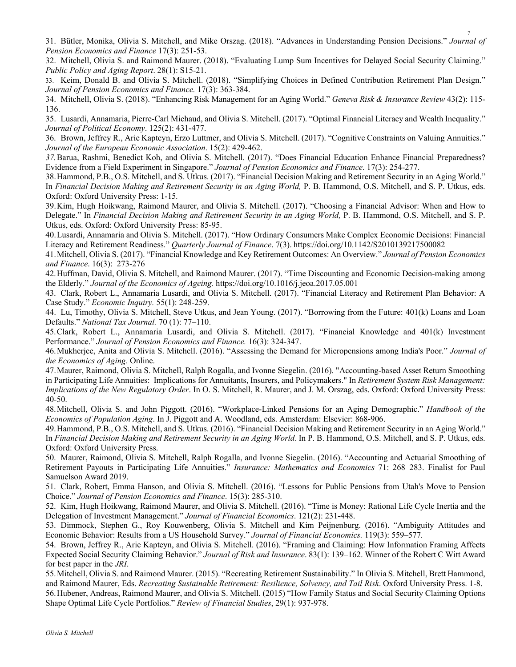31. Bütler, Monika, Olivia S. Mitchell, and Mike Orszag. (2018). "Advances in Understanding Pension Decisions." *Journal of Pension Economics and Finance* 17(3): 251-53.

32. Mitchell, Olivia S. and Raimond Maurer. (2018). "Evaluating Lump Sum Incentives for Delayed Social Security Claiming." *Public Policy and Aging Report*. 28(1): S15-21.

33. Keim, Donald B. and Olivia S. Mitchell. (2018). "Simplifying Choices in Defined Contribution Retirement Plan Design." *Journal of Pension Economics and Finance.* 17(3): 363-384.

34. Mitchell, Olivia S. (2018). "Enhancing Risk Management for an Aging World." *Geneva Risk & Insurance Review* 43(2): 115- 136.

35. Lusardi, Annamaria, Pierre-Carl Michaud, and Olivia S. Mitchell. (2017). "Optimal Financial Literacy and Wealth Inequality." *Journal of Political Economy*. 125(2): 431-477.

36. Brown, Jeffrey R., Arie Kapteyn, Erzo Luttmer, and Olivia S. Mitchell. (2017). "Cognitive Constraints on Valuing Annuities." *Journal of the European Economic Association*. 15(2): 429-462.

*37.*Barua, Rashmi, Benedict Koh, and Olivia S. Mitchell. (2017). "Does Financial Education Enhance Financial Preparedness? Evidence from a Field Experiment in Singapore." *Journal of Pension Economics and Finance*. 17(3): 254-277.

38.Hammond, P.B., O.S. Mitchell, and S. Utkus. (2017). "Financial Decision Making and Retirement Security in an Aging World." In *Financial Decision Making and Retirement Security in an Aging World,* P. B. Hammond, O.S. Mitchell, and S. P. Utkus, eds. Oxford: Oxford University Press: 1-15*.*

39.Kim, Hugh Hoikwang, Raimond Maurer, and Olivia S. Mitchell. (2017). "Choosing a Financial Advisor: When and How to Delegate." In *Financial Decision Making and Retirement Security in an Aging World,* P. B. Hammond, O.S. Mitchell, and S. P. Utkus, eds. Oxford: Oxford University Press: 85-95.

40.Lusardi, Annamaria and Olivia S. Mitchell. (2017). "How Ordinary Consumers Make Complex Economic Decisions: Financial Literacy and Retirement Readiness." *Quarterly Journal of Finance*. 7(3). https://doi.org/10.1142/S2010139217500082

41.Mitchell, Olivia S. (2017). "Financial Knowledge and Key Retirement Outcomes: An Overview." *Journal of Pension Economics and Finance*. 16(3): 273-276

42.Huffman, David, Olivia S. Mitchell, and Raimond Maurer. (2017). "Time Discounting and Economic Decision-making among the Elderly." *Journal of the Economics of Ageing.* https://doi.org/10.1016/j.jeoa.2017.05.001

43. Clark, Robert L., Annamaria Lusardi, and Olivia S. Mitchell. (2017). "Financial Literacy and Retirement Plan Behavior: A Case Study." *Economic Inquiry.* 55(1): 248-259.

44. Lu, Timothy, Olivia S. Mitchell, Steve Utkus, and Jean Young. (2017). "Borrowing from the Future: 401(k) Loans and Loan Defaults." *National Tax Journal.* 70 (1): 77–110.

45.Clark, Robert L., Annamaria Lusardi, and Olivia S. Mitchell. (2017). "Financial Knowledge and 401(k) Investment Performance." *Journal of Pension Economics and Finance.* 16(3): 324-347.

46.Mukherjee, Anita and Olivia S. Mitchell. (2016). "Assessing the Demand for Micropensions among India's Poor." *Journal of the Economics of Aging.* Online.

47.Maurer, Raimond, Olivia S. Mitchell, Ralph Rogalla, and Ivonne Siegelin. (2016). "Accounting-based Asset Return Smoothing in Participating Life Annuities: Implications for Annuitants, Insurers, and Policymakers." In *Retirement System Risk Management: Implications of the New Regulatory Order*. In O. S. Mitchell, R. Maurer, and J. M. Orszag, eds. Oxford: Oxford University Press: 40-50.

48.Mitchell, Olivia S. and John Piggott. (2016). "Workplace-Linked Pensions for an Aging Demographic." *Handbook of the Economics of Population Aging*. In J. Piggott and A. Woodland, eds. Amsterdam: Elsevier: 868-906.

49.Hammond, P.B., O.S. Mitchell, and S. Utkus. (2016). "Financial Decision Making and Retirement Security in an Aging World." In *Financial Decision Making and Retirement Security in an Aging World.* In P. B. Hammond, O.S. Mitchell, and S. P. Utkus, eds. Oxford: Oxford University Press.

50. Maurer, Raimond, Olivia S. Mitchell, Ralph Rogalla, and Ivonne Siegelin. (2016). "Accounting and Actuarial Smoothing of Retirement Payouts in Participating Life Annuities." *Insurance: Mathematics and Economics* 71: 268–283. Finalist for Paul Samuelson Award 2019.

51. Clark, Robert, Emma Hanson, and Olivia S. Mitchell. (2016). "Lessons for Public Pensions from Utah's Move to Pension Choice." *Journal of Pension Economics and Finance*. 15(3): 285-310.

52. Kim, Hugh Hoikwang, Raimond Maurer, and Olivia S. Mitchell. (2016). "Time is Money: Rational Life Cycle Inertia and the Delegation of Investment Management." *Journal of Financial Economics*. 121(2): 231-448.

53. Dimmock, Stephen G., Roy Kouwenberg, Olivia S. Mitchell and Kim Peijnenburg. (2016). "Ambiguity Attitudes and Economic Behavior: Results from a US Household Survey." *Journal of Financial Economics.* 119(3): 559–577*.*

54. Brown, Jeffrey R., Arie Kapteyn, and Olivia S. Mitchell. (2016). "Framing and Claiming: How Information Framing Affects Expected Social Security Claiming Behavior." *Journal of Risk and Insurance*. 83(1): 139–162. Winner of the Robert C Witt Award for best paper in the *JRI*.

55.Mitchell, Olivia S. and Raimond Maurer. (2015). "Recreating Retirement Sustainability." In Olivia S. Mitchell, Brett Hammond, and Raimond Maurer, Eds. *Recreating Sustainable Retirement: Resilience, Solvency, and Tail Risk*. Oxford University Press. 1-8. 56.Hubener, Andreas, Raimond Maurer, and Olivia S. Mitchell. (2015) "How Family Status and Social Security Claiming Options Shape Optimal Life Cycle Portfolios." *Review of Financial Studies*, 29(1): 937-978.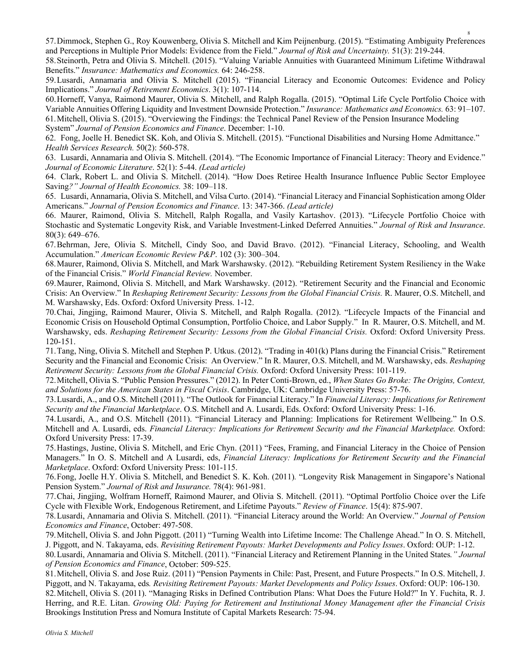57.Dimmock, Stephen G., Roy Kouwenberg, Olivia S. Mitchell and Kim Peijnenburg. (2015). "Estimating Ambiguity Preferences and Perceptions in Multiple Prior Models: Evidence from the Field." *Journal of Risk and Uncertainty.* 51(3): 219-244.

58.Steinorth, Petra and Olivia S. Mitchell. (2015). "Valuing Variable Annuities with Guaranteed Minimum Lifetime Withdrawal Benefits." *Insurance: Mathematics and Economics.* 64: 246-258.

59.Lusardi, Annamaria and Olivia S. Mitchell (2015). "Financial Literacy and Economic Outcomes: Evidence and Policy Implications." *Journal of Retirement Economics*. 3(1): 107-114.

60.Horneff, Vanya, Raimond Maurer, Olivia S. Mitchell, and Ralph Rogalla. (2015). "Optimal Life Cycle Portfolio Choice with Variable Annuities Offering Liquidity and Investment Downside Protection." *Insurance: Mathematics and Economics.* 63: 91–107. 61.Mitchell, Olivia S. (2015). "Overviewing the Findings: the Technical Panel Review of the Pension Insurance Modeling System" *Journal of Pension Economics and Finance*. December: 1-10.

62. Fong, Joelle H. Benedict SK. Koh, and Olivia S. Mitchell. (2015). "Functional Disabilities and Nursing Home Admittance." *Health Services Research.* 50(2): 560-578.

63. Lusardi, Annamaria and Olivia S. Mitchell. (2014). "The Economic Importance of Financial Literacy: Theory and Evidence." *Journal of Economic Literature*. 52(1): 5-44. *(Lead article)*

64. Clark, Robert L. and Olivia S. Mitchell. (2014). "How Does Retiree Health Insurance Influence Public Sector Employee Saving*?" Journal of Health Economics.* 38: 109–118.

65. Lusardi, Annamaria, Olivia S. Mitchell, and Vilsa Curto. (2014). "Financial Literacy and Financial Sophistication among Older Americans." *Journal of Pension Economics and Finance*. 13: 347-366. *(Lead article)*

66. Maurer, Raimond, Olivia S. Mitchell, Ralph Rogalla, and Vasily Kartashov. (2013). "Lifecycle Portfolio Choice with Stochastic and Systematic Longevity Risk, and Variable Investment-Linked Deferred Annuities." *Journal of Risk and Insurance*. 80(3): 649–676.

67.Behrman, Jere, Olivia S. Mitchell, Cindy Soo, and David Bravo. (2012). "Financial Literacy, Schooling, and Wealth Accumulation." *American Economic Review P&P*. 102 (3): 300–304.

68.Maurer, Raimond, Olivia S. Mitchell, and Mark Warshawsky. (2012). "Rebuilding Retirement System Resiliency in the Wake of the Financial Crisis." *World Financial Review.* November.

69.Maurer, Raimond, Olivia S. Mitchell, and Mark Warshawsky. (2012). "Retirement Security and the Financial and Economic Crisis: An Overview." In *Reshaping Retirement Security: Lessons from the Global Financial Crisis.* R. Maurer, O.S. Mitchell, and M. Warshawsky, Eds. Oxford: Oxford University Press. 1-12.

70.Chai, Jingjing, Raimond Maurer, Olivia S. Mitchell, and Ralph Rogalla. (2012). "Lifecycle Impacts of the Financial and Economic Crisis on Household Optimal Consumption, Portfolio Choice, and Labor Supply." In R. Maurer, O.S. Mitchell, and M. Warshawsky, eds. *Reshaping Retirement Security: Lessons from the Global Financial Crisis.* Oxford: Oxford University Press. 120-151.

71.Tang, Ning, Olivia S. Mitchell and Stephen P. Utkus. (2012). "Trading in 401(k) Plans during the Financial Crisis." Retirement Security and the Financial and Economic Crisis: An Overview." In R. Maurer, O.S. Mitchell, and M. Warshawsky, eds. *Reshaping Retirement Security: Lessons from the Global Financial Crisis.* Oxford: Oxford University Press: 101-119.

72.Mitchell, Olivia S. "Public Pension Pressures." (2012). In Peter Conti-Brown, ed., *When States Go Broke: The Origins, Context, and Solutions for the American States in Fiscal Crisis*. Cambridge, UK: Cambridge University Press: 57-76.

73.Lusardi, A., and O.S. Mitchell (2011). "The Outlook for Financial Literacy." In *Financial Literacy: Implications for Retirement Security and the Financial Marketplace*. O.S. Mitchell and A. Lusardi, Eds. Oxford: Oxford University Press: 1-16.

74.Lusardi, A., and O.S. Mitchell (2011). "Financial Literacy and Planning: Implications for Retirement Wellbeing." In O.S. Mitchell and A. Lusardi, eds. *Financial Literacy: Implications for Retirement Security and the Financial Marketplace.* Oxford: Oxford University Press: 17-39.

75.Hastings, Justine, Olivia S. Mitchell, and Eric Chyn. (2011) "Fees, Framing, and Financial Literacy in the Choice of Pension Managers." In O. S. Mitchell and A Lusardi, eds, *Financial Literacy: Implications for Retirement Security and the Financial Marketplace*. Oxford: Oxford University Press: 101-115.

76.Fong, Joelle H.Y. Olivia S. Mitchell, and Benedict S. K. Koh. (2011)*.* "Longevity Risk Management in Singapore's National Pension System." *Journal of Risk and Insurance.* 78(4): 961-981*.*

77.Chai, Jingjing, Wolfram Horneff, Raimond Maurer, and Olivia S. Mitchell. (2011). "Optimal Portfolio Choice over the Life Cycle with Flexible Work, Endogenous Retirement, and Lifetime Payouts." *Review of Finance*. 15(4): 875-907.

78.Lusardi, Annamaria and Olivia S. Mitchell. (2011). "Financial Literacy around the World: An Overview." *Journal of Pension Economics and Finance*, October: 497-508.

79.Mitchell, Olivia S. and John Piggott. (2011) "Turning Wealth into Lifetime Income: The Challenge Ahead." In O. S. Mitchell, J. Piggott, and N. Takayama, eds. *Revisiting Retirement Payouts: Market Developments and Policy Issues*. Oxford: OUP: 1-12.

80.Lusardi, Annamaria and Olivia S. Mitchell. (2011). "Financial Literacy and Retirement Planning in the United States*." Journal of Pension Economics and Finance*, October: 509-525.

81.Mitchell, Olivia S. and Jose Ruiz. (2011) "Pension Payments in Chile: Past, Present, and Future Prospects." In O.S. Mitchell, J. Piggott, and N. Takayama, eds*. Revisiting Retirement Payouts: Market Developments and Policy Issues*. Oxford: OUP: 106-130.

82.Mitchell, Olivia S. (2011). "Managing Risks in Defined Contribution Plans: What Does the Future Hold?" In Y. Fuchita, R. J. Herring, and R.E. Litan. *Growing Old: Paying for Retirement and Institutional Money Management after the Financial Crisis* Brookings Institution Press and Nomura Institute of Capital Markets Research: 75-94.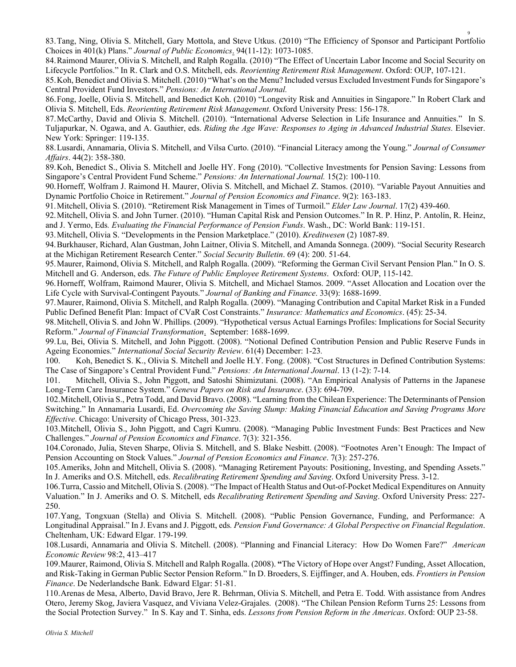83.Tang, Ning, Olivia S. Mitchell, Gary Mottola, and Steve Utkus. (2010) "The Efficiency of Sponsor and Participant Portfolio Choices in 401(k) Plans." *Journal of Public Economics*. 94(11-12): 1073-1085.

84.Raimond Maurer, Olivia S. Mitchell, and Ralph Rogalla. (2010) "The Effect of Uncertain Labor Income and Social Security on Lifecycle Portfolios." In R. Clark and O.S. Mitchell, eds. *Reorienting Retirement Risk Management*. Oxford: OUP, 107-121.

85.Koh, Benedict and Olivia S. Mitchell. (2010) "What's on the Menu? Included versus Excluded Investment Funds for Singapore's Central Provident Fund Investors." *Pensions: An International Journal.* 

86.Fong, Joelle, Olivia S. Mitchell, and Benedict Koh. (2010) "Longevity Risk and Annuities in Singapore." In Robert Clark and Olivia S. Mitchell, Eds. *Reorienting Retirement Risk Management*. Oxford University Press: 156-178.

87.McCarthy, David and Olivia S. Mitchell. (2010). "International Adverse Selection in Life Insurance and Annuities." In S. Tuljapurkar, N. Ogawa, and A. Gauthier, eds. *Riding the Age Wave: Responses to Aging in Advanced Industrial States.* Elsevier. New York: Springer: 119-135.

88.Lusardi, Annamaria, Olivia S. Mitchell, and Vilsa Curto. (2010). "Financial Literacy among the Young." *Journal of Consumer Affairs*. 44(2): 358-380.

89.Koh, Benedict S., Olivia S. Mitchell and Joelle HY. Fong (2010). "Collective Investments for Pension Saving: Lessons from Singapore's Central Provident Fund Scheme." *Pensions: An International Journal.* 15(2): 100-110.

90.Horneff, Wolfram J. Raimond H. Maurer, Olivia S. Mitchell, and Michael Z. Stamos. (2010). "Variable Payout Annuities and Dynamic Portfolio Choice in Retirement." *Journal of Pension Economics and Finance*. 9(2): 163-183.

91.Mitchell, Olivia S. (2010). "Retirement Risk Management in Times of Turmoil." *Elder Law Journal*. 17(2) 439-460.

92.Mitchell, Olivia S. and John Turner. (2010). "Human Capital Risk and Pension Outcomes." In R. P. Hinz, P. Antolín, R. Heinz, and J. Yermo, Eds*. Evaluating the Financial Performance of Pension Funds*. Wash., DC: World Bank: 119-151.

93.Mitchell, Olivia S. "Developments in the Pension Marketplace." (2010). *Kreditwesen* (2) 1087-89.

94.Burkhauser, Richard, Alan Gustman, John Laitner, Olivia S. Mitchell, and Amanda Sonnega. (2009). "Social Security Research at the Michigan Retirement Research Center." *Social Security Bulletin*. 69 (4): 200. 51-64.

95.Maurer, Raimond, Olivia S. Mitchell, and Ralph Rogalla. (2009). "Reforming the German Civil Servant Pension Plan." In O. S. Mitchell and G. Anderson, eds. *The Future of Public Employee Retirement Systems*. Oxford: OUP, 115-142.

96.Horneff, Wolfram, Raimond Maurer, Olivia S. Mitchell, and Michael Stamos. 2009. "Asset Allocation and Location over the Life Cycle with Survival-Contingent Payouts." *Journal of Banking and Finance*. 33(9): 1688-1699.

97.Maurer, Raimond, Olivia S. Mitchell, and Ralph Rogalla. (2009). "Managing Contribution and Capital Market Risk in a Funded Public Defined Benefit Plan: Impact of CVaR Cost Constraints." *Insurance: Mathematics and Economics*. (45): 25-34.

98.Mitchell, Olivia S. and John W. Phillips. (2009). "Hypothetical versus Actual Earnings Profiles: Implications for Social Security Reform." *Journal of Financial Transformation*.September: 1688-1699.

99.Lu, Bei, Olivia S. Mitchell, and John Piggott. (2008). "Notional Defined Contribution Pension and Public Reserve Funds in Ageing Economies." *International Social Security Review*. 61(4) December: 1-23*.*

100. Koh, Benedict S. K., Olivia S. Mitchell and Joelle H.Y. Fong. (2008). "Cost Structures in Defined Contribution Systems: The Case of Singapore's Central Provident Fund." *Pensions: An International Journal*. 13 (1-2): 7-14*.*

101. Mitchell, Olivia S., John Piggott, and Satoshi Shimizutani. (2008). "An Empirical Analysis of Patterns in the Japanese Long-Term Care Insurance System." *Geneva Papers on Risk and Insurance*. (33): 694-709.

102.Mitchell, Olivia S., Petra Todd, and David Bravo. (2008). "Learning from the Chilean Experience: The Determinants of Pension Switching." In Annamaria Lusardi, Ed. *Overcoming the Saving Slump: Making Financial Education and Saving Programs More Effective*. Chicago: University of Chicago Press, 301-323.

103.Mitchell, Olivia S., John Piggott, and Cagri Kumru. (2008). "Managing Public Investment Funds: Best Practices and New Challenges." *Journal of Pension Economics and Finance*. 7(3): 321-356.

104.Coronado, Julia, Steven Sharpe, Olivia S. Mitchell, and S. Blake Nesbitt. (2008). "Footnotes Aren't Enough: The Impact of Pension Accounting on Stock Values." *Journal of Pension Economics and Finance*. 7(3): 257-276.

105.Ameriks, John and Mitchell, Olivia S. (2008). "Managing Retirement Payouts: Positioning, Investing, and Spending Assets." In J. Ameriks and O.S. Mitchell, eds. *Recalibrating Retirement Spending and Saving*. Oxford University Press. 3-12.

106.Turra, Cassio and Mitchell, Olivia S. (2008). "The Impact of Health Status and Out-of-Pocket Medical Expenditures on Annuity Valuation." In J. Ameriks and O. S. Mitchell, eds *Recalibrating Retirement Spending and Saving*. Oxford University Press: 227- 250.

107.Yang, Tongxuan (Stella) and Olivia S. Mitchell. (2008). "Public Pension Governance, Funding, and Performance: A Longitudinal Appraisal." In J. Evans and J. Piggott, eds*. Pension Fund Governance: A Global Perspective on Financial Regulation*. Cheltenham, UK: Edward Elgar. 179-199*.*

108.Lusardi, Annamaria and Olivia S. Mitchell. (2008). "Planning and Financial Literacy: How Do Women Fare?" *American Economic Review* 98:2, 413–417

109.Maurer, Raimond, Olivia S. Mitchell and Ralph Rogalla. (2008). **"**The Victory of Hope over Angst? Funding, Asset Allocation, and Risk-Taking in German Public Sector Pension Reform." In D. Broeders, S. Eijffinger, and A. Houben, eds. *Frontiers in Pension Finance*. De Nederlandsche Bank. Edward Elgar: 51-81.

110.Arenas de Mesa, Alberto, David Bravo, Jere R. Behrman, Olivia S. Mitchell, and Petra E. Todd. With assistance from Andres Otero, Jeremy Skog, Javiera Vasquez, and Viviana Velez-Grajales. (2008). "The Chilean Pension Reform Turns 25: Lessons from the Social Protection Survey." In S. Kay and T. Sinha, eds. *Lessons from Pension Reform in the Americas*. Oxford: OUP 23-58.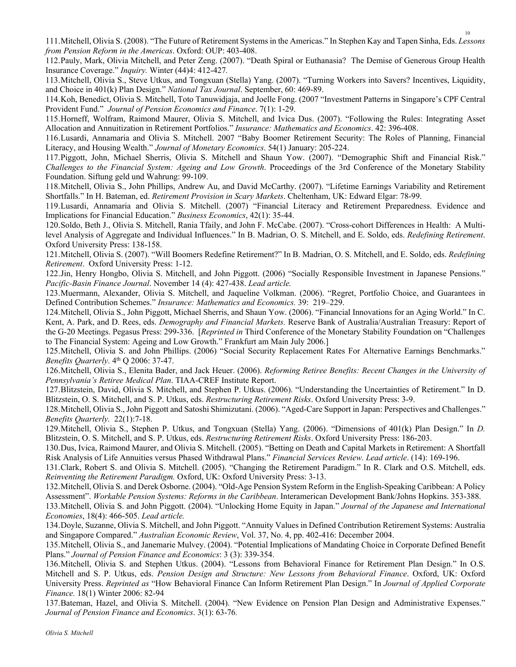111.Mitchell, Olivia S. (2008). "The Future of Retirement Systems in the Americas." In Stephen Kay and Tapen Sinha, Eds. *Lessons from Pension Reform in the Americas*. Oxford: OUP: 403-408.

112.Pauly, Mark, Olivia Mitchell, and Peter Zeng. (2007). "Death Spiral or Euthanasia? The Demise of Generous Group Health Insurance Coverage." *Inquiry.* Winter (44)4: 412-427*.*

113.Mitchell, Olivia S., Steve Utkus, and Tongxuan (Stella) Yang. (2007). "Turning Workers into Savers? Incentives, Liquidity, and Choice in 401(k) Plan Design." *National Tax Journal*. September, 60: 469-89.

114.Koh, Benedict, Olivia S. Mitchell, Toto Tanuwidjaja, and Joelle Fong. (2007 "Investment Patterns in Singapore's CPF Central Provident Fund." *Journal of Pension Economics and Finance*. 7(1): 1-29.

115.Horneff, Wolfram, Raimond Maurer, Olivia S. Mitchell, and Ivica Dus. (2007). "Following the Rules: Integrating Asset Allocation and Annuitization in Retirement Portfolios." *Insurance: Mathematics and Economics*. 42: 396-408.

116.Lusardi, Annamaria and Olivia S. Mitchell. 2007 "Baby Boomer Retirement Security: The Roles of Planning, Financial Literacy, and Housing Wealth." *Journal of Monetary Economics*. 54(1) January: 205-224.

117.Piggott, John, Michael Sherris, Olivia S. Mitchell and Shaun Yow. (2007). "Demographic Shift and Financial Risk." *Challenges to the Financial System: Ageing and Low Growth*. Proceedings of the 3rd Conference of the Monetary Stability Foundation. Siftung geld und Wahrung: 99-109.

118.Mitchell, Olivia S., John Phillips, Andrew Au, and David McCarthy. (2007). "Lifetime Earnings Variability and Retirement Shortfalls." In H. Bateman, ed. *Retirement Provision in Scary Markets*. Cheltenham, UK: Edward Elgar: 78-99.

119.Lusardi, Annamaria and Olivia S. Mitchell. (2007) "Financial Literacy and Retirement Preparedness. Evidence and Implications for Financial Education." *Business Economics*, 42(1): 35-44.

120.Soldo, Beth J., Olivia S. Mitchell, Rania Tfaily, and John F. McCabe. (2007). "Cross-cohort Differences in Health: A Multilevel Analysis of Aggregate and Individual Influences." In B. Madrian, O. S. Mitchell, and E. Soldo, eds. *Redefining Retirement*. Oxford University Press: 138-158.

121.Mitchell, Olivia S. (2007). "Will Boomers Redefine Retirement?" In B. Madrian, O. S. Mitchell, and E. Soldo, eds. *Redefining Retirement*. Oxford University Press: 1-12.

122.Jin, Henry Hongbo, Olivia S. Mitchell, and John Piggott. (2006) "Socially Responsible Investment in Japanese Pensions." *Pacific-Basin Finance Journal*. November 14 (4): 427-438. *Lead article.*

123.Muermann, Alexander, Olivia S. Mitchell, and Jaqueline Volkman. (2006). "Regret, Portfolio Choice, and Guarantees in Defined Contribution Schemes." *Insurance: Mathematics and Economics.* 39: 219–229.

124.Mitchell, Olivia S., John Piggott, Michael Sherris, and Shaun Yow. (2006). "Financial Innovations for an Aging World." In C. Kent, A. Park, and D. Rees, eds. *Demography and Financial Markets.* Reserve Bank of Australia/Australian Treasury: Report of the G-20 Meetings. Pegasus Press: 299-336. [*Reprinted in* Third Conference of the Monetary Stability Foundation on "Challenges to The Financial System: Ageing and Low Growth." Frankfurt am Main July 2006.]

125.Mitchell, Olivia S. and John Phillips. (2006) "Social Security Replacement Rates For Alternative Earnings Benchmarks." *Benefits Quarterly*. 4th Q 2006: 37-47.

126.Mitchell, Olivia S., Elenita Bader, and Jack Heuer. (2006). *Reforming Retiree Benefits: Recent Changes in the University of Pennsylvania's Retiree Medical Plan*. TIAA-CREF Institute Report.

127.Blitzstein, David, Olivia S. Mitchell, and Stephen P. Utkus. (2006). "Understanding the Uncertainties of Retirement." In D. Blitzstein, O. S. Mitchell, and S. P. Utkus, eds. *Restructuring Retirement Risks*. Oxford University Press: 3-9.

128.Mitchell, Olivia S., John Piggott and Satoshi Shimizutani. (2006). "Aged-Care Support in Japan: Perspectives and Challenges." *Benefits Quarterly.* 22(1):7-18.

129.Mitchell, Olivia S., Stephen P. Utkus, and Tongxuan (Stella) Yang. (2006). "Dimensions of 401(k) Plan Design." In *D.*  Blitzstein, O. S. Mitchell, and S. P. Utkus, eds. *Restructuring Retirement Risks*. Oxford University Press: 186-203.

130.Dus, Ivica, Raimond Maurer, and Olivia S. Mitchell. (2005). "Betting on Death and Capital Markets in Retirement: A Shortfall Risk Analysis of Life Annuities versus Phased Withdrawal Plans." *Financial Services Review. Lead article*. (14): 169-196.

131.Clark, Robert S. and Olivia S. Mitchell. (2005). "Changing the Retirement Paradigm." In R. Clark and O.S. Mitchell, eds. *Reinventing the Retirement Paradigm.* Oxford, UK: Oxford University Press: 3-13.

132.Mitchell, Olivia S. and Derek Osborne. (2004). "Old-Age Pension System Reform in the English-Speaking Caribbean: A Policy Assessment". *Workable Pension Systems: Reforms in the Caribbean*. Interamerican Development Bank/Johns Hopkins. 353-388.

133.Mitchell, Olivia S. and John Piggott. (2004). "Unlocking Home Equity in Japan." *Journal of the Japanese and International Economies*, 18(4): 466-505. *Lead article.*

134.Doyle, Suzanne, Olivia S. Mitchell, and John Piggott. "Annuity Values in Defined Contribution Retirement Systems: Australia and Singapore Compared." *Australian Economic Review*, Vol. 37, No. 4, pp. 402-416: December 2004.

135.Mitchell, Olivia S., and Janemarie Mulvey. (2004). "Potential Implications of Mandating Choice in Corporate Defined Benefit Plans." *Journal of Pension Finance and Economics*: 3 (3): 339-354.

136.Mitchell, Olivia S. and Stephen Utkus. (2004). "Lessons from Behavioral Finance for Retirement Plan Design." In O.S. Mitchell and S. P. Utkus, eds. *Pension Design and Structure: New Lessons from Behavioral Finance*. Oxford, UK: Oxford University Press. *Reprinted as* "How Behavioral Finance Can Inform Retirement Plan Design." In *Journal of Applied Corporate Finance.* 18(1) Winter 2006: 82-94

137.Bateman, Hazel, and Olivia S. Mitchell. (2004). "New Evidence on Pension Plan Design and Administrative Expenses." *Journal of Pension Finance and Economics*. 3(1): 63-76*.*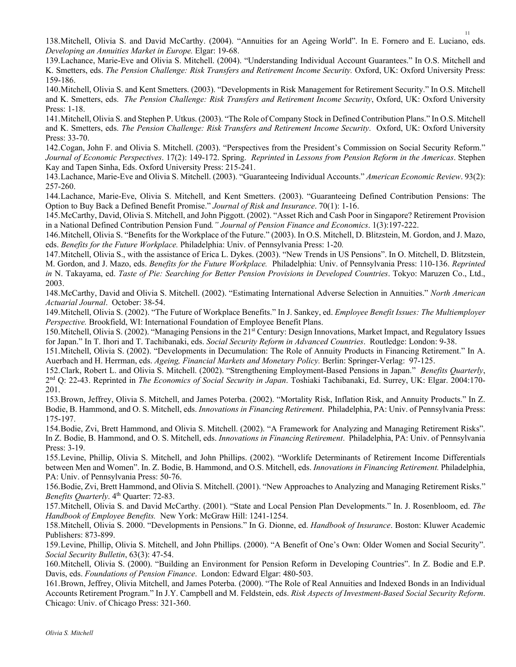138.Mitchell, Olivia S. and David McCarthy. (2004). "Annuities for an Ageing World". In E. Fornero and E. Luciano, eds. *Developing an Annuities Market in Europe.* Elgar: 19-68.

139.Lachance, Marie-Eve and Olivia S. Mitchell. (2004). "Understanding Individual Account Guarantees." In O.S. Mitchell and K. Smetters, eds. *The Pension Challenge: Risk Transfers and Retirement Income Security.* Oxford, UK: Oxford University Press: 159-186.

140.Mitchell, Olivia S. and Kent Smetters. (2003). "Developments in Risk Management for Retirement Security." In O.S. Mitchell and K. Smetters, eds. *The Pension Challenge: Risk Transfers and Retirement Income Security*, Oxford, UK: Oxford University Press: 1-18.

141.Mitchell, Olivia S. and Stephen P. Utkus. (2003). "The Role of Company Stock in Defined Contribution Plans." In O.S. Mitchell and K. Smetters, eds. *The Pension Challenge: Risk Transfers and Retirement Income Security*. Oxford, UK: Oxford University Press: 33-70.

142.Cogan, John F. and Olivia S. Mitchell. (2003). "Perspectives from the President's Commission on Social Security Reform." *Journal of Economic Perspectives*. 17(2): 149-172. Spring. *Reprinted* in *Lessons from Pension Reform in the Americas*. Stephen Kay and Tapen Sinha, Eds. Oxford University Press: 215-241.

143.Lachance, Marie-Eve and Olivia S. Mitchell. (2003). "Guaranteeing Individual Accounts." *American Economic Review*. 93(2): 257-260.

144.Lachance, Marie-Eve, Olivia S. Mitchell, and Kent Smetters. (2003). "Guaranteeing Defined Contribution Pensions: The Option to Buy Back a Defined Benefit Promise." *Journal of Risk and Insurance*. 70(1): 1-16.

145.McCarthy, David, Olivia S. Mitchell, and John Piggott. (2002). "Asset Rich and Cash Poor in Singapore? Retirement Provision in a National Defined Contribution Pension Fund*." Journal of Pension Finance and Economics*. 1(3):197-222.

146.Mitchell, Olivia S. "Benefits for the Workplace of the Future." (2003). In O.S. Mitchell, D. Blitzstein, M. Gordon, and J. Mazo, eds. *Benefits for the Future Workplace.* Philadelphia: Univ. of Pennsylvania Press: 1-20*.*

147.Mitchell, Olivia S., with the assistance of Erica L. Dykes. (2003). "New Trends in US Pensions". In O. Mitchell, D. Blitzstein, M. Gordon, and J. Mazo, eds. *Benefits for the Future Workplace.* Philadelphia: Univ. of Pennsylvania Press: 110-136. *Reprinted in* N. Takayama, ed. *Taste of Pie: Searching for Better Pension Provisions in Developed Countries*. Tokyo: Maruzen Co., Ltd., 2003.

148.McCarthy, David and Olivia S. Mitchell. (2002). "Estimating International Adverse Selection in Annuities." *North American Actuarial Journal*. October: 38-54.

149.Mitchell, Olivia S. (2002). "The Future of Workplace Benefits." In J. Sankey, ed. *Employee Benefit Issues: The Multiemployer Perspective.* Brookfield, WI: International Foundation of Employee Benefit Plans.

150.Mitchell, Olivia S. (2002). "Managing Pensions in the 21st Century: Design Innovations, Market Impact, and Regulatory Issues for Japan." In T. Ihori and T. Tachibanaki, eds. *Social Security Reform in Advanced Countries*. Routledge: London: 9-38.

151.Mitchell, Olivia S. (2002). "Developments in Decumulation: The Role of Annuity Products in Financing Retirement." In A. Auerbach and H. Herrman, eds. *Ageing, Financial Markets and Monetary Policy.* Berlin: Springer-Verlag: 97-125.

152.Clark, Robert L. and Olivia S. Mitchell. (2002). "Strengthening Employment-Based Pensions in Japan." *Benefits Quarterly*, 2nd Q: 22-43. Reprinted in *The Economics of Social Security in Japan*. Toshiaki Tachibanaki, Ed. Surrey, UK: Elgar. 2004:170- 201.

153.Brown, Jeffrey, Olivia S. Mitchell, and James Poterba. (2002). "Mortality Risk, Inflation Risk, and Annuity Products." In Z. Bodie, B. Hammond, and O. S. Mitchell, eds. *Innovations in Financing Retirement*. Philadelphia, PA: Univ. of Pennsylvania Press: 175-197.

154.Bodie, Zvi, Brett Hammond, and Olivia S. Mitchell. (2002). "A Framework for Analyzing and Managing Retirement Risks". In Z. Bodie, B. Hammond, and O. S. Mitchell, eds. *Innovations in Financing Retirement*. Philadelphia, PA: Univ. of Pennsylvania Press: 3-19.

155.Levine, Phillip, Olivia S. Mitchell, and John Phillips. (2002). "Worklife Determinants of Retirement Income Differentials between Men and Women". In. Z. Bodie, B. Hammond, and O.S. Mitchell, eds. *Innovations in Financing Retirement.* Philadelphia, PA: Univ. of Pennsylvania Press: 50-76.

156.Bodie, Zvi, Brett Hammond, and Olivia S. Mitchell. (2001). "New Approaches to Analyzing and Managing Retirement Risks." *Benefits Quarterly*. 4<sup>th</sup> Quarter: 72-83.

157.Mitchell, Olivia S. and David McCarthy. (2001). "State and Local Pension Plan Developments." In. J. Rosenbloom, ed. *The Handbook of Employee Benefits.* New York: McGraw Hill: 1241-1254.

158.Mitchell, Olivia S. 2000. "Developments in Pensions." In G. Dionne, ed. *Handbook of Insurance*. Boston: Kluwer Academic Publishers: 873-899.

159.Levine, Phillip, Olivia S. Mitchell, and John Phillips. (2000). "A Benefit of One's Own: Older Women and Social Security". *Social Security Bulletin*, 63(3): 47-54.

160.Mitchell, Olivia S. (2000). "Building an Environment for Pension Reform in Developing Countries". In Z. Bodie and E.P. Davis, eds. *Foundations of Pension Finance*. London: Edward Elgar: 480-503.

161.Brown, Jeffrey, Olivia Mitchell, and James Poterba. (2000). "The Role of Real Annuities and Indexed Bonds in an Individual Accounts Retirement Program." In J.Y. Campbell and M. Feldstein, eds. *Risk Aspects of Investment-Based Social Security Reform*. Chicago: Univ. of Chicago Press: 321-360.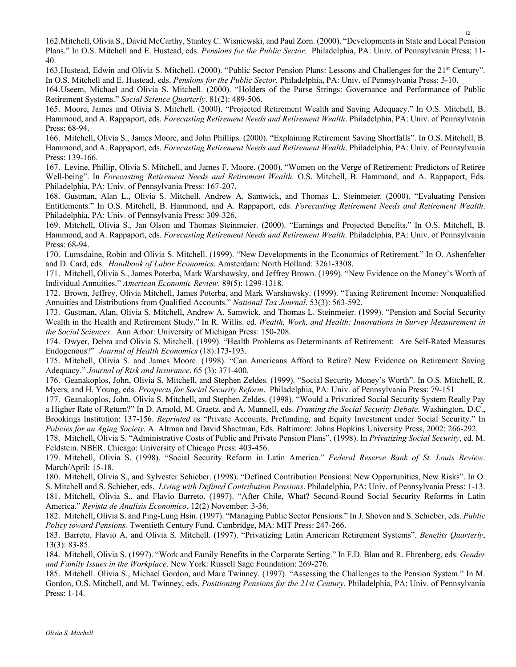162.Mitchell, Olivia S., David McCarthy, Stanley C. Wisniewski, and Paul Zorn. (2000). "Developments in State and Local Pension Plans." In O.S. Mitchell and E. Hustead, eds. *Pensions for the Public Sector.* Philadelphia, PA: Univ. of Pennsylvania Press: 11- 40.

163.Hustead, Edwin and Olivia S. Mitchell. (2000). "Public Sector Pension Plans: Lessons and Challenges for the 21st Century". In O.S. Mitchell and E. Hustead, eds. *Pensions for the Public Sector.* Philadelphia, PA: Univ. of Pennsylvania Press: 3-10.

164.Useem, Michael and Olivia S. Mitchell. (2000). "Holders of the Purse Strings: Governance and Performance of Public Retirement Systems." *Social Science Quarterly*. 81(2): 489-506.

165. Moore, James and Olivia S. Mitchell. (2000). "Projected Retirement Wealth and Saving Adequacy." In O.S. Mitchell, B. Hammond, and A. Rappaport, eds. *Forecasting Retirement Needs and Retirement Wealth*. Philadelphia, PA: Univ. of Pennsylvania Press: 68-94.

166. Mitchell, Olivia S., James Moore, and John Phillips. (2000). "Explaining Retirement Saving Shortfalls". In O.S. Mitchell, B. Hammond, and A. Rappaport, eds. *Forecasting Retirement Needs and Retirement Wealth*. Philadelphia, PA: Univ. of Pennsylvania Press: 139-166.

167. Levine, Phillip, Olivia S. Mitchell, and James F. Moore. (2000). "Women on the Verge of Retirement: Predictors of Retiree Well-being". In *Forecasting Retirement Needs and Retirement Wealth.* O.S. Mitchell, B. Hammond, and A. Rappaport, Eds. Philadelphia, PA: Univ. of Pennsylvania Press: 167-207.

168. Gustman, Alan L., Olivia S. Mitchell, Andrew A. Samwick, and Thomas L. Steinmeier. (2000). "Evaluating Pension Entitlements." In O.S. Mitchell, B. Hammond, and A. Rappaport, eds. *Forecasting Retirement Needs and Retirement Wealth*. Philadelphia, PA: Univ. of Pennsylvania Press: 309-326.

169. Mitchell, Olivia S., Jan Olson and Thomas Steinmeier. (2000). "Earnings and Projected Benefits." In O.S. Mitchell, B. Hammond, and A. Rappaport, eds. *Forecasting Retirement Needs and Retirement Wealth.* Philadelphia, PA: Univ. of Pennsylvania Press: 68-94.

170. Lumsdaine, Robin and Olivia S. Mitchell. (1999). "New Developments in the Economics of Retirement." In O. Ashenfelter and D. Card, eds. *Handbook of Labor Economics*. Amsterdam: North Holland: 3261-3308.

171. Mitchell, Olivia S., James Poterba, Mark Warshawsky, and Jeffrey Brown. (1999). "New Evidence on the Money's Worth of Individual Annuities." *American Economic Review*. 89(5): 1299-1318.

172. Brown, Jeffrey, Olivia Mitchell, James Poterba, and Mark Warshawsky. (1999). "Taxing Retirement Income: Nonqualified Annuities and Distributions from Qualified Accounts." *National Tax Journal*. 53(3): 563-592.

173. Gustman, Alan, Olivia S. Mitchell, Andrew A. Samwick, and Thomas L. Steinmeier. (1999). "Pension and Social Security Wealth in the Health and Retirement Study." In R. Willis. ed. *Wealth, Work, and Health: Innovations in Survey Measurement in the Social Sciences*. Ann Arbor: University of Michigan Press: 150-208.

174. Dwyer, Debra and Olivia S. Mitchell. (1999). "Health Problems as Determinants of Retirement: Are Self-Rated Measures Endogenous?" *Journal of Health Economics* (18):173-193.

175. Mitchell, Olivia S. and James Moore. (1998). "Can Americans Afford to Retire? New Evidence on Retirement Saving Adequacy." *Journal of Risk and Insurance*, 65 (3): 371-400.

176. Geanakoplos, John, Olivia S. Mitchell, and Stephen Zeldes. (1999). "Social Security Money's Worth". In O.S. Mitchell, R. Myers, and H. Young, eds. *Prospects for Social Security Reform*. Philadelphia, PA: Univ. of Pennsylvania Press: 79-151

177. Geanakoplos, John, Olivia S. Mitchell, and Stephen Zeldes. (1998). "Would a Privatized Social Security System Really Pay a Higher Rate of Return?" In D. Arnold, M. Graetz, and A. Munnell, eds. *Framing the Social Security Debate*. Washington, D.C., Brookings Institution: 137-156. *Reprinted* as "Private Accounts, Prefunding, and Equity Investment under Social Security." In *Policies for an Aging Society.* A. Altman and David Shactman, Eds. Baltimore: Johns Hopkins University Press, 2002: 266-292.

178. Mitchell, Olivia S. "Administrative Costs of Public and Private Pension Plans". (1998). In *Privatizing Social Security*, ed. M. Feldstein. NBER. Chicago: University of Chicago Press: 403-456.

179. Mitchell, Olivia S. (1998). "Social Security Reform in Latin America." *Federal Reserve Bank of St. Louis Review*. March/April: 15-18.

180. Mitchell, Olivia S., and Sylvester Schieber. (1998). "Defined Contribution Pensions: New Opportunities, New Risks". In O. S. Mitchell and S. Schieber, eds. *Living with Defined Contribution Pensions*. Philadelphia, PA: Univ. of Pennsylvania Press: 1-13. 181. Mitchell, Olivia S., and Flavio Barreto. (1997). "After Chile, What? Second-Round Social Security Reforms in Latin America." *Revista de Analisis Economico*, 12(2) November: 3-36.

182. Mitchell, Olivia S. and Ping-Lung Hsin. (1997). "Managing Public Sector Pensions." In J. Shoven and S. Schieber, eds. *Public Policy toward Pensions.* Twentieth Century Fund. Cambridge, MA: MIT Press: 247-266.

183. Barreto, Flavio A. and Olivia S. Mitchell. (1997). "Privatizing Latin American Retirement Systems". *Benefits Quarterly*, 13(3): 83-85.

184. Mitchell, Olivia S. (1997). "Work and Family Benefits in the Corporate Setting." In F.D. Blau and R. Ehrenberg, eds. *Gender and Family Issues in the Workplace*. New York: Russell Sage Foundation: 269-276.

185. Mitchell. Olivia S., Michael Gordon, and Marc Twinney. (1997). "Assessing the Challenges to the Pension System." In M. Gordon, O.S. Mitchell, and M. Twinney, eds. *Positioning Pensions for the 21st Century*. Philadelphia, PA: Univ. of Pennsylvania Press: 1-14.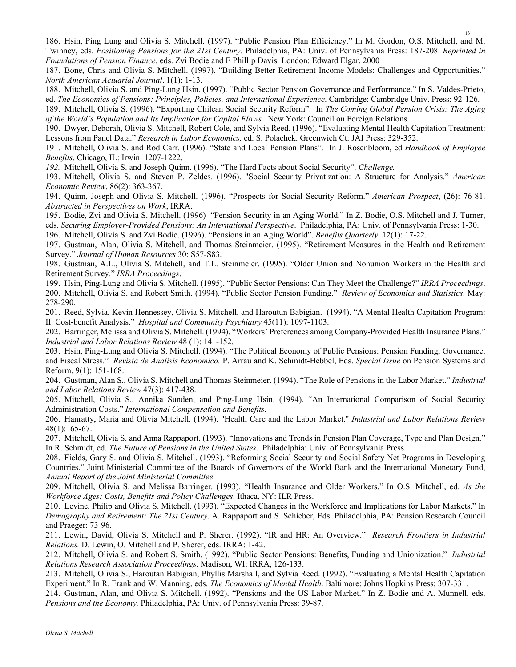186. Hsin, Ping Lung and Olivia S. Mitchell. (1997). "Public Pension Plan Efficiency." In M. Gordon, O.S. Mitchell, and M. Twinney, eds. *Positioning Pensions for the 21st Century.* Philadelphia, PA: Univ. of Pennsylvania Press: 187-208. *Reprinted in Foundations of Pension Finance*, eds. Zvi Bodie and E Phillip Davis. London: Edward Elgar, 2000

187. Bone, Chris and Olivia S. Mitchell. (1997). "Building Better Retirement Income Models: Challenges and Opportunities." *North American Actuarial Journal*. 1(1): 1-13.

188. Mitchell, Olivia S. and Ping-Lung Hsin. (1997). "Public Sector Pension Governance and Performance." In S. Valdes-Prieto, ed. *The Economics of Pensions: Principles, Policies, and International Experience*. Cambridge: Cambridge Univ. Press: 92-126.

189. Mitchell, Olivia S. (1996). "Exporting Chilean Social Security Reform". In *The Coming Global Pension Crisis: The Aging of the World's Population and Its Implication for Capital Flows.* New York: Council on Foreign Relations.

190. Dwyer, Deborah, Olivia S. Mitchell, Robert Cole, and Sylvia Reed. (1996). "Evaluating Mental Health Capitation Treatment: Lessons from Panel Data." *Research in Labor Economics,* ed. S. Polachek. Greenwich Ct: JAI Press: 329-352.

191. Mitchell, Olivia S. and Rod Carr. (1996). "State and Local Pension Plans". In J. Rosenbloom, ed *Handbook of Employee Benefits*. Chicago, IL: Irwin: 1207-1222.

*192.* Mitchell, Olivia S. and Joseph Quinn. (1996). "The Hard Facts about Social Security". *Challenge.* 

193. Mitchell, Olivia S. and Steven P. Zeldes. (1996). "Social Security Privatization: A Structure for Analysis." *American Economic Review*, 86(2): 363-367.

194. Quinn, Joseph and Olivia S. Mitchell. (1996). "Prospects for Social Security Reform." *American Prospect*, (26): 76-81. *Abstracted in Perspectives on Work*, IRRA.

195. Bodie, Zvi and Olivia S. Mitchell. (1996) "Pension Security in an Aging World." In Z. Bodie, O.S. Mitchell and J. Turner, eds. *Securing Employer-Provided Pensions: An International Perspective*. Philadelphia, PA: Univ. of Pennsylvania Press: 1-30.

196. Mitchell, Olivia S. and Zvi Bodie. (1996). "Pensions in an Aging World". *Benefits Quarterly*. 12(1): 17-22.

197. Gustman, Alan, Olivia S. Mitchell, and Thomas Steinmeier. (1995). "Retirement Measures in the Health and Retirement Survey." *Journal of Human Resources* 30: S57-S83.

198. Gustman, A.L., Olivia S. Mitchell, and T.L. Steinmeier. (1995). "Older Union and Nonunion Workers in the Health and Retirement Survey." *IRRA Proceedings*.

199. Hsin, Ping-Lung and Olivia S. Mitchell. (1995). "Public Sector Pensions: Can They Meet the Challenge?" *IRRA Proceedings*. 200. Mitchell, Olivia S. and Robert Smith. (1994). "Public Sector Pension Funding." *Review of Economics and Statistics*. May: 278-290.

201. Reed, Sylvia, Kevin Hennessey, Olivia S. Mitchell, and Haroutun Babigian. (1994). "A Mental Health Capitation Program: II. Cost-benefit Analysis." *Hospital and Community Psychiatry* 45(11): 1097-1103.

202. Barringer, Melissa and Olivia S. Mitchell. (1994). "Workers' Preferences among Company-Provided Health Insurance Plans." *Industrial and Labor Relations Review* 48 (1): 141-152.

203. Hsin, Ping-Lung and Olivia S. Mitchell. (1994). "The Political Economy of Public Pensions: Pension Funding, Governance, and Fiscal Stress." *Revista de Analisis Economico.* P. Arrau and K. Schmidt-Hebbel, Eds. *Special Issue* on Pension Systems and Reform. 9(1): 151-168.

204. Gustman, Alan S., Olivia S. Mitchell and Thomas Steinmeier. (1994). "The Role of Pensions in the Labor Market." *Industrial and Labor Relations Review* 47(3): 417-438.

205. Mitchell, Olivia S., Annika Sunden, and Ping-Lung Hsin. (1994). "An International Comparison of Social Security Administration Costs." *International Compensation and Benefits*.

206. Hanratty, Maria and Olivia Mitchell. (1994). "Health Care and the Labor Market." *Industrial and Labor Relations Review* 48(1): 65-67.

207. Mitchell, Olivia S. and Anna Rappaport. (1993). "Innovations and Trends in Pension Plan Coverage, Type and Plan Design." In R. Schmidt, ed. *The Future of Pensions in the United States*. Philadelphia: Univ. of Pennsylvania Press.

208. Fields, Gary S. and Olivia S. Mitchell. (1993). "Reforming Social Security and Social Safety Net Programs in Developing Countries." Joint Ministerial Committee of the Boards of Governors of the World Bank and the International Monetary Fund, *Annual Report of the Joint Ministerial Committee*.

209. Mitchell, Olivia S. and Melissa Barringer. (1993). "Health Insurance and Older Workers." In O.S. Mitchell, ed. *As the Workforce Ages: Costs, Benefits and Policy Challenges*. Ithaca, NY: ILR Press.

210. Levine, Philip and Olivia S. Mitchell. (1993). "Expected Changes in the Workforce and Implications for Labor Markets." In *Demography and Retirement: The 21st Century*. A. Rappaport and S. Schieber, Eds. Philadelphia, PA: Pension Research Council and Praeger: 73-96.

211. Lewin, David, Olivia S. Mitchell and P. Sherer. (1992). "IR and HR: An Overview." *Research Frontiers in Industrial Relations.* D. Lewin, O. Mitchell and P. Sherer, eds. IRRA: 1-42.

212. Mitchell, Olivia S. and Robert S. Smith. (1992). "Public Sector Pensions: Benefits, Funding and Unionization." *Industrial Relations Research Association Proceedings*. Madison, WI: IRRA, 126-133.

213. Mitchell, Olivia S., Haroutan Babigian, Phyllis Marshall, and Sylvia Reed. (1992). "Evaluating a Mental Health Capitation Experiment." In R. Frank and W. Manning, eds. *The Economics of Mental Health*. Baltimore: Johns Hopkins Press: 307-331.

214. Gustman, Alan, and Olivia S. Mitchell. (1992). "Pensions and the US Labor Market." In Z. Bodie and A. Munnell, eds. *Pensions and the Economy.* Philadelphia, PA: Univ. of Pennsylvania Press: 39-87.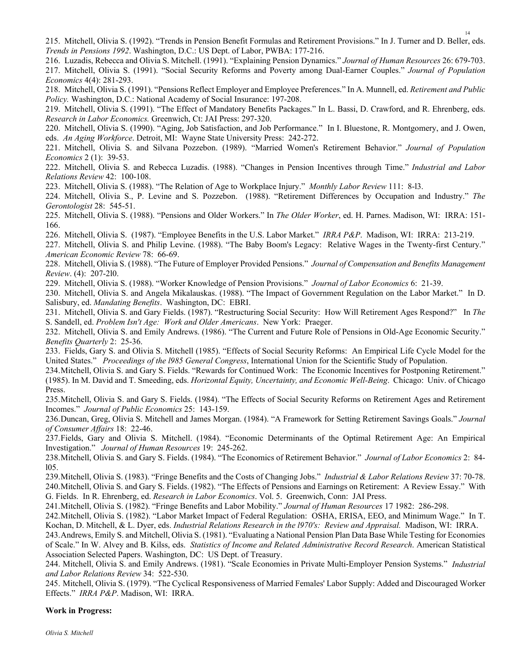215. Mitchell, Olivia S. (1992). "Trends in Pension Benefit Formulas and Retirement Provisions." In J. Turner and D. Beller, eds. *Trends in Pensions 1992*. Washington, D.C.: US Dept. of Labor, PWBA: 177-216.

216. Luzadis, Rebecca and Olivia S. Mitchell. (1991). "Explaining Pension Dynamics." *Journal of Human Resources* 26: 679-703. 217. Mitchell, Olivia S. (1991). "Social Security Reforms and Poverty among Dual-Earner Couples." *Journal of Population Economics* 4(4): 281-293.

218. Mitchell, Olivia S. (1991). "Pensions Reflect Employer and Employee Preferences." In A. Munnell, ed. *Retirement and Public Policy.* Washington, D.C.: National Academy of Social Insurance: 197-208.

219. Mitchell, Olivia S. (1991). "The Effect of Mandatory Benefits Packages." In L. Bassi, D. Crawford, and R. Ehrenberg, eds. *Research in Labor Economics.* Greenwich, Ct: JAI Press: 297-320.

220. Mitchell, Olivia S. (1990). "Aging, Job Satisfaction, and Job Performance." In I. Bluestone, R. Montgomery, and J. Owen, eds. *An Aging Workforce*. Detroit, MI: Wayne State University Press: 242-272.

221. Mitchell, Olivia S. and Silvana Pozzebon. (1989). "Married Women's Retirement Behavior." *Journal of Population Economics* 2 (1): 39-53.

222. Mitchell, Olivia S. and Rebecca Luzadis. (1988). "Changes in Pension Incentives through Time." *Industrial and Labor Relations Review* 42: 100-108.

223. Mitchell, Olivia S. (1988). "The Relation of Age to Workplace Injury." *Monthly Labor Review* 111: 8-l3.

224. Mitchell, Olivia S., P. Levine and S. Pozzebon. (1988). "Retirement Differences by Occupation and Industry." *The Gerontologist* 28: 545-51.

225. Mitchell, Olivia S. (1988). "Pensions and Older Workers." In *The Older Worker*, ed. H. Parnes. Madison, WI: IRRA: 151- 166.

226. Mitchell, Olivia S. (1987). "Employee Benefits in the U.S. Labor Market." *IRRA P&P*. Madison, WI: IRRA: 213-219.

227. Mitchell, Olivia S. and Philip Levine. (1988). "The Baby Boom's Legacy: Relative Wages in the Twenty-first Century." *American Economic Review* 78: 66-69.

228. Mitchell, Olivia S. (1988). "The Future of Employer Provided Pensions." *Journal of Compensation and Benefits Management Review*. (4): 207-2l0.

229. Mitchell, Olivia S. (1988). "Worker Knowledge of Pension Provisions." *Journal of Labor Economics* 6: 21-39.

230. Mitchell, Olivia S. and Angela Mikalauskas. (1988). "The Impact of Government Regulation on the Labor Market." In D. Salisbury, ed. *Mandating Benefits*. Washington, DC: EBRI.

231. Mitchell, Olivia S. and Gary Fields. (1987). "Restructuring Social Security: How Will Retirement Ages Respond?" In *The*  S. Sandell, ed. *Problem Isn't Age: Work and Older Americans*. New York: Praeger.

232. Mitchell, Olivia S. and Emily Andrews. (1986). "The Current and Future Role of Pensions in Old-Age Economic Security." *Benefits Quarterly* 2: 25-36.

233. Fields, Gary S. and Olivia S. Mitchell (1985). "Effects of Social Security Reforms: An Empirical Life Cycle Model for the United States." *Proceedings of the l985 General Congress*, International Union for the Scientific Study of Population.

234.Mitchell, Olivia S. and Gary S. Fields. "Rewards for Continued Work: The Economic Incentives for Postponing Retirement." (1985). In M. David and T. Smeeding, eds. *Horizontal Equity, Uncertainty, and Economic Well-Being*. Chicago: Univ. of Chicago Press.

235.Mitchell, Olivia S. and Gary S. Fields. (1984). "The Effects of Social Security Reforms on Retirement Ages and Retirement Incomes." *Journal of Public Economics* 25: 143-159.

236.Duncan, Greg, Olivia S. Mitchell and James Morgan. (1984). "A Framework for Setting Retirement Savings Goals." *Journal of Consumer Affairs* 18: 22-46.

237.Fields, Gary and Olivia S. Mitchell. (1984). "Economic Determinants of the Optimal Retirement Age: An Empirical Investigation." *Journal of Human Resources* 19: 245-262.

238.Mitchell, Olivia S. and Gary S. Fields. (1984). "The Economics of Retirement Behavior." *Journal of Labor Economics* 2: 84 l05.

239.Mitchell, Olivia S. (1983). "Fringe Benefits and the Costs of Changing Jobs." *Industrial & Labor Relations Review* 37: 70-78. 240.Mitchell, Olivia S. and Gary S. Fields. (1982). "The Effects of Pensions and Earnings on Retirement: A Review Essay." With G. Fields. In R. Ehrenberg, ed. *Research in Labor Economics*. Vol. 5. Greenwich, Conn: JAI Press.

241.Mitchell, Olivia S. (1982). "Fringe Benefits and Labor Mobility." *Journal of Human Resources* 17 1982: 286-298.

242.Mitchell, Olivia S. (1982). "Labor Market Impact of Federal Regulation: OSHA, ERISA, EEO, and Minimum Wage." In T. Kochan, D. Mitchell, & L. Dyer, eds. *Industrial Relations Research in the l970's: Review and Appraisal.* Madison, WI: IRRA.

243.Andrews, Emily S. and Mitchell, Olivia S. (1981). "Evaluating a National Pension Plan Data Base While Testing for Economies of Scale." In W. Alvey and B. Kilss, eds. *Statistics of Income and Related Administrative Record Research*. American Statistical Association Selected Papers. Washington, DC: US Dept. of Treasury.

244. Mitchell, Olivia S. and Emily Andrews. (1981). "Scale Economies in Private Multi-Employer Pension Systems." *Industrial and Labor Relations Review* 34: 522-530.

245. Mitchell, Olivia S. (1979). "The Cyclical Responsiveness of Married Females' Labor Supply: Added and Discouraged Worker Effects." *IRRA P&P*. Madison, WI: IRRA.

#### **Work in Progress:**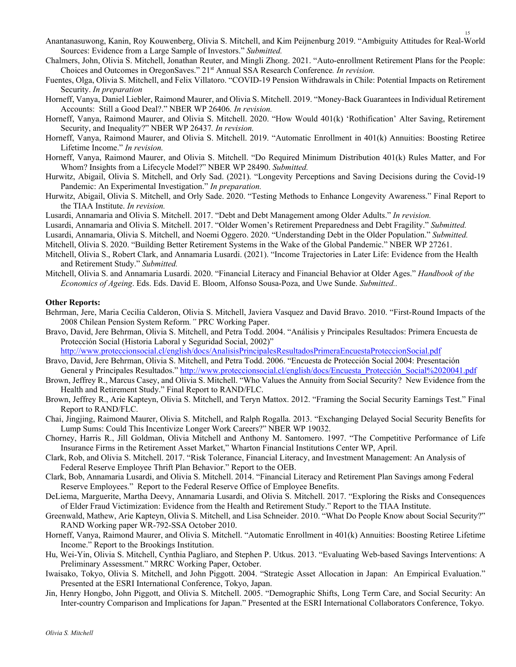- Anantanasuwong, Kanin, Roy Kouwenberg, Olivia S. Mitchell, and Kim Peijnenburg 2019. "Ambiguity Attitudes for Real-World Sources: Evidence from a Large Sample of Investors." *Submitted.*
- Chalmers, John, Olivia S. Mitchell, Jonathan Reuter, and Mingli Zhong. 2021. "Auto-enrollment Retirement Plans for the People: Choices and Outcomes in OregonSaves." 21st Annual SSA Research Conference*. In revision.*
- Fuentes, Olga, Olivia S. Mitchell, and Felix Villatoro. "COVID-19 Pension Withdrawals in Chile: Potential Impacts on Retirement Security. *In preparation*
- Horneff, Vanya, Daniel Liebler, Raimond Maurer, and Olivia S. Mitchell. 2019. "Money-Back Guarantees in Individual Retirement Accounts: Still a Good Deal?." NBER WP 26406*. In revision.*
- Horneff, Vanya, Raimond Maurer, and Olivia S. Mitchell. 2020. "How Would 401(k) 'Rothification' Alter Saving, Retirement Security, and Inequality?" NBER WP 26437*. In revision.*
- Horneff, Vanya, Raimond Maurer, and Olivia S. Mitchell. 2019. "Automatic Enrollment in 401(k) Annuities: Boosting Retiree Lifetime Income." *In revision.*
- Horneff, Vanya, Raimond Maurer, and Olivia S. Mitchell. "Do Required Minimum Distribution 401(k) Rules Matter, and For Whom? Insights from a Lifecycle Model?" NBER WP 28490. *Submitted.*
- Hurwitz, Abigail, Olivia S. Mitchell, and Orly Sad. (2021). "Longevity Perceptions and Saving Decisions during the Covid-19 Pandemic: An Experimental Investigation." *In preparation.*
- Hurwitz, Abigail, Olivia S. Mitchell, and Orly Sade. 2020. "Testing Methods to Enhance Longevity Awareness." Final Report to the TIAA Institute. *In revision.*
- Lusardi, Annamaria and Olivia S. Mitchell. 2017. "Debt and Debt Management among Older Adults." *In revision.*
- Lusardi, Annamaria and Olivia S. Mitchell. 2017. "Older Women's Retirement Preparedness and Debt Fragility." *Submitted.*
- Lusardi, Annamaria, Olivia S. Mitchell, and Noemi Oggero. 2020. "Understanding Debt in the Older Population." *Submitted.*
- Mitchell, Olivia S. 2020. "Building Better Retirement Systems in the Wake of the Global Pandemic." NBER WP 27261.
- Mitchell, Olivia S., Robert Clark, and Annamaria Lusardi. (2021). "Income Trajectories in Later Life: Evidence from the Health and Retirement Study." *Submitted.*
- Mitchell, Olivia S. and Annamaria Lusardi. 2020. "Financial Literacy and Financial Behavior at Older Ages." *Handbook of the Economics of Ageing*. Eds. Eds. David E. Bloom, Alfonso Sousa-Poza, and Uwe Sunde. *Submitted..*

### **Other Reports:**

- Behrman, Jere, Maria Cecilia Calderon, Olivia S. Mitchell, Javiera Vasquez and David Bravo. 2010. "First-Round Impacts of the 2008 Chilean Pension System Reform*."* PRC Working Paper.
- Bravo, David, Jere Behrman, Olivia S. Mitchell, and Petra Todd. 2004. "Análisis y Principales Resultados: Primera Encuesta de Protección Social (Historia Laboral y Seguridad Social, 2002)"

http://www.proteccionsocial.cl/english/docs/AnalisisPrincipalesResultadosPrimeraEncuestaProteccionSocial.pdf

- Bravo, David, Jere Behrman, Olivia S. Mitchell, and Petra Todd. 2006. "Encuesta de Protección Social 2004: Presentación General y Principales Resultados." http://www.proteccionsocial.cl/english/docs/Encuesta\_Protección\_Social%2020041.pdf
- Brown, Jeffrey R., Marcus Casey, and Olivia S. Mitchell. "Who Values the Annuity from Social Security? New Evidence from the Health and Retirement Study." Final Report to RAND/FLC.
- Brown, Jeffrey R., Arie Kapteyn, Olivia S. Mitchell, and Teryn Mattox. 2012. "Framing the Social Security Earnings Test." Final Report to RAND/FLC.
- Chai, Jingjing, Raimond Maurer, Olivia S. Mitchell, and Ralph Rogalla. 2013. "Exchanging Delayed Social Security Benefits for Lump Sums: Could This Incentivize Longer Work Careers?" NBER WP 19032.
- Chorney, Harris R., Jill Goldman, Olivia Mitchell and Anthony M. Santomero. 1997. "The Competitive Performance of Life Insurance Firms in the Retirement Asset Market," Wharton Financial Institutions Center WP, April.
- Clark, Rob, and Olivia S. Mitchell. 2017. "Risk Tolerance, Financial Literacy, and Investment Management: An Analysis of Federal Reserve Employee Thrift Plan Behavior." Report to the OEB.
- Clark, Bob, Annamaria Lusardi, and Olivia S. Mitchell. 2014. "Financial Literacy and Retirement Plan Savings among Federal Reserve Employees." Report to the Federal Reserve Office of Employee Benefits.
- DeLiema, Marguerite, Martha Deevy, Annamaria Lusardi, and Olivia S. Mitchell. 2017. "Exploring the Risks and Consequences of Elder Fraud Victimization: Evidence from the Health and Retirement Study." Report to the TIAA Institute.
- Greenwald, Mathew, Arie Kapteyn, Olivia S. Mitchell, and Lisa Schneider. 2010. "What Do People Know about Social Security?" RAND Working paper WR-792-SSA October 2010.
- Horneff, Vanya, Raimond Maurer, and Olivia S. Mitchell. "Automatic Enrollment in 401(k) Annuities: Boosting Retiree Lifetime Income." Report to the Brookings Institution.
- Hu, Wei-Yin, Olivia S. Mitchell, Cynthia Pagliaro, and Stephen P. Utkus. 2013. "Evaluating Web-based Savings Interventions: A Preliminary Assessment." MRRC Working Paper, October.
- Iwaisako, Tokyo, Olivia S. Mitchell, and John Piggott. 2004. "Strategic Asset Allocation in Japan: An Empirical Evaluation." Presented at the ESRI International Conference, Tokyo, Japan.
- Jin, Henry Hongbo, John Piggott, and Olivia S. Mitchell. 2005. "Demographic Shifts, Long Term Care, and Social Security: An Inter-country Comparison and Implications for Japan." Presented at the ESRI International Collaborators Conference, Tokyo.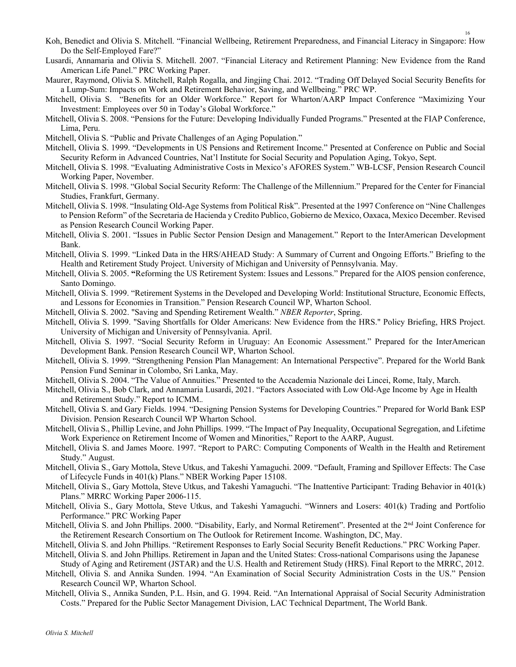- Koh, Benedict and Olivia S. Mitchell. "Financial Wellbeing, Retirement Preparedness, and Financial Literacy in Singapore: How Do the Self-Employed Fare?"
- Lusardi, Annamaria and Olivia S. Mitchell. 2007. "Financial Literacy and Retirement Planning: New Evidence from the Rand American Life Panel." PRC Working Paper.
- Maurer, Raymond, Olivia S. Mitchell, Ralph Rogalla, and Jingjing Chai. 2012. "Trading Off Delayed Social Security Benefits for a Lump-Sum: Impacts on Work and Retirement Behavior, Saving, and Wellbeing." PRC WP.
- Mitchell, Olivia S. "Benefits for an Older Workforce." Report for Wharton/AARP Impact Conference "Maximizing Your Investment: Employees over 50 in Today's Global Workforce."
- Mitchell, Olivia S. 2008. "Pensions for the Future: Developing Individually Funded Programs." Presented at the FIAP Conference, Lima, Peru.
- Mitchell, Olivia S. "Public and Private Challenges of an Aging Population."
- Mitchell, Olivia S. 1999. "Developments in US Pensions and Retirement Income." Presented at Conference on Public and Social Security Reform in Advanced Countries, Nat'l Institute for Social Security and Population Aging, Tokyo, Sept.
- Mitchell, Olivia S. 1998. "Evaluating Administrative Costs in Mexico's AFORES System." WB-LCSF, Pension Research Council Working Paper, November.
- Mitchell, Olivia S. 1998. "Global Social Security Reform: The Challenge of the Millennium." Prepared for the Center for Financial Studies, Frankfurt, Germany.
- Mitchell, Olivia S. 1998. "Insulating Old-Age Systems from Political Risk". Presented at the 1997 Conference on "Nine Challenges to Pension Reform" of the Secretaria de Hacienda y Credito Publico, Gobierno de Mexico, Oaxaca, Mexico December. Revised as Pension Research Council Working Paper.
- Mitchell, Olivia S. 2001. "Issues in Public Sector Pension Design and Management." Report to the InterAmerican Development Bank.
- Mitchell, Olivia S. 1999. "Linked Data in the HRS/AHEAD Study: A Summary of Current and Ongoing Efforts." Briefing to the Health and Retirement Study Project. University of Michigan and University of Pennsylvania. May.
- Mitchell, Olivia S. 2005. **"**Reforming the US Retirement System: Issues and Lessons." Prepared for the AIOS pension conference, Santo Domingo.
- Mitchell, Olivia S. 1999. "Retirement Systems in the Developed and Developing World: Institutional Structure, Economic Effects, and Lessons for Economies in Transition." Pension Research Council WP, Wharton School.
- Mitchell, Olivia S. 2002. "Saving and Spending Retirement Wealth." *NBER Reporter*, Spring.
- Mitchell, Olivia S. 1999. "Saving Shortfalls for Older Americans: New Evidence from the HRS." Policy Briefing, HRS Project. University of Michigan and University of Pennsylvania. April.
- Mitchell, Olivia S. 1997. "Social Security Reform in Uruguay: An Economic Assessment." Prepared for the InterAmerican Development Bank. Pension Research Council WP, Wharton School.
- Mitchell, Olivia S. 1999. "Strengthening Pension Plan Management: An International Perspective". Prepared for the World Bank Pension Fund Seminar in Colombo, Sri Lanka, May.
- Mitchell, Olivia S. 2004. "The Value of Annuities." Presented to the Accademia Nazionale dei Lincei, Rome, Italy, March.
- Mitchell, Olivia S., Bob Clark, and Annamaria Lusardi, 2021. "Factors Associated with Low Old-Age Income by Age in Health and Retirement Study." Report to ICMM.*.*
- Mitchell, Olivia S. and Gary Fields. 1994. "Designing Pension Systems for Developing Countries." Prepared for World Bank ESP Division. Pension Research Council WP Wharton School.
- Mitchell, Olivia S., Phillip Levine, and John Phillips. 1999. "The Impact of Pay Inequality, Occupational Segregation, and Lifetime Work Experience on Retirement Income of Women and Minorities," Report to the AARP, August.
- Mitchell, Olivia S. and James Moore. 1997. "Report to PARC: Computing Components of Wealth in the Health and Retirement Study." August.
- Mitchell, Olivia S., Gary Mottola, Steve Utkus, and Takeshi Yamaguchi. 2009. "Default, Framing and Spillover Effects: The Case of Lifecycle Funds in 401(k) Plans." NBER Working Paper 15108.
- Mitchell, Olivia S., Gary Mottola, Steve Utkus, and Takeshi Yamaguchi. "The Inattentive Participant: Trading Behavior in 401(k) Plans." MRRC Working Paper 2006-115.
- Mitchell, Olivia S., Gary Mottola, Steve Utkus, and Takeshi Yamaguchi. "Winners and Losers: 401(k) Trading and Portfolio Performance." PRC Working Paper
- Mitchell, Olivia S. and John Phillips. 2000. "Disability, Early, and Normal Retirement". Presented at the 2<sup>nd</sup> Joint Conference for the Retirement Research Consortium on The Outlook for Retirement Income. Washington, DC, May.
- Mitchell, Olivia S. and John Phillips. "Retirement Responses to Early Social Security Benefit Reductions." PRC Working Paper.
- Mitchell, Olivia S. and John Phillips. Retirement in Japan and the United States: Cross-national Comparisons using the Japanese Study of Aging and Retirement (JSTAR) and the U.S. Health and Retirement Study (HRS). Final Report to the MRRC, 2012.
- Mitchell, Olivia S. and Annika Sunden. 1994. "An Examination of Social Security Administration Costs in the US." Pension Research Council WP, Wharton School.
- Mitchell, Olivia S., Annika Sunden, P.L. Hsin, and G. 1994. Reid. "An International Appraisal of Social Security Administration Costs." Prepared for the Public Sector Management Division, LAC Technical Department, The World Bank.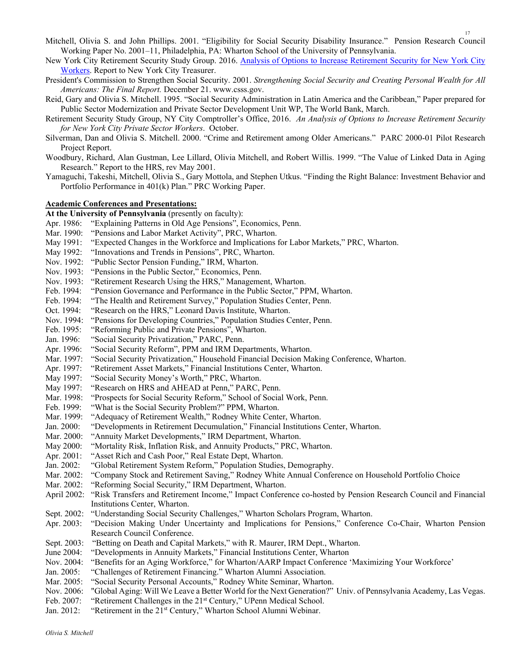- Mitchell, Olivia S. and John Phillips. 2001. "Eligibility for Social Security Disability Insurance." Pension Research Council Working Paper No. 2001–11, Philadelphia, PA: Wharton School of the University of Pennsylvania.
- New York City Retirement Security Study Group. 2016. Analysis of Options to Increase Retirement Security for New York City Workers. Report to New York City Treasurer.
- President's Commission to Strengthen Social Security. 2001. *Strengthening Social Security and Creating Personal Wealth for All Americans: The Final Report.* December 21. www.csss.gov.
- Reid, Gary and Olivia S. Mitchell. 1995. "Social Security Administration in Latin America and the Caribbean," Paper prepared for Public Sector Modernization and Private Sector Development Unit WP, The World Bank, March.
- Retirement Security Study Group, NY City Comptroller's Office, 2016. *An Analysis of Options to Increase Retirement Security for New York City Private Sector Workers*. October.
- Silverman, Dan and Olivia S. Mitchell. 2000. "Crime and Retirement among Older Americans." PARC 2000-01 Pilot Research Project Report.
- Woodbury, Richard, Alan Gustman, Lee Lillard, Olivia Mitchell, and Robert Willis. 1999. "The Value of Linked Data in Aging Research." Report to the HRS, rev May 2001.
- Yamaguchi, Takeshi, Mitchell, Olivia S., Gary Mottola, and Stephen Utkus. "Finding the Right Balance: Investment Behavior and Portfolio Performance in 401(k) Plan." PRC Working Paper.

#### **Academic Conferences and Presentations:**

**At the University of Pennsylvania** (presently on faculty):

- Apr. 1986: "Explaining Patterns in Old Age Pensions", Economics, Penn.
- Mar. 1990: "Pensions and Labor Market Activity", PRC, Wharton.
- May 1991: "Expected Changes in the Workforce and Implications for Labor Markets," PRC, Wharton.
- May 1992: "Innovations and Trends in Pensions", PRC, Wharton.
- Nov. 1992: "Public Sector Pension Funding," IRM, Wharton.
- Nov. 1993: "Pensions in the Public Sector," Economics, Penn.
- Nov. 1993: "Retirement Research Using the HRS," Management, Wharton.
- Feb. 1994: "Pension Governance and Performance in the Public Sector," PPM, Wharton.
- Feb. 1994: "The Health and Retirement Survey," Population Studies Center, Penn.
- Oct. 1994: "Research on the HRS," Leonard Davis Institute, Wharton.
- Nov. 1994: "Pensions for Developing Countries," Population Studies Center, Penn.
- Feb. 1995: "Reforming Public and Private Pensions", Wharton.
- Jan. 1996: "Social Security Privatization," PARC, Penn.
- Apr. 1996: "Social Security Reform", PPM and IRM Departments, Wharton.
- Mar. 1997: "Social Security Privatization," Household Financial Decision Making Conference, Wharton.
- Apr. 1997: "Retirement Asset Markets," Financial Institutions Center, Wharton.
- May 1997: "Social Security Money's Worth," PRC, Wharton.
- May 1997: "Research on HRS and AHEAD at Penn," PARC, Penn.
- Mar. 1998: "Prospects for Social Security Reform," School of Social Work, Penn.
- Feb. 1999: "What is the Social Security Problem?" PPM, Wharton.
- Mar. 1999: "Adequacy of Retirement Wealth," Rodney White Center, Wharton.
- Jan. 2000: "Developments in Retirement Decumulation," Financial Institutions Center, Wharton.
- Mar. 2000: "Annuity Market Developments," IRM Department, Wharton.
- May 2000: "Mortality Risk, Inflation Risk, and Annuity Products," PRC, Wharton.
- Apr. 2001: "Asset Rich and Cash Poor," Real Estate Dept, Wharton.
- Jan. 2002: "Global Retirement System Reform," Population Studies, Demography.
- Mar. 2002: "Company Stock and Retirement Saving," Rodney White Annual Conference on Household Portfolio Choice
- Mar. 2002: "Reforming Social Security," IRM Department, Wharton.
- April 2002: "Risk Transfers and Retirement Income," Impact Conference co-hosted by Pension Research Council and Financial Institutions Center, Wharton.
- Sept. 2002: "Understanding Social Security Challenges," Wharton Scholars Program, Wharton.
- Apr. 2003: "Decision Making Under Uncertainty and Implications for Pensions," Conference Co-Chair, Wharton Pension Research Council Conference.
- Sept. 2003: "Betting on Death and Capital Markets," with R. Maurer, IRM Dept., Wharton.
- June 2004: "Developments in Annuity Markets," Financial Institutions Center, Wharton
- Nov. 2004: "Benefits for an Aging Workforce," for Wharton/AARP Impact Conference 'Maximizing Your Workforce'
- Jan. 2005: "Challenges of Retirement Financing." Wharton Alumni Association.
- Mar. 2005: "Social Security Personal Accounts," Rodney White Seminar, Wharton.
- Nov. 2006: "Global Aging: Will We Leave a Better World for the Next Generation?" Univ. of Pennsylvania Academy, Las Vegas.
- Feb. 2007: "Retirement Challenges in the 21<sup>st</sup> Century," UPenn Medical School.
- Jan. 2012: "Retirement in the 21<sup>st</sup> Century," Wharton School Alumni Webinar.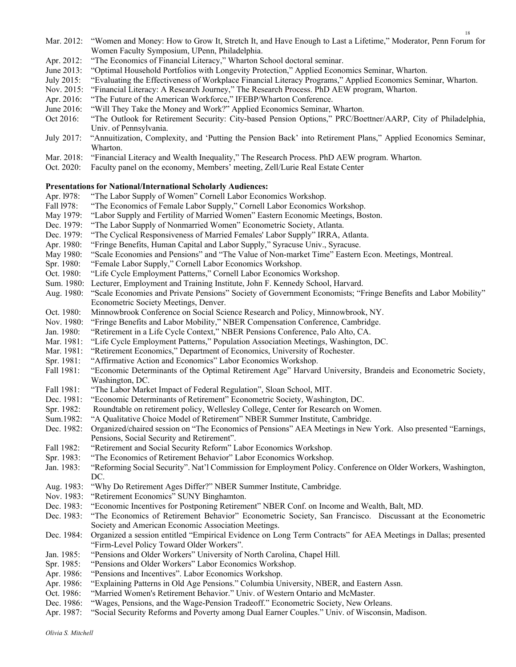- Mar. 2012: "Women and Money: How to Grow It, Stretch It, and Have Enough to Last a Lifetime," Moderator, Penn Forum for Women Faculty Symposium, UPenn, Philadelphia.
- Apr. 2012: "The Economics of Financial Literacy," Wharton School doctoral seminar.
- June 2013: "Optimal Household Portfolios with Longevity Protection," Applied Economics Seminar, Wharton.
- July 2015: "Evaluating the Effectiveness of Workplace Financial Literacy Programs," Applied Economics Seminar, Wharton.
- Nov. 2015: "Financial Literacy: A Research Journey," The Research Process. PhD AEW program, Wharton.
- Apr. 2016: "The Future of the American Workforce," IFEBP/Wharton Conference.
- June 2016: "Will They Take the Money and Work?" Applied Economics Seminar, Wharton.
- Oct 2016: "The Outlook for Retirement Security: City-based Pension Options," PRC/Boettner/AARP, City of Philadelphia, Univ. of Pennsylvania.
- July 2017: "Annuitization, Complexity, and 'Putting the Pension Back' into Retirement Plans," Applied Economics Seminar, Wharton.
- Mar. 2018: "Financial Literacy and Wealth Inequality," The Research Process. PhD AEW program. Wharton.
- Oct. 2020: Faculty panel on the economy, Members' meeting, Zell/Lurie Real Estate Center

#### **Presentations for National/International Scholarly Audiences:**

- Apr. 1978: "The Labor Supply of Women" Cornell Labor Economics Workshop.
- Fall l978: "The Economics of Female Labor Supply," Cornell Labor Economics Workshop.
- May 1979: "Labor Supply and Fertility of Married Women" Eastern Economic Meetings, Boston.
- Dec. 1979: "The Labor Supply of Nonmarried Women" Econometric Society, Atlanta.
- Dec. 1979: "The Cyclical Responsiveness of Married Females' Labor Supply" IRRA, Atlanta.
- Apr. 1980: "Fringe Benefits, Human Capital and Labor Supply," Syracuse Univ., Syracuse.
- May 1980: "Scale Economies and Pensions" and "The Value of Non-market Time" Eastern Econ. Meetings, Montreal.
- Spr. 1980: "Female Labor Supply," Cornell Labor Economics Workshop.
- Oct. 1980: "Life Cycle Employment Patterns," Cornell Labor Economics Workshop.
- Sum. 1980: Lecturer, Employment and Training Institute, John F. Kennedy School, Harvard.
- Aug. 1980: "Scale Economies and Private Pensions" Society of Government Economists; "Fringe Benefits and Labor Mobility" Econometric Society Meetings, Denver.
- Oct. 1980: Minnowbrook Conference on Social Science Research and Policy, Minnowbrook, NY.
- Nov. 1980: "Fringe Benefits and Labor Mobility," NBER Compensation Conference, Cambridge.
- Jan. 1980: "Retirement in a Life Cycle Context," NBER Pensions Conference, Palo Alto, CA.
- Mar. 1981: "Life Cycle Employment Patterns," Population Association Meetings, Washington, DC.
- Mar. 1981: "Retirement Economics," Department of Economics, University of Rochester.
- Spr. 1981: "Affirmative Action and Economics" Labor Economics Workshop.
- Fall 1981: "Economic Determinants of the Optimal Retirement Age" Harvard University, Brandeis and Econometric Society, Washington, DC.
- Fall 1981: "The Labor Market Impact of Federal Regulation", Sloan School, MIT.
- Dec. 1981: "Economic Determinants of Retirement" Econometric Society, Washington, DC.
- Spr. 1982: Roundtable on retirement policy, Wellesley College, Center for Research on Women.
- Sum.1982: "A Qualitative Choice Model of Retirement" NBER Summer Institute, Cambridge.
- Dec. 1982: Organized/chaired session on "The Economics of Pensions" AEA Meetings in New York. Also presented "Earnings, Pensions, Social Security and Retirement".
- Fall 1982: "Retirement and Social Security Reform" Labor Economics Workshop.
- Spr. 1983: "The Economics of Retirement Behavior" Labor Economics Workshop.
- Jan. 1983: "Reforming Social Security". Nat'l Commission for Employment Policy. Conference on Older Workers, Washington, DC.
- Aug. 1983: "Why Do Retirement Ages Differ?" NBER Summer Institute, Cambridge.
- Nov. 1983: "Retirement Economics" SUNY Binghamton.
- Dec. 1983: "Economic Incentives for Postponing Retirement" NBER Conf. on Income and Wealth, Balt, MD.
- Dec. 1983: "The Economics of Retirement Behavior" Econometric Society, San Francisco. Discussant at the Econometric Society and American Economic Association Meetings.
- Dec. 1984: Organized a session entitled "Empirical Evidence on Long Term Contracts" for AEA Meetings in Dallas; presented "Firm-Level Policy Toward Older Workers".
- Jan. 1985: "Pensions and Older Workers" University of North Carolina, Chapel Hill.
- Spr. 1985: "Pensions and Older Workers" Labor Economics Workshop.
- Apr. 1986: "Pensions and Incentives". Labor Economics Workshop.
- Apr. 1986: "Explaining Patterns in Old Age Pensions." Columbia University, NBER, and Eastern Assn.
- Oct. 1986: "Married Women's Retirement Behavior." Univ. of Western Ontario and McMaster.
- Dec. 1986: "Wages, Pensions, and the Wage-Pension Tradeoff." Econometric Society, New Orleans.
- Apr. 1987: "Social Security Reforms and Poverty among Dual Earner Couples." Univ. of Wisconsin, Madison.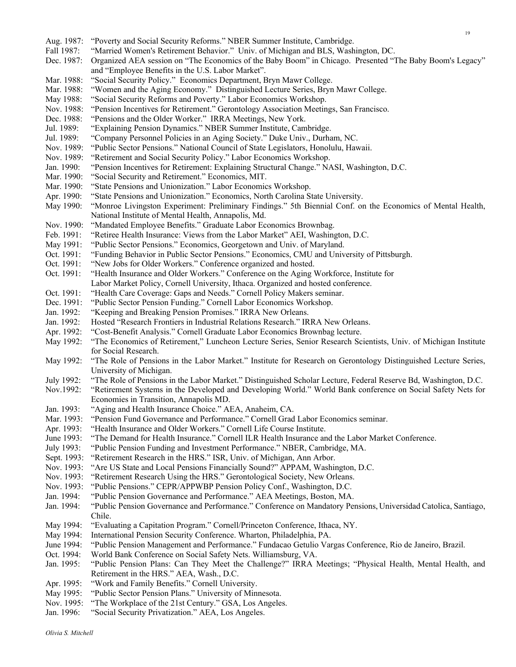Aug. 1987: "Poverty and Social Security Reforms." NBER Summer Institute, Cambridge. Fall 1987: "Married Women's Retirement Behavior." Univ. of Michigan and BLS, Washington, DC. Dec. 1987: Organized AEA session on "The Economics of the Baby Boom" in Chicago. Presented "The Baby Boom's Legacy" and "Employee Benefits in the U.S. Labor Market". Mar. 1988: "Social Security Policy." Economics Department, Bryn Mawr College. Mar. 1988: "Women and the Aging Economy." Distinguished Lecture Series, Bryn Mawr College. May 1988: "Social Security Reforms and Poverty." Labor Economics Workshop. Nov. 1988: "Pension Incentives for Retirement." Gerontology Association Meetings, San Francisco. Dec. 1988: "Pensions and the Older Worker." IRRA Meetings, New York. Jul. 1989: "Explaining Pension Dynamics." NBER Summer Institute, Cambridge. Jul. 1989: "Company Personnel Policies in an Aging Society." Duke Univ., Durham, NC. Nov. 1989: "Public Sector Pensions." National Council of State Legislators, Honolulu, Hawaii. Nov. 1989: "Retirement and Social Security Policy." Labor Economics Workshop. Jan. 1990: "Pension Incentives for Retirement: Explaining Structural Change." NASI, Washington, D.C. Mar. 1990: "Social Security and Retirement." Economics, MIT. Mar. 1990: "State Pensions and Unionization." Labor Economics Workshop. Apr. 1990: "State Pensions and Unionization." Economics, North Carolina State University. May 1990: "Monroe Livingston Experiment: Preliminary Findings." 5th Biennial Conf. on the Economics of Mental Health, National Institute of Mental Health, Annapolis, Md. Nov. 1990: "Mandated Employee Benefits." Graduate Labor Economics Brownbag. Feb. 1991: "Retiree Health Insurance: Views from the Labor Market" AEI, Washington, D.C. May 1991: "Public Sector Pensions." Economics, Georgetown and Univ. of Maryland. Oct. 1991: "Funding Behavior in Public Sector Pensions." Economics, CMU and University of Pittsburgh. Oct. 1991: "New Jobs for Older Workers." Conference organized and hosted. Oct. 1991: "Health Insurance and Older Workers." Conference on the Aging Workforce, Institute for Labor Market Policy, Cornell University, Ithaca. Organized and hosted conference. Oct. 1991: "Health Care Coverage: Gaps and Needs." Cornell Policy Makers seminar. Dec. 1991: "Public Sector Pension Funding." Cornell Labor Economics Workshop.<br>Jan. 1992: "Keeping and Breaking Pension Promises." IRRA New Orleans. "Keeping and Breaking Pension Promises." IRRA New Orleans. Jan. 1992: Hosted "Research Frontiers in Industrial Relations Research." IRRA New Orleans. Apr. 1992: "Cost-Benefit Analysis." Cornell Graduate Labor Economics Brownbag lecture. May 1992: "The Economics of Retirement," Luncheon Lecture Series, Senior Research Scientists, Univ. of Michigan Institute for Social Research. May 1992: "The Role of Pensions in the Labor Market." Institute for Research on Gerontology Distinguished Lecture Series, University of Michigan. July 1992: "The Role of Pensions in the Labor Market." Distinguished Scholar Lecture, Federal Reserve Bd, Washington, D.C. Nov.1992: "Retirement Systems in the Developed and Developing World." World Bank conference on Social Safety Nets for Economies in Transition, Annapolis MD. Jan. 1993: "Aging and Health Insurance Choice." AEA, Anaheim, CA. Mar. 1993: "Pension Fund Governance and Performance." Cornell Grad Labor Economics seminar. Apr. 1993: "Health Insurance and Older Workers." Cornell Life Course Institute. June 1993: "The Demand for Health Insurance." Cornell ILR Health Insurance and the Labor Market Conference. July 1993: "Public Pension Funding and Investment Performance." NBER, Cambridge, MA. Sept. 1993: "Retirement Research in the HRS." ISR, Univ. of Michigan, Ann Arbor. Nov. 1993: "Are US State and Local Pensions Financially Sound?" APPAM, Washington, D.C. Nov. 1993: "Retirement Research Using the HRS." Gerontological Society, New Orleans. Nov. 1993: "Public Pensions." CEPR/APPWBP Pension Policy Conf., Washington, D.C. Jan. 1994: "Public Pension Governance and Performance." AEA Meetings, Boston, MA. Jan. 1994: "Public Pension Governance and Performance." Conference on Mandatory Pensions, Universidad Catolica, Santiago, Chile. May 1994: "Evaluating a Capitation Program." Cornell/Princeton Conference, Ithaca, NY. May 1994: International Pension Security Conference. Wharton, Philadelphia, PA. June 1994: "Public Pension Management and Performance." Fundacao Getulio Vargas Conference, Rio de Janeiro, Brazil. Oct. 1994: World Bank Conference on Social Safety Nets. Williamsburg, VA. Jan. 1995: "Public Pension Plans: Can They Meet the Challenge?" IRRA Meetings; "Physical Health, Mental Health, and Retirement in the HRS." AEA, Wash., D.C. Apr. 1995: "Work and Family Benefits." Cornell University. May 1995: "Public Sector Pension Plans." University of Minnesota. Nov. 1995: "The Workplace of the 21st Century." GSA, Los Angeles. Jan. 1996: "Social Security Privatization." AEA, Los Angeles.

19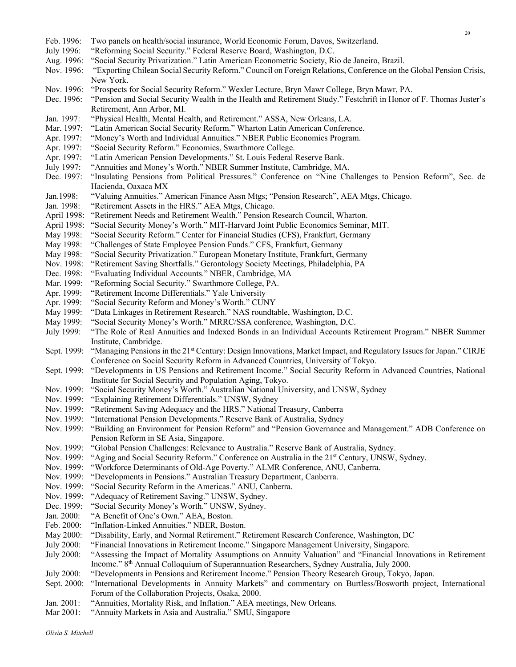### Feb. 1996: Two panels on health/social insurance, World Economic Forum, Davos, Switzerland. July 1996: "Reforming Social Security." Federal Reserve Board, Washington, D.C. Aug. 1996: "Social Security Privatization." Latin American Econometric Society, Rio de Janeiro, Brazil. Nov. 1996: "Exporting Chilean Social Security Reform." Council on Foreign Relations, Conference on the Global Pension Crisis, New York. Nov. 1996: "Prospects for Social Security Reform." Wexler Lecture, Bryn Mawr College, Bryn Mawr, PA. Dec. 1996: "Pension and Social Security Wealth in the Health and Retirement Study." Festchrift in Honor of F. Thomas Juster's Retirement, Ann Arbor, MI. Jan. 1997: "Physical Health, Mental Health, and Retirement." ASSA, New Orleans, LA. Mar. 1997: "Latin American Social Security Reform." Wharton Latin American Conference. Apr. 1997: "Money's Worth and Individual Annuities." NBER Public Economics Program. Apr. 1997: "Social Security Reform." Economics, Swarthmore College. Apr. 1997: "Latin American Pension Developments." St. Louis Federal Reserve Bank. July 1997: "Annuities and Money's Worth." NBER Summer Institute, Cambridge, MA. Dec. 1997: "Insulating Pensions from Political Pressures." Conference on "Nine Challenges to Pension Reform", Sec. de Hacienda, Oaxaca MX Jan.1998: "Valuing Annuities." American Finance Assn Mtgs; "Pension Research", AEA Mtgs, Chicago. Jan. 1998: "Retirement Assets in the HRS." AEA Mtgs, Chicago. April 1998: "Retirement Needs and Retirement Wealth." Pension Research Council, Wharton. April 1998: "Social Security Money's Worth." MIT-Harvard Joint Public Economics Seminar, MIT. May 1998: "Social Security Reform." Center for Financial Studies (CFS), Frankfurt, Germany May 1998: "Challenges of State Employee Pension Funds." CFS, Frankfurt, Germany May 1998: "Social Security Privatization." European Monetary Institute, Frankfurt, Germany Nov. 1998: "Retirement Saving Shortfalls." Gerontology Society Meetings, Philadelphia, PA Dec. 1998: "Evaluating Individual Accounts." NBER, Cambridge, MA Mar. 1999: "Reforming Social Security." Swarthmore College, PA. Apr. 1999: "Retirement Income Differentials." Yale University Apr. 1999: "Social Security Reform and Money's Worth." CUNY May 1999: "Data Linkages in Retirement Research." NAS roundtable, Washington, D.C. May 1999: "Social Security Money's Worth." MRRC/SSA conference, Washington, D.C. July 1999: "The Role of Real Annuities and Indexed Bonds in an Individual Accounts Retirement Program." NBER Summer Institute, Cambridge. Sept. 1999: "Managing Pensions in the 21st Century: Design Innovations, Market Impact, and Regulatory Issues for Japan." CIRJE Conference on Social Security Reform in Advanced Countries, University of Tokyo. Sept. 1999: "Developments in US Pensions and Retirement Income." Social Security Reform in Advanced Countries, National Institute for Social Security and Population Aging, Tokyo. Nov. 1999: "Social Security Money's Worth." Australian National University, and UNSW, Sydney Nov. 1999: "Explaining Retirement Differentials." UNSW, Sydney Nov. 1999: "Retirement Saving Adequacy and the HRS." National Treasury, Canberra Nov. 1999: "International Pension Developments." Reserve Bank of Australia, Sydney Nov. 1999: "Building an Environment for Pension Reform" and "Pension Governance and Management." ADB Conference on Pension Reform in SE Asia, Singapore. Nov. 1999: "Global Pension Challenges: Relevance to Australia." Reserve Bank of Australia, Sydney. Nov. 1999: "Aging and Social Security Reform." Conference on Australia in the 21<sup>st</sup> Century, UNSW, Sydney. Nov. 1999: "Workforce Determinants of Old-Age Poverty." ALMR Conference, ANU, Canberra. Nov. 1999: "Developments in Pensions." Australian Treasury Department, Canberra. Nov. 1999: "Social Security Reform in the Americas." ANU, Canberra. Nov. 1999: "Adequacy of Retirement Saving." UNSW, Sydney. Dec. 1999: "Social Security Money's Worth." UNSW, Sydney. Jan. 2000: "A Benefit of One's Own." AEA, Boston. Feb. 2000: "Inflation-Linked Annuities." NBER, Boston. May 2000: "Disability, Early, and Normal Retirement." Retirement Research Conference, Washington, DC July 2000: "Financial Innovations in Retirement Income." Singapore Management University, Singapore. July 2000: "Assessing the Impact of Mortality Assumptions on Annuity Valuation" and "Financial Innovations in Retirement Income." 8th Annual Colloquium of Superannuation Researchers, Sydney Australia, July 2000. July 2000: "Developments in Pensions and Retirement Income." Pension Theory Research Group, Tokyo, Japan. Sept. 2000: "International Developments in Annuity Markets" and commentary on Burtless/Bosworth project, International Forum of the Collaboration Projects, Osaka, 2000. Jan. 2001: "Annuities, Mortality Risk, and Inflation." AEA meetings, New Orleans. Mar 2001: "Annuity Markets in Asia and Australia." SMU, Singapore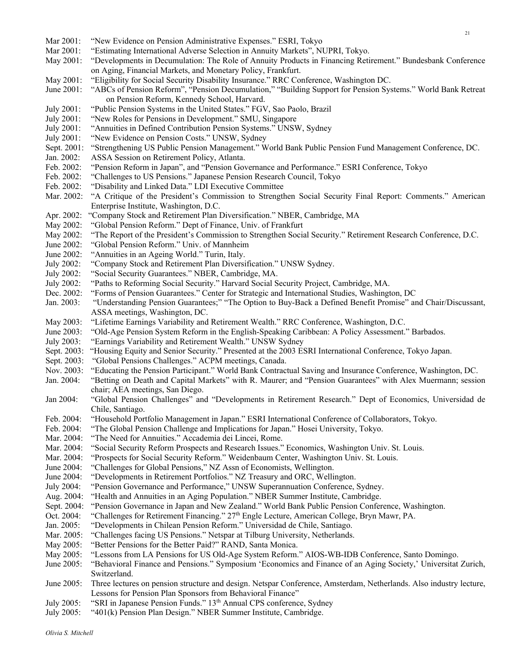21

- July 2005: "SRI in Japanese Pension Funds." 13<sup>th</sup> Annual CPS conference, Sydney
- July 2005: "401(k) Pension Plan Design." NBER Summer Institute, Cambridge.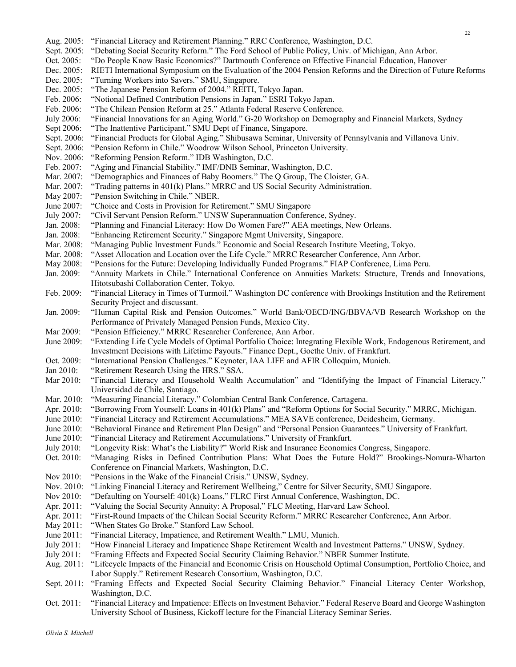22

- Aug. 2005: "Financial Literacy and Retirement Planning." RRC Conference, Washington, D.C. Sept. 2005: "Debating Social Security Reform." The Ford School of Public Policy, Univ. of Michigan, Ann Arbor.
- Oct. 2005: "Do People Know Basic Economics?" Dartmouth Conference on Effective Financial Education, Hanover
- Dec. 2005: RIETI International Symposium on the Evaluation of the 2004 Pension Reforms and the Direction of Future Reforms
- Dec. 2005: "Turning Workers into Savers." SMU, Singapore.
- Dec. 2005: "The Japanese Pension Reform of 2004." REITI, Tokyo Japan.
- Feb. 2006: "Notional Defined Contribution Pensions in Japan." ESRI Tokyo Japan.
- Feb. 2006: "The Chilean Pension Reform at 25." Atlanta Federal Reserve Conference.
- July 2006: "Financial Innovations for an Aging World." G-20 Workshop on Demography and Financial Markets, Sydney
- Sept 2006: "The Inattentive Participant." SMU Dept of Finance, Singapore.
- Sept. 2006: "Financial Products for Global Aging." Shibusawa Seminar, University of Pennsylvania and Villanova Univ.
- Sept. 2006: "Pension Reform in Chile." Woodrow Wilson School, Princeton University.
- Nov. 2006: "Reforming Pension Reform." IDB Washington, D.C.
- Feb. 2007: "Aging and Financial Stability." IMF/DNB Seminar, Washington, D.C.
- Mar. 2007: "Demographics and Finances of Baby Boomers." The Q Group, The Cloister, GA.
- Mar. 2007: "Trading patterns in 401(k) Plans." MRRC and US Social Security Administration.
- May 2007: "Pension Switching in Chile." NBER.
- June 2007: "Choice and Costs in Provision for Retirement." SMU Singapore
- July 2007: "Civil Servant Pension Reform." UNSW Superannuation Conference, Sydney.
- Jan. 2008: "Planning and Financial Literacy: How Do Women Fare?" AEA meetings, New Orleans.
- Jan. 2008: "Enhancing Retirement Security." Singapore Mgmt University, Singapore.
- Mar. 2008: "Managing Public Investment Funds." Economic and Social Research Institute Meeting, Tokyo.
- Mar. 2008: "Asset Allocation and Location over the Life Cycle." MRRC Researcher Conference, Ann Arbor.
- May 2008: "Pensions for the Future: Developing Individually Funded Programs." FIAP Conference, Lima Peru.
- Jan. 2009: "Annuity Markets in Chile." International Conference on Annuities Markets: Structure, Trends and Innovations, Hitotsubashi Collaboration Center, Tokyo.
- Feb. 2009: "Financial Literacy in Times of Turmoil." Washington DC conference with Brookings Institution and the Retirement Security Project and discussant.
- Jan. 2009: "Human Capital Risk and Pension Outcomes." World Bank/OECD/ING/BBVA/VB Research Workshop on the Performance of Privately Managed Pension Funds, Mexico City.
- Mar 2009: "Pension Efficiency." MRRC Researcher Conference, Ann Arbor.
- June 2009: "Extending Life Cycle Models of Optimal Portfolio Choice: Integrating Flexible Work, Endogenous Retirement, and Investment Decisions with Lifetime Payouts." Finance Dept., Goethe Univ. of Frankfurt.
- Oct. 2009: "International Pension Challenges." Keynoter, IAA LIFE and AFIR Colloquim, Munich.
- Jan 2010: "Retirement Research Using the HRS." SSA.
- Mar 2010: "Financial Literacy and Household Wealth Accumulation" and "Identifying the Impact of Financial Literacy." Universidad de Chile, Santiago.
- Mar. 2010: "Measuring Financial Literacy." Colombian Central Bank Conference, Cartagena.
- Apr. 2010: "Borrowing From Yourself: Loans in 401(k) Plans" and "Reform Options for Social Security." MRRC, Michigan.
- June 2010: "Financial Literacy and Retirement Accumulations." MEA SAVE conference, Deidesheim, Germany.
- June 2010: "Behavioral Finance and Retirement Plan Design" and "Personal Pension Guarantees." University of Frankfurt.
- June 2010: "Financial Literacy and Retirement Accumulations." University of Frankfurt.
- July 2010: "Longevity Risk: What's the Liability?" World Risk and Insurance Economics Congress, Singapore.
- Oct. 2010: "Managing Risks in Defined Contribution Plans: What Does the Future Hold?" Brookings-Nomura-Wharton Conference on Financial Markets, Washington, D.C.
- Nov 2010: "Pensions in the Wake of the Financial Crisis." UNSW, Sydney.
- Nov. 2010: "Linking Financial Literacy and Retirement Wellbeing," Centre for Silver Security, SMU Singapore.
- Nov 2010: "Defaulting on Yourself: 401(k) Loans," FLRC First Annual Conference, Washington, DC.
- Apr. 2011: "Valuing the Social Security Annuity: A Proposal," FLC Meeting, Harvard Law School.
- Apr. 2011: "First-Round Impacts of the Chilean Social Security Reform." MRRC Researcher Conference, Ann Arbor.
- May 2011: "When States Go Broke." Stanford Law School.
- June 2011: "Financial Literacy, Impatience, and Retirement Wealth." LMU, Munich.
- July 2011: "How Financial Literacy and Impatience Shape Retirement Wealth and Investment Patterns." UNSW, Sydney.
- July 2011: "Framing Effects and Expected Social Security Claiming Behavior." NBER Summer Institute.
- Aug. 2011: "Lifecycle Impacts of the Financial and Economic Crisis on Household Optimal Consumption, Portfolio Choice, and Labor Supply." Retirement Research Consortium, Washington, D.C.
- Sept. 2011: "Framing Effects and Expected Social Security Claiming Behavior." Financial Literacy Center Workshop, Washington, D.C.
- Oct. 2011: "Financial Literacy and Impatience: Effects on Investment Behavior." Federal Reserve Board and George Washington University School of Business, Kickoff lecture for the Financial Literacy Seminar Series.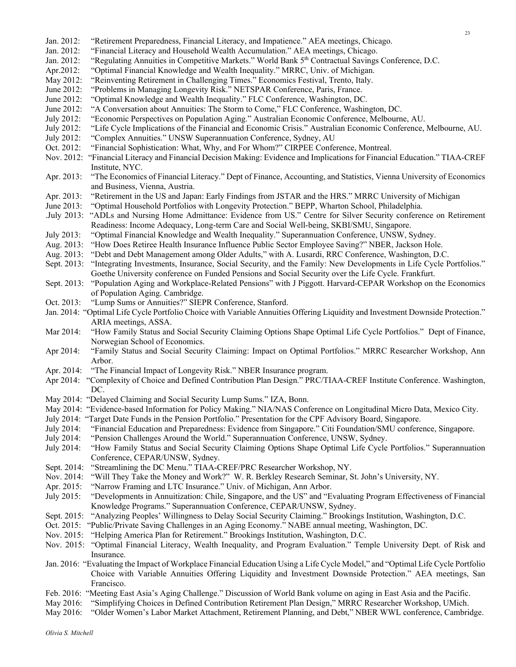- Jan. 2012: "Retirement Preparedness, Financial Literacy, and Impatience." AEA meetings, Chicago.
- Jan. 2012: "Financial Literacy and Household Wealth Accumulation." AEA meetings, Chicago.
- Jan. 2012: "Regulating Annuities in Competitive Markets." World Bank 5<sup>th</sup> Contractual Savings Conference, D.C.
- Apr.2012: "Optimal Financial Knowledge and Wealth Inequality." MRRC, Univ. of Michigan.
- May 2012: "Reinventing Retirement in Challenging Times." Economics Festival, Trento, Italy.
- June 2012: "Problems in Managing Longevity Risk." NETSPAR Conference, Paris, France.
- June 2012: "Optimal Knowledge and Wealth Inequality." FLC Conference, Washington, DC.
- June 2012: "A Conversation about Annuities: The Storm to Come," FLC Conference, Washington, DC.
- July 2012: "Economic Perspectives on Population Aging." Australian Economic Conference, Melbourne, AU.
- July 2012: "Life Cycle Implications of the Financial and Economic Crisis." Australian Economic Conference, Melbourne, AU.
- July 2012: "Complex Annuities." UNSW Superannuation Conference, Sydney, AU
- Oct. 2012: "Financial Sophistication: What, Why, and For Whom?" CIRPEE Conference, Montreal.
- Nov. 2012: "Financial Literacy and Financial Decision Making: Evidence and Implications for Financial Education." TIAA-CREF Institute, NYC.
- Apr. 2013: "The Economics of Financial Literacy." Dept of Finance, Accounting, and Statistics, Vienna University of Economics and Business, Vienna, Austria.
- Apr. 2013: "Retirement in the US and Japan: Early Findings from JSTAR and the HRS." MRRC University of Michigan
- June 2013: "Optimal Household Portfolios with Longevity Protection." BEPP, Wharton School, Philadelphia.
- .July 2013: "ADLs and Nursing Home Admittance: Evidence from US." Centre for Silver Security conference on Retirement Readiness: Income Adequacy, Long-term Care and Social Well-being, SKBI/SMU, Singapore.
- July 2013: "Optimal Financial Knowledge and Wealth Inequality." Superannuation Conference, UNSW, Sydney.
- Aug. 2013: "How Does Retiree Health Insurance Influence Public Sector Employee Saving?" NBER, Jackson Hole.
- Aug. 2013: "Debt and Debt Management among Older Adults," with A. Lusardi, RRC Conference, Washington, D.C.
- Sept. 2013: "Integrating Investments, Insurance, Social Security, and the Family: New Developments in Life Cycle Portfolios." Goethe University conference on Funded Pensions and Social Security over the Life Cycle. Frankfurt.
- Sept. 2013: "Population Aging and Workplace-Related Pensions" with J Piggott. Harvard-CEPAR Workshop on the Economics of Population Aging. Cambridge.
- Oct. 2013: "Lump Sums or Annuities?" SIEPR Conference, Stanford.
- Jan. 2014: "Optimal Life Cycle Portfolio Choice with Variable Annuities Offering Liquidity and Investment Downside Protection." ARIA meetings, ASSA.
- Mar 2014: "How Family Status and Social Security Claiming Options Shape Optimal Life Cycle Portfolios." Dept of Finance, Norwegian School of Economics.
- Apr 2014: "Family Status and Social Security Claiming: Impact on Optimal Portfolios." MRRC Researcher Workshop, Ann Arbor.
- Apr. 2014: "The Financial Impact of Longevity Risk." NBER Insurance program.
- Apr 2014: "Complexity of Choice and Defined Contribution Plan Design." PRC/TIAA-CREF Institute Conference. Washington, DC.
- May 2014: "Delayed Claiming and Social Security Lump Sums." IZA, Bonn.
- May 2014: "Evidence-based Information for Policy Making." NIA/NAS Conference on Longitudinal Micro Data, Mexico City.
- July 2014: "Target Date Funds in the Pension Portfolio." Presentation for the CPF Advisory Board, Singapore.
- July 2014: "Financial Education and Preparedness: Evidence from Singapore." Citi Foundation/SMU conference, Singapore.
- July 2014: "Pension Challenges Around the World." Superannuation Conference, UNSW, Sydney.
- July 2014: "How Family Status and Social Security Claiming Options Shape Optimal Life Cycle Portfolios." Superannuation Conference, CEPAR/UNSW, Sydney.
- Sept. 2014: "Streamlining the DC Menu." TIAA-CREF/PRC Researcher Workshop, NY.
- Nov. 2014: "Will They Take the Money and Work?" W. R. Berkley Research Seminar, St. John's University, NY.
- Apr. 2015: "Narrow Framing and LTC Insurance." Univ. of Michigan, Ann Arbor.
- July 2015: "Developments in Annuitization: Chile, Singapore, and the US" and "Evaluating Program Effectiveness of Financial Knowledge Programs." Superannuation Conference, CEPAR/UNSW, Sydney.
- Sept. 2015: "Analyzing Peoples' Willingness to Delay Social Security Claiming." Brookings Institution, Washington, D.C.
- Oct. 2015: "Public/Private Saving Challenges in an Aging Economy." NABE annual meeting, Washington, DC.
- Nov. 2015: "Helping America Plan for Retirement." Brookings Institution, Washington, D.C.
- Nov. 2015: "Optimal Financial Literacy, Wealth Inequality, and Program Evaluation." Temple University Dept. of Risk and Insurance.
- Jan. 2016: "Evaluating the Impact of Workplace Financial Education Using a Life Cycle Model," and "Optimal Life Cycle Portfolio Choice with Variable Annuities Offering Liquidity and Investment Downside Protection." AEA meetings, San Francisco.
- Feb. 2016: "Meeting East Asia's Aging Challenge." Discussion of World Bank volume on aging in East Asia and the Pacific.
- May 2016: "Simplifying Choices in Defined Contribution Retirement Plan Design," MRRC Researcher Workshop, UMich.
- May 2016: "Older Women's Labor Market Attachment, Retirement Planning, and Debt," NBER WWL conference, Cambridge.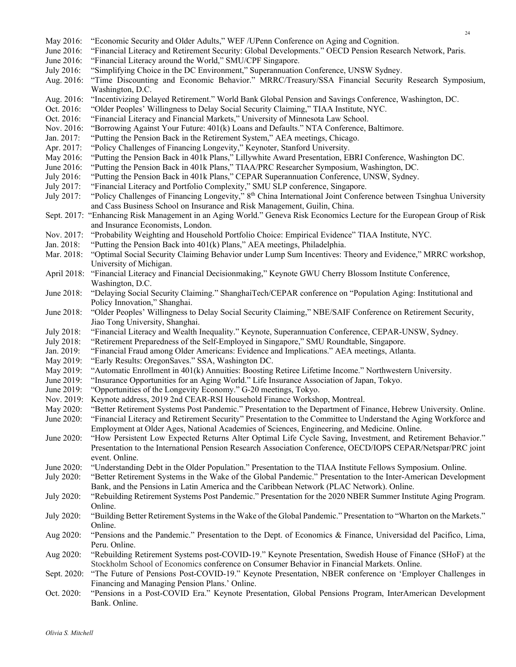- May 2016: "Economic Security and Older Adults," WEF /UPenn Conference on Aging and Cognition.
- June 2016: "Financial Literacy and Retirement Security: Global Developments." OECD Pension Research Network, Paris.
- June 2016: "Financial Literacy around the World," SMU/CPF Singapore.
- July 2016: "Simplifying Choice in the DC Environment," Superannuation Conference, UNSW Sydney.
- Aug. 2016: "Time Discounting and Economic Behavior." MRRC/Treasury/SSA Financial Security Research Symposium, Washington, D.C.
- Aug. 2016: "Incentivizing Delayed Retirement." World Bank Global Pension and Savings Conference, Washington, DC.
- Oct. 2016: "Older Peoples' Willingness to Delay Social Security Claiming," TIAA Institute, NYC.
- Oct. 2016: "Financial Literacy and Financial Markets," University of Minnesota Law School.
- Nov. 2016: "Borrowing Against Your Future: 401(k) Loans and Defaults." NTA Conference, Baltimore.
- Jan. 2017: "Putting the Pension Back in the Retirement System," AEA meetings, Chicago.
- Apr. 2017: "Policy Challenges of Financing Longevity," Keynoter, Stanford University.
- May 2016: "Putting the Pension Back in 401k Plans," Lillywhite Award Presentation, EBRI Conference, Washington DC.
- June 2016: "Putting the Pension Back in 401k Plans," TIAA/PRC Researcher Symposium, Washington, DC.
- July 2016: "Putting the Pension Back in 401k Plans," CEPAR Superannuation Conference, UNSW, Sydney.
- July 2017: "Financial Literacy and Portfolio Complexity," SMU SLP conference, Singapore.
- July 2017: "Policy Challenges of Financing Longevity," 8<sup>th</sup> China International Joint Conference between Tsinghua University and Cass Business School on Insurance and Risk Management, Guilin, China.
- Sept. 2017: "Enhancing Risk Management in an Aging World." Geneva Risk Economics Lecture for the European Group of Risk and Insurance Economists, London.
- Nov. 2017: "Probability Weighting and Household Portfolio Choice: Empirical Evidence" TIAA Institute, NYC.
- Jan. 2018: "Putting the Pension Back into 401(k) Plans," AEA meetings, Philadelphia.
- Mar. 2018: "Optimal Social Security Claiming Behavior under Lump Sum Incentives: Theory and Evidence," MRRC workshop, University of Michigan.
- April 2018: "Financial Literacy and Financial Decisionmaking," Keynote GWU Cherry Blossom Institute Conference, Washington, D.C.
- June 2018: "Delaying Social Security Claiming." ShanghaiTech/CEPAR conference on "Population Aging: Institutional and Policy Innovation," Shanghai.
- June 2018: "Older Peoples' Willingness to Delay Social Security Claiming," NBE/SAIF Conference on Retirement Security, Jiao Tong University, Shanghai.
- July 2018: "Financial Literacy and Wealth Inequality." Keynote, Superannuation Conference, CEPAR-UNSW, Sydney.
- July 2018: "Retirement Preparedness of the Self-Employed in Singapore," SMU Roundtable, Singapore.
- Jan. 2019: "Financial Fraud among Older Americans: Evidence and Implications." AEA meetings, Atlanta.
- May 2019: "Early Results: OregonSaves." SSA, Washington DC.
- May 2019: "Automatic Enrollment in 401(k) Annuities: Boosting Retiree Lifetime Income." Northwestern University.
- June 2019: "Insurance Opportunities for an Aging World." Life Insurance Association of Japan, Tokyo.
- June 2019: "Opportunities of the Longevity Economy." G-20 meetings, Tokyo.
- Nov. 2019: Keynote address, 2019 2nd CEAR-RSI Household Finance Workshop, Montreal.
- May 2020: "Better Retirement Systems Post Pandemic." Presentation to the Department of Finance, Hebrew University. Online.
- June 2020: "Financial Literacy and Retirement Security" Presentation to the Committee to Understand the Aging Workforce and Employment at Older Ages, National Academies of Sciences, Engineering, and Medicine. Online.
- June 2020: "How Persistent Low Expected Returns Alter Optimal Life Cycle Saving, Investment, and Retirement Behavior." Presentation to the International Pension Research Association Conference, OECD/IOPS CEPAR/Netspar/PRC joint event. Online.
- June 2020: "Understanding Debt in the Older Population." Presentation to the TIAA Institute Fellows Symposium. Online.
- July 2020: "Better Retirement Systems in the Wake of the Global Pandemic." Presentation to the Inter-American Development Bank, and the Pensions in Latin America and the Caribbean Network (PLAC Network). Online.
- July 2020: "Rebuilding Retirement Systems Post Pandemic." Presentation for the 2020 NBER Summer Institute Aging Program. Online.
- July 2020: "Building Better Retirement Systems in the Wake of the Global Pandemic." Presentation to "Wharton on the Markets." Online.
- Aug 2020: "Pensions and the Pandemic." Presentation to the Dept. of Economics & Finance, Universidad del Pacifico, Lima, Peru. Online.
- Aug 2020: "Rebuilding Retirement Systems post-COVID-19." Keynote Presentation, Swedish House of Finance (SHoF) at the Stockholm School of Economics conference on Consumer Behavior in Financial Markets. Online.
- Sept. 2020: "The Future of Pensions Post-COVID-19." Keynote Presentation, NBER conference on 'Employer Challenges in Financing and Managing Pension Plans.' Online.
- Oct. 2020: "Pensions in a Post-COVID Era." Keynote Presentation, Global Pensions Program, InterAmerican Development Bank. Online.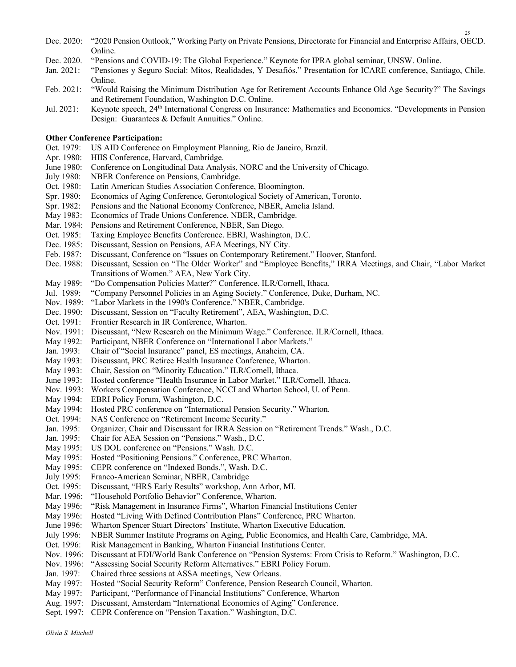- Dec. 2020: "2020 Pension Outlook," Working Party on Private Pensions, Directorate for Financial and Enterprise Affairs, OECD. Online.
- Dec. 2020. "Pensions and COVID-19: The Global Experience." Keynote for IPRA global seminar, UNSW. Online.
- Jan. 2021: "Pensiones y Seguro Social: Mitos, Realidades, Y Desafiós." Presentation for ICARE conference, Santiago, Chile. Online.
- Feb. 2021: "Would Raising the Minimum Distribution Age for Retirement Accounts Enhance Old Age Security?" The Savings and Retirement Foundation, Washington D.C. Online.
- Jul. 2021: Keynote speech, 24th International Congress on Insurance: Mathematics and Economics. "Developments in Pension Design: Guarantees & Default Annuities." Online.

#### **Other Conference Participation:**

- Oct. 1979: US AID Conference on Employment Planning, Rio de Janeiro, Brazil.
- Apr. 1980: HIIS Conference, Harvard, Cambridge.
- June 1980: Conference on Longitudinal Data Analysis, NORC and the University of Chicago.
- July 1980: NBER Conference on Pensions, Cambridge.
- Oct. 1980: Latin American Studies Association Conference, Bloomington.
- Spr. 1980: Economics of Aging Conference, Gerontological Society of American, Toronto.
- Spr. 1982: Pensions and the National Economy Conference, NBER, Amelia Island.
- May 1983: Economics of Trade Unions Conference, NBER, Cambridge.
- Mar. 1984: Pensions and Retirement Conference, NBER, San Diego.
- Oct. 1985: Taxing Employee Benefits Conference. EBRI, Washington, D.C.
- Dec. 1985: Discussant, Session on Pensions, AEA Meetings, NY City.
- Feb. 1987: Discussant, Conference on "Issues on Contemporary Retirement." Hoover, Stanford.
- Dec. 1988: Discussant, Session on "The Older Worker" and "Employee Benefits," IRRA Meetings, and Chair, "Labor Market Transitions of Women." AEA, New York City.
- May 1989: "Do Compensation Policies Matter?" Conference. ILR/Cornell, Ithaca.
- Jul. 1989: "Company Personnel Policies in an Aging Society." Conference, Duke, Durham, NC.
- Nov. 1989: "Labor Markets in the 1990's Conference." NBER, Cambridge.
- Dec. 1990: Discussant, Session on "Faculty Retirement", AEA, Washington, D.C.
- Oct. 1991: Frontier Research in IR Conference, Wharton.
- Nov. 1991: Discussant, "New Research on the Minimum Wage." Conference. ILR/Cornell, Ithaca.
- May 1992: Participant, NBER Conference on "International Labor Markets."
- Jan. 1993: Chair of "Social Insurance" panel, ES meetings, Anaheim, CA.
- May 1993: Discussant, PRC Retiree Health Insurance Conference, Wharton.
- May 1993: Chair, Session on "Minority Education." ILR/Cornell, Ithaca.
- June 1993: Hosted conference "Health Insurance in Labor Market." ILR/Cornell, Ithaca.
- Nov. 1993: Workers Compensation Conference, NCCI and Wharton School, U. of Penn.
- May 1994: EBRI Policy Forum, Washington, D.C.
- May 1994: Hosted PRC conference on "International Pension Security." Wharton.
- Oct. 1994: NAS Conference on "Retirement Income Security."
- Jan. 1995: Organizer, Chair and Discussant for IRRA Session on "Retirement Trends." Wash., D.C.
- Jan. 1995: Chair for AEA Session on "Pensions." Wash., D.C.
- May 1995: US DOL conference on "Pensions." Wash. D.C.
- May 1995: Hosted "Positioning Pensions." Conference, PRC Wharton.
- May 1995: CEPR conference on "Indexed Bonds.", Wash. D.C.
- July 1995: Franco-American Seminar, NBER, Cambridge
- Oct. 1995: Discussant, "HRS Early Results" workshop, Ann Arbor, MI.
- Mar. 1996: "Household Portfolio Behavior" Conference, Wharton.
- May 1996: "Risk Management in Insurance Firms", Wharton Financial Institutions Center
- May 1996: Hosted "Living With Defined Contribution Plans" Conference, PRC Wharton.
- June 1996: Wharton Spencer Stuart Directors' Institute, Wharton Executive Education.
- July 1996: NBER Summer Institute Programs on Aging, Public Economics, and Health Care, Cambridge, MA.
- Oct. 1996: Risk Management in Banking, Wharton Financial Institutions Center.
- Nov. 1996: Discussant at EDI/World Bank Conference on "Pension Systems: From Crisis to Reform." Washington, D.C.
- Nov. 1996: "Assessing Social Security Reform Alternatives." EBRI Policy Forum.<br>Jan. 1997: Chaired three sessions at ASSA meetings, New Orleans.
- Chaired three sessions at ASSA meetings, New Orleans.
- May 1997: Hosted "Social Security Reform" Conference, Pension Research Council, Wharton.
- May 1997: Participant, "Performance of Financial Institutions" Conference, Wharton
- Aug. 1997: Discussant, Amsterdam "International Economics of Aging" Conference.
- Sept. 1997: CEPR Conference on "Pension Taxation." Washington, D.C.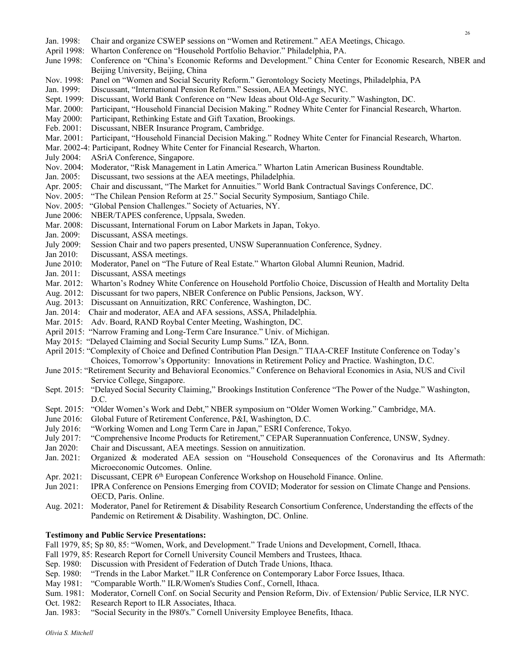- Jan. 1998: Chair and organize CSWEP sessions on "Women and Retirement." AEA Meetings, Chicago.
- April 1998: Wharton Conference on "Household Portfolio Behavior." Philadelphia, PA.
- June 1998: Conference on "China's Economic Reforms and Development." China Center for Economic Research, NBER and Beijing University, Beijing, China
- Nov. 1998: Panel on "Women and Social Security Reform." Gerontology Society Meetings, Philadelphia, PA
- Jan. 1999: Discussant, "International Pension Reform." Session, AEA Meetings, NYC.
- Sept. 1999: Discussant, World Bank Conference on "New Ideas about Old-Age Security." Washington, DC.
- Mar. 2000: Participant, "Household Financial Decision Making." Rodney White Center for Financial Research, Wharton.
- May 2000: Participant, Rethinking Estate and Gift Taxation, Brookings.
- Feb. 2001: Discussant, NBER Insurance Program, Cambridge.
- Mar. 2001: Participant, "Household Financial Decision Making." Rodney White Center for Financial Research, Wharton.
- Mar. 2002-4: Participant, Rodney White Center for Financial Research, Wharton.
- July 2004: ASriA Conference, Singapore.
- Nov. 2004: Moderator, "Risk Management in Latin America." Wharton Latin American Business Roundtable.
- Jan. 2005: Discussant, two sessions at the AEA meetings, Philadelphia.
- Apr. 2005: Chair and discussant, "The Market for Annuities." World Bank Contractual Savings Conference, DC.
- Nov. 2005: "The Chilean Pension Reform at 25." Social Security Symposium, Santiago Chile.
- Nov. 2005: "Global Pension Challenges." Society of Actuaries, NY.
- June 2006: NBER/TAPES conference, Uppsala, Sweden.
- Mar. 2008: Discussant, International Forum on Labor Markets in Japan, Tokyo.
- Jan. 2009: Discussant, ASSA meetings.
- July 2009: Session Chair and two papers presented, UNSW Superannuation Conference, Sydney.
- Jan 2010: Discussant, ASSA meetings.
- June 2010: Moderator, Panel on "The Future of Real Estate." Wharton Global Alumni Reunion, Madrid.
- Jan. 2011: Discussant, ASSA meetings
- Mar. 2012: Wharton's Rodney White Conference on Household Portfolio Choice, Discussion of Health and Mortality Delta
- Aug. 2012: Discussant for two papers, NBER Conference on Public Pensions, Jackson, WY.
- Aug. 2013: Discussant on Annuitization, RRC Conference, Washington, DC.
- Jan. 2014: Chair and moderator, AEA and AFA sessions, ASSA, Philadelphia.
- Mar. 2015: Adv. Board, RAND Roybal Center Meeting, Washington, DC.
- April 2015: "Narrow Framing and Long-Term Care Insurance." Univ. of Michigan.
- May 2015: "Delayed Claiming and Social Security Lump Sums." IZA, Bonn.
- April 2015: "Complexity of Choice and Defined Contribution Plan Design." TIAA-CREF Institute Conference on Today's Choices, Tomorrow's Opportunity: Innovations in Retirement Policy and Practice. Washington, D.C.
- June 2015: "Retirement Security and Behavioral Economics." Conference on Behavioral Economics in Asia, NUS and Civil Service College, Singapore.
- Sept. 2015: "Delayed Social Security Claiming," Brookings Institution Conference "The Power of the Nudge." Washington, D.C.
- Sept. 2015: "Older Women's Work and Debt," NBER symposium on "Older Women Working." Cambridge, MA.
- June 2016: Global Future of Retirement Conference, P&I, Washington, D.C.
- July 2016: "Working Women and Long Term Care in Japan," ESRI Conference, Tokyo.
- July 2017: "Comprehensive Income Products for Retirement," CEPAR Superannuation Conference, UNSW, Sydney.
- Jan 2020: Chair and Discussant, AEA meetings. Session on annuitization.
- Jan. 2021: Organized & moderated AEA session on "Household Consequences of the Coronavirus and Its Aftermath: Microeconomic Outcomes. Online.
- Apr. 2021: Discussant, CEPR 6<sup>th</sup> European Conference Workshop on Household Finance. Online.
- Jun 2021: IPRA Conference on Pensions Emerging from COVID; Moderator for session on Climate Change and Pensions. OECD, Paris. Online.
- Aug. 2021: Moderator, Panel for Retirement & Disability Research Consortium Conference, Understanding the effects of the Pandemic on Retirement & Disability. Washington, DC. Online.

#### **Testimony and Public Service Presentations:**

- Fall 1979, 85; Sp 80, 85: "Women, Work, and Development." Trade Unions and Development, Cornell, Ithaca.
- Fall 1979, 85: Research Report for Cornell University Council Members and Trustees, Ithaca.
- Sep. 1980: Discussion with President of Federation of Dutch Trade Unions, Ithaca.
- Sep. 1980: "Trends in the Labor Market." ILR Conference on Contemporary Labor Force Issues, Ithaca.
- May 1981: "Comparable Worth." ILR/Women's Studies Conf., Cornell, Ithaca.
- Sum. 1981: Moderator, Cornell Conf. on Social Security and Pension Reform, Div. of Extension/ Public Service, ILR NYC.
- Oct. 1982: Research Report to ILR Associates, Ithaca.
- Jan. 1983: "Social Security in the l980's." Cornell University Employee Benefits, Ithaca.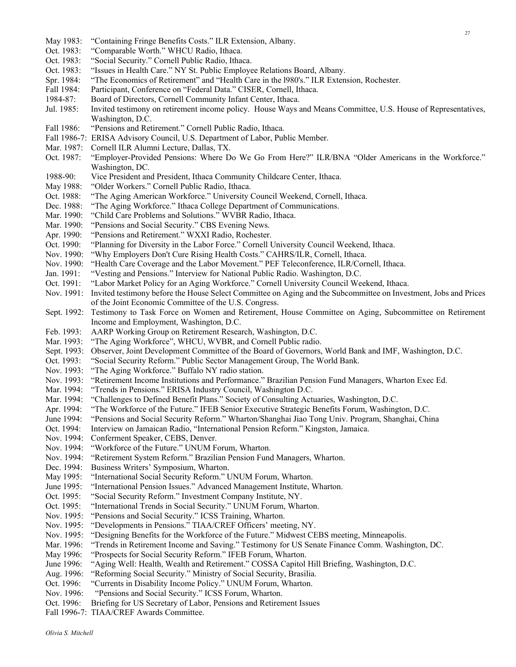- May 1983: "Containing Fringe Benefits Costs." ILR Extension, Albany.
- Oct. 1983: "Comparable Worth." WHCU Radio, Ithaca.
- Oct. 1983: "Social Security." Cornell Public Radio, Ithaca.
- Oct. 1983: "Issues in Health Care." NY St. Public Employee Relations Board, Albany.
- Spr. 1984: "The Economics of Retirement" and "Health Care in the l980's." ILR Extension, Rochester.
- Fall 1984: Participant, Conference on "Federal Data." CISER, Cornell, Ithaca.
- 1984-87: Board of Directors, Cornell Community Infant Center, Ithaca.
- Jul. 1985: Invited testimony on retirement income policy. House Ways and Means Committee, U.S. House of Representatives, Washington, D.C.
- Fall 1986: "Pensions and Retirement." Cornell Public Radio, Ithaca.
- Fall 1986-7: ERISA Advisory Council, U.S. Department of Labor, Public Member.
- Mar. 1987: Cornell ILR Alumni Lecture, Dallas, TX.
- Oct. 1987: "Employer-Provided Pensions: Where Do We Go From Here?" ILR/BNA "Older Americans in the Workforce." Washington, DC.
- 1988-90: Vice President and President, Ithaca Community Childcare Center, Ithaca.
- May 1988: "Older Workers." Cornell Public Radio, Ithaca.
- Oct. 1988: "The Aging American Workforce." University Council Weekend, Cornell, Ithaca.
- Dec. 1988: "The Aging Workforce." Ithaca College Department of Communications.
- Mar. 1990: "Child Care Problems and Solutions." WVBR Radio, Ithaca.
- Mar. 1990: "Pensions and Social Security." CBS Evening News.
- Apr. 1990: "Pensions and Retirement." WXXI Radio, Rochester.
- Oct. 1990: "Planning for Diversity in the Labor Force." Cornell University Council Weekend, Ithaca.
- Nov. 1990: "Why Employers Don't Cure Rising Health Costs." CAHRS/ILR, Cornell, Ithaca.
- Nov. 1990: "Health Care Coverage and the Labor Movement." PEF Teleconference, ILR/Cornell, Ithaca.
- Jan. 1991: "Vesting and Pensions." Interview for National Public Radio. Washington, D.C.
- Oct. 1991: "Labor Market Policy for an Aging Workforce." Cornell University Council Weekend, Ithaca.
- Nov. 1991: Invited testimony before the House Select Committee on Aging and the Subcommittee on Investment, Jobs and Prices of the Joint Economic Committee of the U.S. Congress.
- Sept. 1992: Testimony to Task Force on Women and Retirement, House Committee on Aging, Subcommittee on Retirement Income and Employment, Washington, D.C.
- Feb. 1993: AARP Working Group on Retirement Research, Washington, D.C.
- Mar. 1993: "The Aging Workforce", WHCU, WVBR, and Cornell Public radio.
- Sept. 1993: Observer, Joint Development Committee of the Board of Governors, World Bank and IMF, Washington, D.C.
- Oct. 1993: "Social Security Reform." Public Sector Management Group, The World Bank.
- Nov. 1993: "The Aging Workforce." Buffalo NY radio station.
- Nov. 1993: "Retirement Income Institutions and Performance." Brazilian Pension Fund Managers, Wharton Exec Ed.
- Mar. 1994: "Trends in Pensions." ERISA Industry Council, Washington D.C.
- Mar. 1994: "Challenges to Defined Benefit Plans." Society of Consulting Actuaries, Washington, D.C.
- Apr. 1994: "The Workforce of the Future." IFEB Senior Executive Strategic Benefits Forum, Washington, D.C.
- June 1994: "Pensions and Social Security Reform." Wharton/Shanghai Jiao Tong Univ. Program, Shanghai, China
- Oct. 1994: Interview on Jamaican Radio, "International Pension Reform." Kingston, Jamaica.
- Nov. 1994: Conferment Speaker, CEBS, Denver.
- Nov. 1994: "Workforce of the Future." UNUM Forum, Wharton.
- Nov. 1994: "Retirement System Reform." Brazilian Pension Fund Managers, Wharton.
- Dec. 1994: Business Writers' Symposium, Wharton.
- May 1995: "International Social Security Reform." UNUM Forum, Wharton.
- June 1995: "International Pension Issues." Advanced Management Institute, Wharton.
- Oct. 1995: "Social Security Reform." Investment Company Institute, NY.
- Oct. 1995: "International Trends in Social Security." UNUM Forum, Wharton.
- Nov. 1995: "Pensions and Social Security." ICSS Training, Wharton.
- Nov. 1995: "Developments in Pensions." TIAA/CREF Officers' meeting, NY.
- Nov. 1995: "Designing Benefits for the Workforce of the Future." Midwest CEBS meeting, Minneapolis.
- Mar. 1996: "Trends in Retirement Income and Saving." Testimony for US Senate Finance Comm. Washington, DC.
- May 1996: "Prospects for Social Security Reform." IFEB Forum, Wharton.
- June 1996: "Aging Well: Health, Wealth and Retirement." COSSA Capitol Hill Briefing, Washington, D.C.
- Aug. 1996: "Reforming Social Security." Ministry of Social Security, Brasilia.
- Oct. 1996: "Currents in Disability Income Policy." UNUM Forum, Wharton.
- Nov. 1996: "Pensions and Social Security." ICSS Forum, Wharton.
- Oct. 1996: Briefing for US Secretary of Labor, Pensions and Retirement Issues
- Fall 1996-7: TIAA/CREF Awards Committee.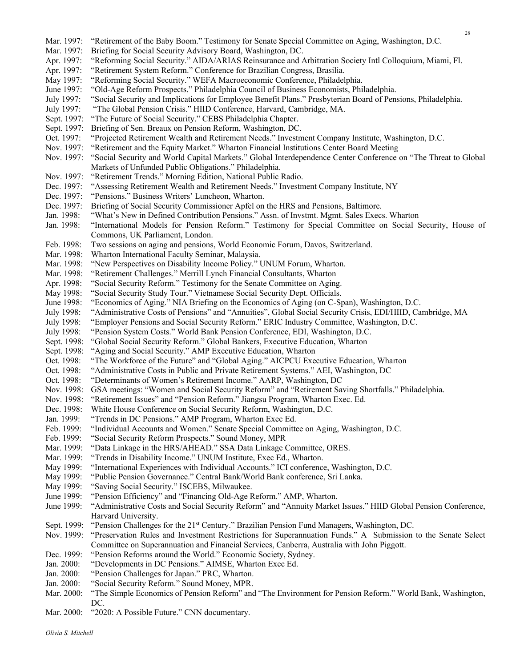Mar. 1997: "Retirement of the Baby Boom." Testimony for Senate Special Committee on Aging, Washington, D.C. Mar. 1997: Briefing for Social Security Advisory Board, Washington, DC. Apr. 1997: "Reforming Social Security." AIDA/ARIAS Reinsurance and Arbitration Society Intl Colloquium, Miami, Fl. Apr. 1997: "Retirement System Reform." Conference for Brazilian Congress, Brasilia. May 1997: "Reforming Social Security." WEFA Macroeconomic Conference, Philadelphia. June 1997: "Old-Age Reform Prospects." Philadelphia Council of Business Economists, Philadelphia. July 1997: "Social Security and Implications for Employee Benefit Plans." Presbyterian Board of Pensions, Philadelphia. July 1997: "The Global Pension Crisis." HIID Conference, Harvard, Cambridge, MA. Sept. 1997: "The Future of Social Security." CEBS Philadelphia Chapter. Sept. 1997: Briefing of Sen. Breaux on Pension Reform, Washington, DC. Oct. 1997: "Projected Retirement Wealth and Retirement Needs." Investment Company Institute, Washington, D.C. Nov. 1997: "Retirement and the Equity Market." Wharton Financial Institutions Center Board Meeting Nov. 1997: "Social Security and World Capital Markets." Global Interdependence Center Conference on "The Threat to Global Markets of Unfunded Public Obligations." Philadelphia. Nov. 1997: "Retirement Trends." Morning Edition, National Public Radio. Dec. 1997: "Assessing Retirement Wealth and Retirement Needs." Investment Company Institute, NY Dec. 1997: "Pensions." Business Writers' Luncheon, Wharton. Dec. 1997: Briefing of Social Security Commissioner Apfel on the HRS and Pensions, Baltimore. Jan. 1998: "What's New in Defined Contribution Pensions." Assn. of Invstmt. Mgmt. Sales Execs. Wharton Jan. 1998: "International Models for Pension Reform." Testimony for Special Committee on Social Security, House of Commons, UK Parliament, London. Feb. 1998: Two sessions on aging and pensions, World Economic Forum, Davos, Switzerland. Mar. 1998: Wharton International Faculty Seminar, Malaysia. Mar. 1998: "New Perspectives on Disability Income Policy." UNUM Forum, Wharton. Mar. 1998: "Retirement Challenges." Merrill Lynch Financial Consultants, Wharton Apr. 1998: "Social Security Reform." Testimony for the Senate Committee on Aging. May 1998: "Social Security Study Tour." Vietnamese Social Security Dept. Officials. June 1998: "Economics of Aging." NIA Briefing on the Economics of Aging (on C-Span), Washington, D.C. July 1998: "Administrative Costs of Pensions" and "Annuities", Global Social Security Crisis, EDI/HIID, Cambridge, MA July 1998: "Employer Pensions and Social Security Reform." ERIC Industry Committee, Washington, D.C. July 1998: "Pension System Costs." World Bank Pension Conference, EDI, Washington, D.C. Sept. 1998: "Global Social Security Reform." Global Bankers, Executive Education, Wharton Sept. 1998: "Aging and Social Security." AMP Executive Education, Wharton Oct. 1998: "The Workforce of the Future" and "Global Aging." AICPCU Executive Education, Wharton Oct. 1998: "Administrative Costs in Public and Private Retirement Systems." AEI, Washington, DC Oct. 1998: "Determinants of Women's Retirement Income." AARP, Washington, DC Nov. 1998: GSA meetings: "Women and Social Security Reform" and "Retirement Saving Shortfalls." Philadelphia. Nov. 1998: "Retirement Issues" and "Pension Reform." Jiangsu Program, Wharton Exec. Ed. Dec. 1998: White House Conference on Social Security Reform, Washington, D.C. Jan. 1999: "Trends in DC Pensions." AMP Program, Wharton Exec Ed. Feb. 1999: "Individual Accounts and Women." Senate Special Committee on Aging, Washington, D.C. Feb. 1999: "Social Security Reform Prospects." Sound Money, MPR Mar. 1999: "Data Linkage in the HRS/AHEAD." SSA Data Linkage Committee, ORES. Mar. 1999: "Trends in Disability Income." UNUM Institute, Exec Ed., Wharton. May 1999: "International Experiences with Individual Accounts." ICI conference, Washington, D.C. May 1999: "Public Pension Governance." Central Bank/World Bank conference, Sri Lanka. May 1999: "Saving Social Security." ISCEBS, Milwaukee. June 1999: "Pension Efficiency" and "Financing Old-Age Reform." AMP, Wharton. June 1999: "Administrative Costs and Social Security Reform" and "Annuity Market Issues." HIID Global Pension Conference, Harvard University. Sept. 1999: "Pension Challenges for the 21<sup>st</sup> Century." Brazilian Pension Fund Managers, Washington, DC. Nov. 1999: "Preservation Rules and Investment Restrictions for Superannuation Funds." A Submission to the Senate Select Committee on Superannuation and Financial Services, Canberra, Australia with John Piggott. Dec. 1999: "Pension Reforms around the World." Economic Society, Sydney. Jan. 2000: "Developments in DC Pensions." AIMSE, Wharton Exec Ed. Jan. 2000: "Pension Challenges for Japan." PRC, Wharton. Jan. 2000: "Social Security Reform." Sound Money, MPR. Mar. 2000: "The Simple Economics of Pension Reform" and "The Environment for Pension Reform." World Bank, Washington, DC. Mar. 2000: "2020: A Possible Future." CNN documentary.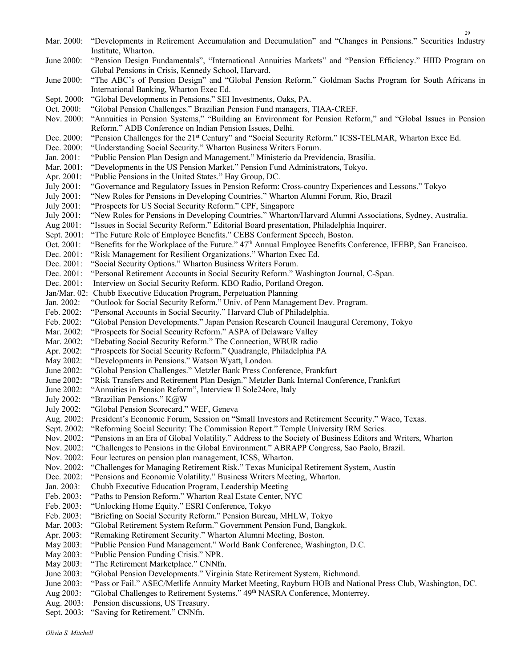Mar. 2000: "Developments in Retirement Accumulation and Decumulation" and "Changes in Pensions." Securities Industry Institute, Wharton. June 2000: "Pension Design Fundamentals", "International Annuities Markets" and "Pension Efficiency." HIID Program on Global Pensions in Crisis, Kennedy School, Harvard. June 2000: "The ABC's of Pension Design" and "Global Pension Reform." Goldman Sachs Program for South Africans in International Banking, Wharton Exec Ed. Sept. 2000: "Global Developments in Pensions." SEI Investments, Oaks, PA. Oct. 2000: "Global Pension Challenges." Brazilian Pension Fund managers, TIAA-CREF. Nov. 2000: "Annuities in Pension Systems," "Building an Environment for Pension Reform," and "Global Issues in Pension Reform." ADB Conference on Indian Pension Issues, Delhi. Dec. 2000: "Pension Challenges for the 21<sup>st</sup> Century" and "Social Security Reform." ICSS-TELMAR, Wharton Exec Ed. Dec. 2000: "Understanding Social Security." Wharton Business Writers Forum. Jan. 2001: "Public Pension Plan Design and Management." Ministerio da Previdencia, Brasilia. Mar. 2001: "Developments in the US Pension Market." Pension Fund Administrators, Tokyo. Apr. 2001: "Public Pensions in the United States." Hay Group, DC. July 2001: "Governance and Regulatory Issues in Pension Reform: Cross-country Experiences and Lessons." Tokyo July 2001: "New Roles for Pensions in Developing Countries." Wharton Alumni Forum, Rio, Brazil July 2001: "Prospects for US Social Security Reform." CPF, Singapore July 2001: "New Roles for Pensions in Developing Countries." Wharton/Harvard Alumni Associations, Sydney, Australia. Aug 2001: "Issues in Social Security Reform." Editorial Board presentation, Philadelphia Inquirer. Sept. 2001: "The Future Role of Employee Benefits." CEBS Conferment Speech, Boston. Oct. 2001: "Benefits for the Workplace of the Future." 47<sup>th</sup> Annual Employee Benefits Conference, IFEBP, San Francisco. Dec. 2001: "Risk Management for Resilient Organizations." Wharton Exec Ed. Dec. 2001: "Social Security Options." Wharton Business Writers Forum. Dec. 2001: "Personal Retirement Accounts in Social Security Reform." Washington Journal, C-Span. Dec. 2001: Interview on Social Security Reform. KBO Radio, Portland Oregon. Jan/Mar. 02: Chubb Executive Education Program, Perpetuation Planning Jan. 2002: "Outlook for Social Security Reform." Univ. of Penn Management Dev. Program. Feb. 2002: "Personal Accounts in Social Security." Harvard Club of Philadelphia. Feb. 2002: "Global Pension Developments." Japan Pension Research Council Inaugural Ceremony, Tokyo Mar. 2002: "Prospects for Social Security Reform." ASPA of Delaware Valley Mar. 2002: "Debating Social Security Reform." The Connection, WBUR radio Apr. 2002: "Prospects for Social Security Reform." Quadrangle, Philadelphia PA May 2002: "Developments in Pensions." Watson Wyatt, London. June 2002: "Global Pension Challenges." Metzler Bank Press Conference, Frankfurt June 2002: "Risk Transfers and Retirement Plan Design." Metzler Bank Internal Conference, Frankfurt June 2002: "Annuities in Pension Reform", Interview Il Sole24ore, Italy July 2002: "Brazilian Pensions." K@W July 2002: "Global Pension Scorecard." WEF, Geneva Aug. 2002: President's Economic Forum, Session on "Small Investors and Retirement Security." Waco, Texas. Sept. 2002: "Reforming Social Security: The Commission Report." Temple University IRM Series. Nov. 2002: "Pensions in an Era of Global Volatility." Address to the Society of Business Editors and Writers, Wharton Nov. 2002: "Challenges to Pensions in the Global Environment." ABRAPP Congress, Sao Paolo, Brazil. Nov. 2002: Four lectures on pension plan management, ICSS, Wharton. Nov. 2002: "Challenges for Managing Retirement Risk." Texas Municipal Retirement System, Austin Dec. 2002: "Pensions and Economic Volatility." Business Writers Meeting, Wharton. Jan. 2003: Chubb Executive Education Program, Leadership Meeting Feb. 2003: "Paths to Pension Reform." Wharton Real Estate Center, NYC Feb. 2003: "Unlocking Home Equity." ESRI Conference, Tokyo Feb. 2003: "Briefing on Social Security Reform." Pension Bureau, MHLW, Tokyo Mar. 2003: "Global Retirement System Reform." Government Pension Fund, Bangkok. Apr. 2003: "Remaking Retirement Security." Wharton Alumni Meeting, Boston. May 2003: "Public Pension Fund Management." World Bank Conference, Washington, D.C. May 2003: "Public Pension Funding Crisis." NPR. May 2003: "The Retirement Marketplace." CNNfn. June 2003: "Global Pension Developments." Virginia State Retirement System, Richmond. June 2003: "Pass or Fail." ASEC/Metlife Annuity Market Meeting, Rayburn HOB and National Press Club, Washington, DC. Aug 2003: "Global Challenges to Retirement Systems." 49th NASRA Conference, Monterrey.

- Aug. 2003: Pension discussions, US Treasury.
- Sept. 2003: "Saving for Retirement." CNNfn.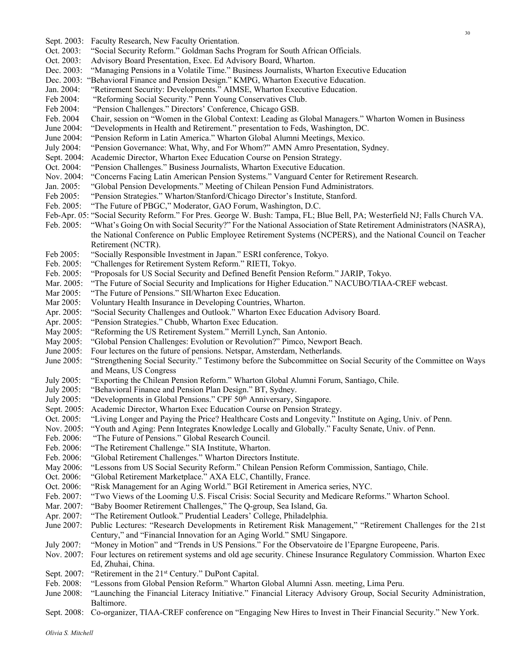- Sept. 2003: Faculty Research, New Faculty Orientation. Oct. 2003: "Social Security Reform." Goldman Sachs Program for South African Officials.
- Oct. 2003: Advisory Board Presentation, Exec. Ed Advisory Board, Wharton.
- Dec. 2003: "Managing Pensions in a Volatile Time." Business Journalists, Wharton Executive Education
- Dec. 2003: "Behavioral Finance and Pension Design." KMPG, Wharton Executive Education.
- Jan. 2004: "Retirement Security: Developments." AIMSE, Wharton Executive Education.
- Feb 2004: "Reforming Social Security." Penn Young Conservatives Club.
- Feb 2004: "Pension Challenges." Directors' Conference, Chicago GSB.
- Feb. 2004 Chair, session on "Women in the Global Context: Leading as Global Managers." Wharton Women in Business
- June 2004: "Developments in Health and Retirement." presentation to Feds, Washington, DC.
- June 2004: "Pension Reform in Latin America." Wharton Global Alumni Meetings, Mexico.
- July 2004: "Pension Governance: What, Why, and For Whom?" AMN Amro Presentation, Sydney.
- Sept. 2004: Academic Director, Wharton Exec Education Course on Pension Strategy.
- Oct. 2004: "Pension Challenges." Business Journalists, Wharton Executive Education.
- Nov. 2004: "Concerns Facing Latin American Pension Systems." Vanguard Center for Retirement Research.
- Jan. 2005: "Global Pension Developments." Meeting of Chilean Pension Fund Administrators.
- Feb 2005: "Pension Strategies." Wharton/Stanford/Chicago Director's Institute, Stanford.
- Feb. 2005: "The Future of PBGC," Moderator, GAO Forum, Washington, D.C.
- Feb-Apr. 05: "Social Security Reform." For Pres. George W. Bush: Tampa, FL; Blue Bell, PA; Westerfield NJ; Falls Church VA.
- Feb. 2005: "What's Going On with Social Security?" For the National Association of State Retirement Administrators (NASRA), the National Conference on Public Employee Retirement Systems (NCPERS), and the National Council on Teacher Retirement (NCTR).
- Feb 2005: "Socially Responsible Investment in Japan." ESRI conference, Tokyo.
- Feb. 2005: "Challenges for Retirement System Reform." RIETI, Tokyo.
- Feb. 2005: "Proposals for US Social Security and Defined Benefit Pension Reform." JARIP, Tokyo.<br>Mar. 2005: "The Future of Social Security and Implications for Higher Education." NACUBO/TIAA
- "The Future of Social Security and Implications for Higher Education." NACUBO/TIAA-CREF webcast.
- Mar 2005: "The Future of Pensions." SII/Wharton Exec Education.
- Mar 2005: Voluntary Health Insurance in Developing Countries, Wharton.
- Apr. 2005: "Social Security Challenges and Outlook." Wharton Exec Education Advisory Board.
- Apr. 2005: "Pension Strategies." Chubb, Wharton Exec Education.
- May 2005: "Reforming the US Retirement System." Merrill Lynch, San Antonio.
- May 2005: "Global Pension Challenges: Evolution or Revolution?" Pimco, Newport Beach.
- June 2005: Four lectures on the future of pensions. Netspar, Amsterdam, Netherlands.
- June 2005: "Strengthening Social Security." Testimony before the Subcommittee on Social Security of the Committee on Ways and Means, US Congress
- July 2005: "Exporting the Chilean Pension Reform." Wharton Global Alumni Forum, Santiago, Chile.
- July 2005: "Behavioral Finance and Pension Plan Design." BT, Sydney.
- July 2005: "Developments in Global Pensions." CPF 50<sup>th</sup> Anniversary, Singapore.
- Sept. 2005: Academic Director, Wharton Exec Education Course on Pension Strategy.
- Oct. 2005: "Living Longer and Paying the Price? Healthcare Costs and Longevity." Institute on Aging, Univ. of Penn.
- Nov. 2005: "Youth and Aging: Penn Integrates Knowledge Locally and Globally." Faculty Senate, Univ. of Penn.
- Feb. 2006: "The Future of Pensions." Global Research Council.
- Feb. 2006: "The Retirement Challenge." SIA Institute, Wharton.
- Feb. 2006: "Global Retirement Challenges." Wharton Directors Institute.
- May 2006: "Lessons from US Social Security Reform." Chilean Pension Reform Commission, Santiago, Chile.
- Oct. 2006: "Global Retirement Marketplace." AXA ELC, Chantilly, France.
- Oct. 2006: "Risk Management for an Aging World." BGI Retirement in America series, NYC.
- Feb. 2007: "Two Views of the Looming U.S. Fiscal Crisis: Social Security and Medicare Reforms." Wharton School.
- Mar. 2007: "Baby Boomer Retirement Challenges," The Q-group, Sea Island, Ga.
- Apr. 2007: "The Retirement Outlook." Prudential Leaders' College, Philadelphia.
- June 2007: Public Lectures: "Research Developments in Retirement Risk Management," "Retirement Challenges for the 21st Century," and "Financial Innovation for an Aging World." SMU Singapore.
- July 2007: "Money in Motion" and "Trends in US Pensions." For the Observatoire de l'Epargne Europeene, Paris.
- Nov. 2007: Four lectures on retirement systems and old age security. Chinese Insurance Regulatory Commission. Wharton Exec Ed, Zhuhai, China.
- Sept. 2007: "Retirement in the 21<sup>st</sup> Century." DuPont Capital.
- Feb. 2008: "Lessons from Global Pension Reform." Wharton Global Alumni Assn. meeting, Lima Peru.
- June 2008: "Launching the Financial Literacy Initiative." Financial Literacy Advisory Group, Social Security Administration, Baltimore.
- Sept. 2008: Co-organizer, TIAA-CREF conference on "Engaging New Hires to Invest in Their Financial Security." New York.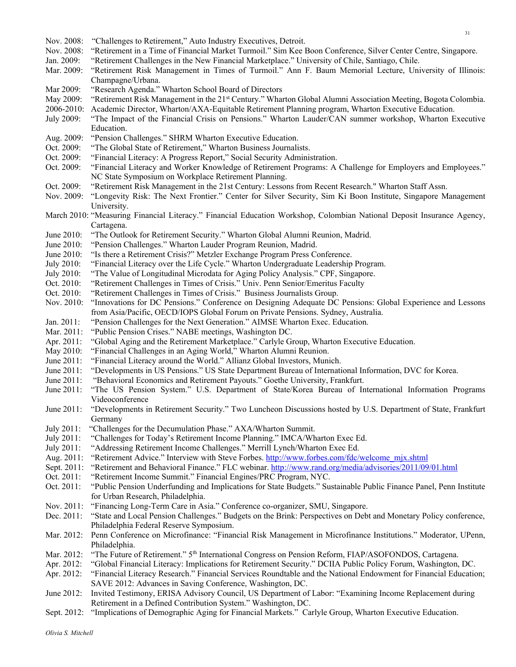- Nov. 2008: "Challenges to Retirement," Auto Industry Executives, Detroit.
- Nov. 2008: "Retirement in a Time of Financial Market Turmoil." Sim Kee Boon Conference, Silver Center Centre, Singapore.
- Jan. 2009: "Retirement Challenges in the New Financial Marketplace." University of Chile, Santiago, Chile.
- Mar. 2009: "Retirement Risk Management in Times of Turmoil." Ann F. Baum Memorial Lecture, University of Illinois: Champagne/Urbana.
- Mar 2009: "Research Agenda." Wharton School Board of Directors
- May 2009: "Retirement Risk Management in the 21<sup>st</sup> Century." Wharton Global Alumni Association Meeting, Bogota Colombia.
- 2006-2010: Academic Director, Wharton/AXA-Equitable Retirement Planning program, Wharton Executive Education.
- July 2009: "The Impact of the Financial Crisis on Pensions." Wharton Lauder/CAN summer workshop, Wharton Executive Education.
- Aug. 2009: "Pension Challenges." SHRM Wharton Executive Education.
- Oct. 2009: "The Global State of Retirement," Wharton Business Journalists.
- Oct. 2009: "Financial Literacy: A Progress Report," Social Security Administration.
- Oct. 2009: "Financial Literacy and Worker Knowledge of Retirement Programs: A Challenge for Employers and Employees." NC State Symposium on Workplace Retirement Planning.
- Oct. 2009: "Retirement Risk Management in the 21st Century: Lessons from Recent Research." Wharton Staff Assn.
- Nov. 2009: "Longevity Risk: The Next Frontier." Center for Silver Security, Sim Ki Boon Institute, Singapore Management University.
- March 2010: "Measuring Financial Literacy." Financial Education Workshop, Colombian National Deposit Insurance Agency, Cartagena.
- June 2010: "The Outlook for Retirement Security." Wharton Global Alumni Reunion, Madrid.
- June 2010: "Pension Challenges." Wharton Lauder Program Reunion, Madrid.
- June 2010: "Is there a Retirement Crisis?" Metzler Exchange Program Press Conference.
- July 2010: "Financial Literacy over the Life Cycle." Wharton Undergraduate Leadership Program.
- July 2010: "The Value of Longitudinal Microdata for Aging Policy Analysis." CPF, Singapore.
- Oct. 2010: "Retirement Challenges in Times of Crisis." Univ. Penn Senior/Emeritus Faculty
- Oct. 2010: "Retirement Challenges in Times of Crisis." Business Journalists Group.
- Nov. 2010: "Innovations for DC Pensions." Conference on Designing Adequate DC Pensions: Global Experience and Lessons from Asia/Pacific, OECD/IOPS Global Forum on Private Pensions. Sydney, Australia.
- Jan. 2011: "Pension Challenges for the Next Generation." AIMSE Wharton Exec. Education.
- Mar. 2011: "Public Pension Crises." NABE meetings, Washington DC.
- Apr. 2011: "Global Aging and the Retirement Marketplace." Carlyle Group, Wharton Executive Education.
- May 2010: "Financial Challenges in an Aging World," Wharton Alumni Reunion.
- June 2011: "Financial Literacy around the World." Allianz Global Investors, Munich.
- June 2011: "Developments in US Pensions." US State Department Bureau of International Information, DVC for Korea.
- June 2011: "Behavioral Economics and Retirement Payouts." Goethe University, Frankfurt.
- June 2011: "The US Pension System." U.S. Department of State/Korea Bureau of International Information Programs Videoconference
- June 2011: "Developments in Retirement Security." Two Luncheon Discussions hosted by U.S. Department of State, Frankfurt Germany
- July 2011: "Challenges for the Decumulation Phase." AXA/Wharton Summit.
- July 2011: "Challenges for Today's Retirement Income Planning." IMCA/Wharton Exec Ed.
- July 2011: "Addressing Retirement Income Challenges." Merrill Lynch/Wharton Exec Ed.
- Aug. 2011: "Retirement Advice." Interview with Steve Forbes. http://www.forbes.com/fdc/welcome\_mjx.shtml
- Sept. 2011: "Retirement and Behavioral Finance." FLC webinar. http://www.rand.org/media/advisories/2011/09/01.html
- Oct. 2011: "Retirement Income Summit." Financial Engines/PRC Program, NYC.
- Oct. 2011: "Public Pension Underfunding and Implications for State Budgets." Sustainable Public Finance Panel, Penn Institute for Urban Research, Philadelphia.
- Nov. 2011: "Financing Long-Term Care in Asia." Conference co-organizer, SMU, Singapore.
- Dec. 2011: "State and Local Pension Challenges." Budgets on the Brink: Perspectives on Debt and Monetary Policy conference, Philadelphia Federal Reserve Symposium. Mar. 2012: Penn Conference on Microfinance: "Financial Risk Management in Microfinance Institutions." Moderator, UPenn,
- Philadelphia.
- Mar. 2012: "The Future of Retirement." 5<sup>th</sup> International Congress on Pension Reform, FIAP/ASOFONDOS, Cartagena.
- Apr. 2012: "Global Financial Literacy: Implications for Retirement Security." DCIIA Public Policy Forum, Washington, DC.

Apr. 2012: "Financial Literacy Research." Financial Services Roundtable and the National Endowment for Financial Education; SAVE 2012: Advances in Saving Conference, Washington, DC.

- June 2012: Invited Testimony, ERISA Advisory Council, US Department of Labor: "Examining Income Replacement during Retirement in a Defined Contribution System." Washington, DC.
- Sept. 2012: "Implications of Demographic Aging for Financial Markets." Carlyle Group, Wharton Executive Education.